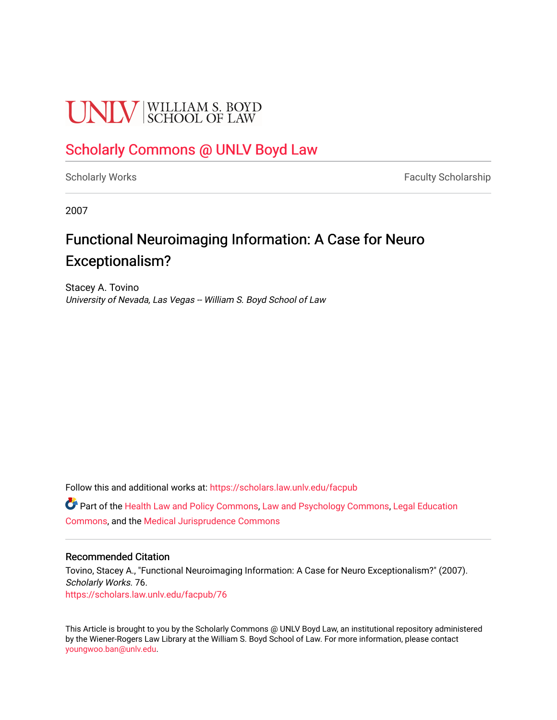# **UNIV** SCHOOL OF LAW

# [Scholarly Commons @ UNLV Boyd Law](https://scholars.law.unlv.edu/)

[Scholarly Works](https://scholars.law.unlv.edu/facpub) **Faculty Scholarship** Faculty Scholarship

2007

# Functional Neuroimaging Information: A Case for Neuro Exceptionalism?

Stacey A. Tovino University of Nevada, Las Vegas -- William S. Boyd School of Law

Follow this and additional works at: [https://scholars.law.unlv.edu/facpub](https://scholars.law.unlv.edu/facpub?utm_source=scholars.law.unlv.edu%2Ffacpub%2F76&utm_medium=PDF&utm_campaign=PDFCoverPages) Part of the [Health Law and Policy Commons](http://network.bepress.com/hgg/discipline/901?utm_source=scholars.law.unlv.edu%2Ffacpub%2F76&utm_medium=PDF&utm_campaign=PDFCoverPages), [Law and Psychology Commons,](http://network.bepress.com/hgg/discipline/870?utm_source=scholars.law.unlv.edu%2Ffacpub%2F76&utm_medium=PDF&utm_campaign=PDFCoverPages) [Legal Education](http://network.bepress.com/hgg/discipline/857?utm_source=scholars.law.unlv.edu%2Ffacpub%2F76&utm_medium=PDF&utm_campaign=PDFCoverPages) [Commons](http://network.bepress.com/hgg/discipline/857?utm_source=scholars.law.unlv.edu%2Ffacpub%2F76&utm_medium=PDF&utm_campaign=PDFCoverPages), and the [Medical Jurisprudence Commons](http://network.bepress.com/hgg/discipline/860?utm_source=scholars.law.unlv.edu%2Ffacpub%2F76&utm_medium=PDF&utm_campaign=PDFCoverPages) 

## Recommended Citation

Tovino, Stacey A., "Functional Neuroimaging Information: A Case for Neuro Exceptionalism?" (2007). Scholarly Works. 76. [https://scholars.law.unlv.edu/facpub/76](https://scholars.law.unlv.edu/facpub/76?utm_source=scholars.law.unlv.edu%2Ffacpub%2F76&utm_medium=PDF&utm_campaign=PDFCoverPages) 

This Article is brought to you by the Scholarly Commons @ UNLV Boyd Law, an institutional repository administered by the Wiener-Rogers Law Library at the William S. Boyd School of Law. For more information, please contact [youngwoo.ban@unlv.edu.](mailto:youngwoo.ban@unlv.edu)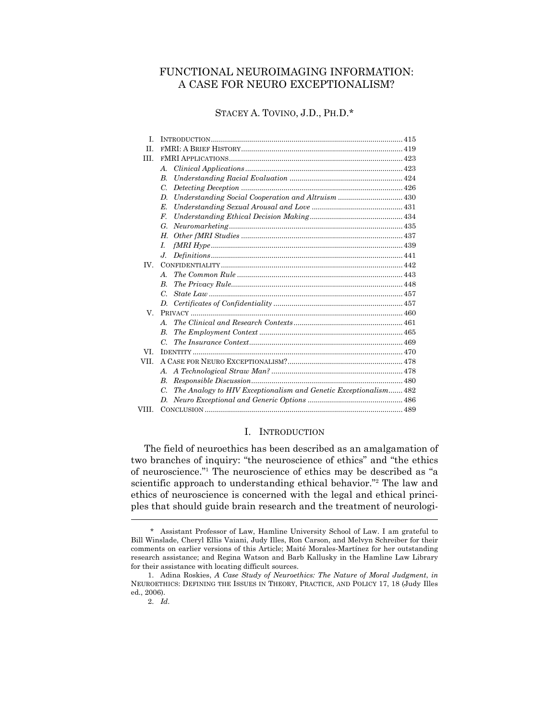# FUNCTIONAL NEUROIMAGING INFORMATION: A CASE FOR NEURO EXCEPTIONALISM?

#### STACEY A. TOVINO, J.D., PH.D.\*

| L         |                                                                        |
|-----------|------------------------------------------------------------------------|
| II.       |                                                                        |
| III.      |                                                                        |
|           | $\bm{A}$ .                                                             |
|           | $\boldsymbol{B}$                                                       |
|           | C.                                                                     |
|           | D.                                                                     |
|           | E.                                                                     |
|           | $F_{\cdot}$                                                            |
|           | G.                                                                     |
|           | Н.                                                                     |
|           | I.                                                                     |
|           | $J_{\cdot}$                                                            |
| <b>IV</b> |                                                                        |
|           | $\bm{A}$ .                                                             |
|           | $\boldsymbol{B}$                                                       |
|           | C.                                                                     |
|           | D.                                                                     |
| V         |                                                                        |
|           | $\overline{A}$                                                         |
|           | $\boldsymbol{B}$                                                       |
|           | $\overline{C}$                                                         |
| VI.       |                                                                        |
| VII.      |                                                                        |
|           | $\mathcal{A}$ .                                                        |
|           | В.                                                                     |
|           | The Analogy to HIV Exceptionalism and Genetic Exceptionalism 482<br>C. |
|           | D.                                                                     |
| VIII.     |                                                                        |

#### I. INTRODUCTION

 The field of neuroethics has been described as an amalgamation of two branches of inquiry: "the neuroscience of ethics" and "the ethics of neuroscience."1 The neuroscience of ethics may be described as "a scientific approach to understanding ethical behavior."<sup>2</sup> The law and ethics of neuroscience is concerned with the legal and ethical principles that should guide brain research and the treatment of neurologi-

 <sup>\*</sup> Assistant Professor of Law, Hamline University School of Law. I am grateful to Bill Winslade, Cheryl Ellis Vaiani, Judy Illes, Ron Carson, and Melvyn Schreiber for their comments on earlier versions of this Article; Maité Morales-Martínez for her outstanding research assistance; and Regina Watson and Barb Kallusky in the Hamline Law Library for their assistance with locating difficult sources.

 <sup>1.</sup> Adina Roskies, *A Case Study of Neuroethics: The Nature of Moral Judgment*, *in* NEUROETHICS: DEFINING THE ISSUES IN THEORY, PRACTICE, AND POLICY 17, 18 (Judy Illes ed., 2006).

 <sup>2.</sup> *Id*.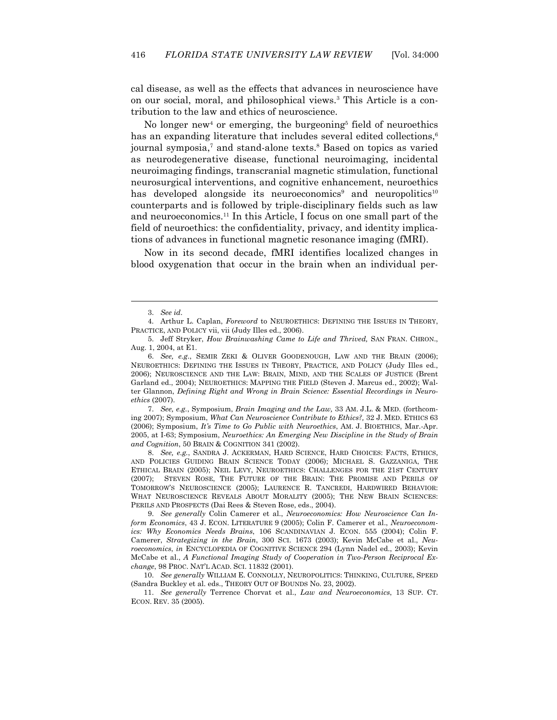cal disease, as well as the effects that advances in neuroscience have on our social, moral, and philosophical views.3 This Article is a contribution to the law and ethics of neuroscience.

No longer new<sup>4</sup> or emerging, the burgeoning<sup>5</sup> field of neuroethics has an expanding literature that includes several edited collections,<sup>6</sup> journal symposia,<sup>7</sup> and stand-alone texts.<sup>8</sup> Based on topics as varied as neurodegenerative disease, functional neuroimaging, incidental neuroimaging findings, transcranial magnetic stimulation, functional neurosurgical interventions, and cognitive enhancement, neuroethics has developed alongside its neuroeconomics<sup>9</sup> and neuropolitics<sup>10</sup> counterparts and is followed by triple-disciplinary fields such as law and neuroeconomics.11 In this Article, I focus on one small part of the field of neuroethics: the confidentiality, privacy, and identity implications of advances in functional magnetic resonance imaging (fMRI).

 Now in its second decade, fMRI identifies localized changes in blood oxygenation that occur in the brain when an individual per-

 $\overline{a}$ 

 7. *See, e.g.*, Symposium, *Brain Imaging and the Law,* 33 AM. J.L. & MED. (forthcoming 2007); Symposium, *What Can Neuroscience Contribute to Ethics?,* 32 J. MED. ETHICS 63 (2006); Symposium, *It's Time to Go Public with Neuroethics*, AM. J. BIOETHICS, Mar.-Apr. 2005, at I-63; Symposium, *Neuroethics: An Emerging New Discipline in the Study of Brain and Cognition*, 50 BRAIN & COGNITION 341 (2002).

 8. *See, e.g.*, SANDRA J. ACKERMAN, HARD SCIENCE, HARD CHOICES: FACTS, ETHICS, AND POLICIES GUIDING BRAIN SCIENCE TODAY (2006); MICHAEL S. GAZZANIGA, THE ETHICAL BRAIN (2005); NEIL LEVY, NEUROETHICS: CHALLENGES FOR THE 21ST CENTURY (2007); STEVEN ROSE, THE FUTURE OF THE BRAIN: THE PROMISE AND PERILS OF TOMORROW'S NEUROSCIENCE (2005); LAURENCE R. TANCREDI, HARDWIRED BEHAVIOR: WHAT NEUROSCIENCE REVEALS ABOUT MORALITY (2005); THE NEW BRAIN SCIENCES: PERILS AND PROSPECTS (Dai Rees & Steven Rose, eds., 2004).

 9. *See generally* Colin Camerer et al., *Neuroeconomics: How Neuroscience Can Inform Economics*, 43 J. ECON. LITERATURE 9 (2005); Colin F. Camerer et al., *Neuroeconomics: Why Economics Needs Brains*, 106 SCANDINAVIAN J. ECON. 555 (2004); Colin F. Camerer, *Strategizing in the Brain*, 300 SCI. 1673 (2003); Kevin McCabe et al., *Neuroeconomics*, *in* ENCYCLOPEDIA OF COGNITIVE SCIENCE 294 (Lynn Nadel ed., 2003); Kevin McCabe et al., *A Functional Imaging Study of Cooperation in Two-Person Reciprocal Exchange*, 98 PROC. NAT'L ACAD. SCI. 11832 (2001).

 10. *See generally* WILLIAM E. CONNOLLY, NEUROPOLITICS: THINKING, CULTURE, SPEED (Sandra Buckley et al. eds., THEORY OUT OF BOUNDS No. 23, 2002).

 11. *See generally* Terrence Chorvat et al., *Law and Neuroeconomics*, 13 SUP. CT. ECON. REV. 35 (2005).

 <sup>3.</sup> *See id*.

 <sup>4.</sup> Arthur L. Caplan, *Foreword* to NEUROETHICS: DEFINING THE ISSUES IN THEORY, PRACTICE, AND POLICY vii, vii (Judy Illes ed., 2006).

 <sup>5.</sup> Jeff Stryker, *How Brainwashing Came to Life and Thrived,* SAN FRAN. CHRON., Aug. 1, 2004, at E1.

 <sup>6.</sup> *See, e.g*., SEMIR ZEKI & OLIVER GOODENOUGH, LAW AND THE BRAIN (2006); NEUROETHICS: DEFINING THE ISSUES IN THEORY, PRACTICE, AND POLICY (Judy Illes ed., 2006); NEUROSCIENCE AND THE LAW: BRAIN, MIND, AND THE SCALES OF JUSTICE (Brent Garland ed., 2004); NEUROETHICS: MAPPING THE FIELD (Steven J. Marcus ed., 2002); Walter Glannon, *Defining Right and Wrong in Brain Science: Essential Recordings in Neuroethics* (2007).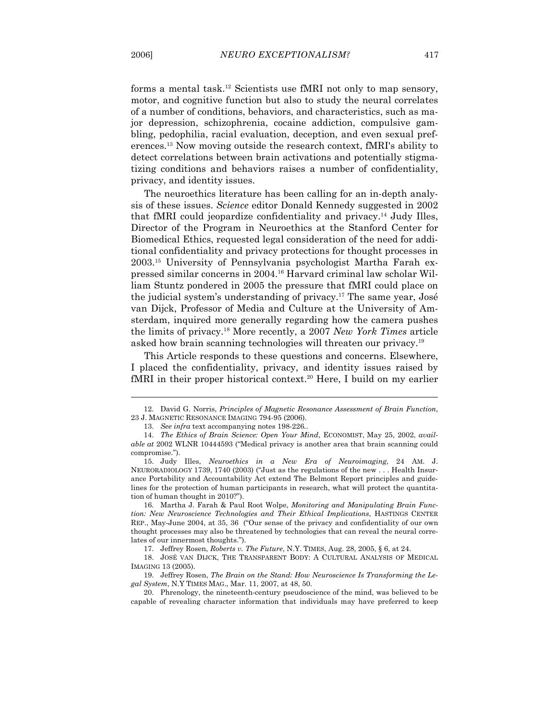forms a mental task.12 Scientists use fMRI not only to map sensory, motor, and cognitive function but also to study the neural correlates of a number of conditions, behaviors, and characteristics, such as major depression, schizophrenia, cocaine addiction, compulsive gambling, pedophilia, racial evaluation, deception, and even sexual preferences.13 Now moving outside the research context, fMRI's ability to detect correlations between brain activations and potentially stigmatizing conditions and behaviors raises a number of confidentiality, privacy, and identity issues.

 The neuroethics literature has been calling for an in-depth analysis of these issues. *Science* editor Donald Kennedy suggested in 2002 that fMRI could jeopardize confidentiality and privacy.14 Judy Illes, Director of the Program in Neuroethics at the Stanford Center for Biomedical Ethics, requested legal consideration of the need for additional confidentiality and privacy protections for thought processes in 2003.15 University of Pennsylvania psychologist Martha Farah expressed similar concerns in 2004.16 Harvard criminal law scholar William Stuntz pondered in 2005 the pressure that fMRI could place on the judicial system's understanding of privacy.17 The same year, José van Dijck, Professor of Media and Culture at the University of Amsterdam, inquired more generally regarding how the camera pushes the limits of privacy.18 More recently, a 2007 *New York Times* article asked how brain scanning technologies will threaten our privacy.19

 This Article responds to these questions and concerns. Elsewhere, I placed the confidentiality, privacy, and identity issues raised by fMRI in their proper historical context.<sup>20</sup> Here, I build on my earlier

17. Jeffrey Rosen, *Roberts v. The Future*, N.Y. TIMES, Aug. 28, 2005, § 6, at 24.

 <sup>12.</sup> David G. Norris, *Principles of Magnetic Resonance Assessment of Brain Function*, 23 J. MAGNETIC RESONANCE IMAGING 794-95 (2006).

 <sup>13.</sup> *See infra* text accompanying notes 198-226*.*.

 <sup>14.</sup> *The Ethics of Brain Science: Open Your Mind*, ECONOMIST, May 25, 2002, *available at* 2002 WLNR 10444593 ("Medical privacy is another area that brain scanning could compromise.").

 <sup>15.</sup> Judy Illes, *Neuroethics in a New Era of Neuroimaging*, 24 AM. J. NEURORADIOLOGY 1739, 1740 (2003) ("Just as the regulations of the new . . . Health Insurance Portability and Accountability Act extend The Belmont Report principles and guidelines for the protection of human participants in research, what will protect the quantitation of human thought in 2010?").

 <sup>16.</sup> Martha J. Farah & Paul Root Wolpe, *Monitoring and Manipulating Brain Function: New Neuroscience Technologies and Their Ethical Implications*, HASTINGS CENTER REP., May-June 2004, at 35, 36 ("Our sense of the privacy and confidentiality of our own thought processes may also be threatened by technologies that can reveal the neural correlates of our innermost thoughts.").

 <sup>18.</sup> JOSÉ VAN DIJCK, THE TRANSPARENT BODY: A CULTURAL ANALYSIS OF MEDICAL IMAGING 13 (2005).

 <sup>19.</sup> Jeffrey Rosen, *The Brain on the Stand: How Neuroscience Is Transforming the Legal System*, N.Y TIMES MAG., Mar. 11, 2007, at 48, 50.

 <sup>20.</sup> Phrenology, the nineteenth-century pseudoscience of the mind, was believed to be capable of revealing character information that individuals may have preferred to keep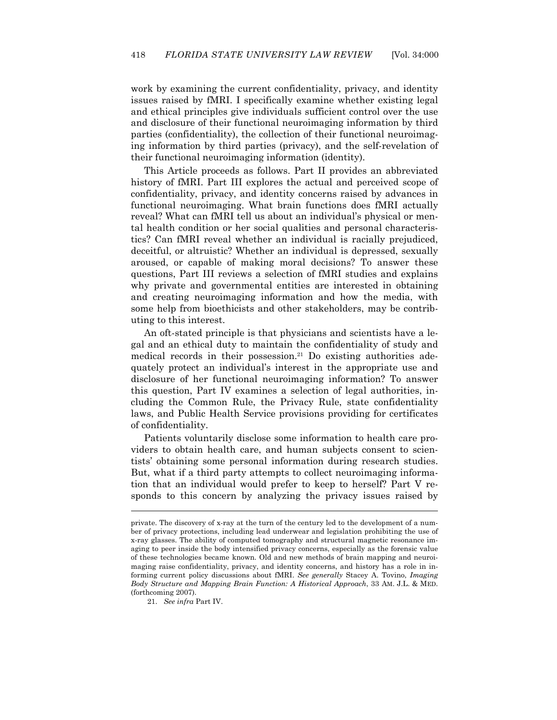work by examining the current confidentiality, privacy, and identity issues raised by fMRI. I specifically examine whether existing legal and ethical principles give individuals sufficient control over the use and disclosure of their functional neuroimaging information by third parties (confidentiality), the collection of their functional neuroimaging information by third parties (privacy), and the self-revelation of their functional neuroimaging information (identity).

 This Article proceeds as follows. Part II provides an abbreviated history of fMRI. Part III explores the actual and perceived scope of confidentiality, privacy, and identity concerns raised by advances in functional neuroimaging. What brain functions does fMRI actually reveal? What can fMRI tell us about an individual's physical or mental health condition or her social qualities and personal characteristics? Can fMRI reveal whether an individual is racially prejudiced, deceitful, or altruistic? Whether an individual is depressed, sexually aroused, or capable of making moral decisions? To answer these questions, Part III reviews a selection of fMRI studies and explains why private and governmental entities are interested in obtaining and creating neuroimaging information and how the media, with some help from bioethicists and other stakeholders, may be contributing to this interest.

 An oft-stated principle is that physicians and scientists have a legal and an ethical duty to maintain the confidentiality of study and medical records in their possession.<sup>21</sup> Do existing authorities adequately protect an individual's interest in the appropriate use and disclosure of her functional neuroimaging information? To answer this question, Part IV examines a selection of legal authorities, including the Common Rule, the Privacy Rule, state confidentiality laws, and Public Health Service provisions providing for certificates of confidentiality.

 Patients voluntarily disclose some information to health care providers to obtain health care, and human subjects consent to scientists' obtaining some personal information during research studies. But, what if a third party attempts to collect neuroimaging information that an individual would prefer to keep to herself? Part V responds to this concern by analyzing the privacy issues raised by

private. The discovery of x-ray at the turn of the century led to the development of a number of privacy protections, including lead underwear and legislation prohibiting the use of x-ray glasses. The ability of computed tomography and structural magnetic resonance imaging to peer inside the body intensified privacy concerns, especially as the forensic value of these technologies became known. Old and new methods of brain mapping and neuroimaging raise confidentiality, privacy, and identity concerns, and history has a role in informing current policy discussions about fMRI. *See generally* Stacey A. Tovino, *Imaging Body Structure and Mapping Brain Function: A Historical Approach*, 33 AM. J.L. & MED. (forthcoming 2007).

 <sup>21.</sup> *See infra* Part IV.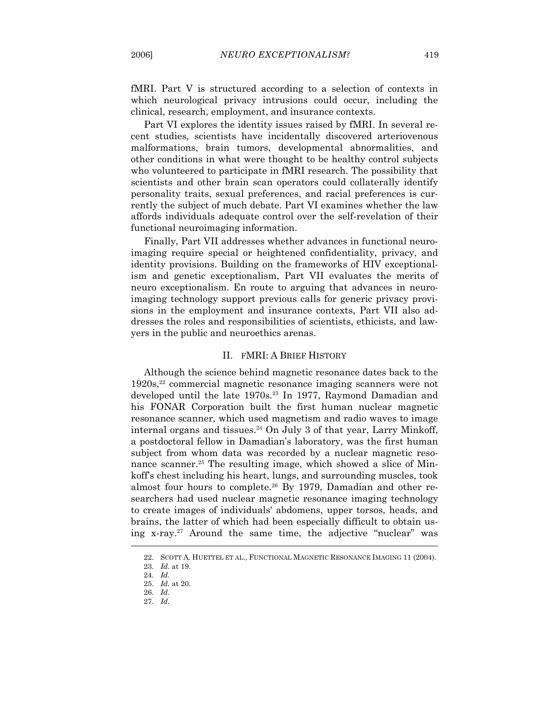fMRI. Part V is structured according to a selection of contexts in which neurological privacy intrusions could occur, including the clinical, research, employment, and insurance contexts.

 Part VI explores the identity issues raised by fMRI. In several recent studies, scientists have incidentally discovered arteriovenous malformations, brain tumors, developmental abnormalities, and other conditions in what were thought to be healthy control subjects who volunteered to participate in fMRI research. The possibility that scientists and other brain scan operators could collaterally identify personality traits, sexual preferences, and racial preferences is currently the subject of much debate. Part VI examines whether the law affords individuals adequate control over the self-revelation of their functional neuroimaging information.

 Finally, Part VII addresses whether advances in functional neuroimaging require special or heightened confidentiality, privacy, and identity provisions. Building on the frameworks of HIV exceptionalism and genetic exceptionalism, Part VII evaluates the merits of neuro exceptionalism. En route to arguing that advances in neuroimaging technology support previous calls for generic privacy provisions in the employment and insurance contexts, Part VII also addresses the roles and responsibilities of scientists, ethicists, and lawyers in the public and neuroethics arenas.

#### II. FMRI: A BRIEF HISTORY

 Although the science behind magnetic resonance dates back to the 1920s,22 commercial magnetic resonance imaging scanners were not developed until the late 1970s.<sup>23</sup> In 1977, Raymond Damadian and his FONAR Corporation built the first human nuclear magnetic resonance scanner, which used magnetism and radio waves to image internal organs and tissues.<sup>24</sup> On July 3 of that year, Larry Minkoff, a postdoctoral fellow in Damadian's laboratory, was the first human subject from whom data was recorded by a nuclear magnetic resonance scanner.<sup>25</sup> The resulting image, which showed a slice of Minkoff's chest including his heart, lungs, and surrounding muscles, took almost four hours to complete.<sup>26</sup> By 1979, Damadian and other researchers had used nuclear magnetic resonance imaging technology to create images of individuals' abdomens, upper torsos, heads, and brains, the latter of which had been especially difficult to obtain using x-ray.27 Around the same time, the adjective "nuclear" was

 <sup>22.</sup> SCOTT A. HUETTEL ET AL., FUNCTIONAL MAGNETIC RESONANCE IMAGING 11 (2004).

 <sup>23.</sup> *Id*. at 19.

 <sup>24.</sup> *Id*.

 <sup>25.</sup> *Id.* at 20.

 <sup>26.</sup> *Id*.

 <sup>27.</sup> *Id*.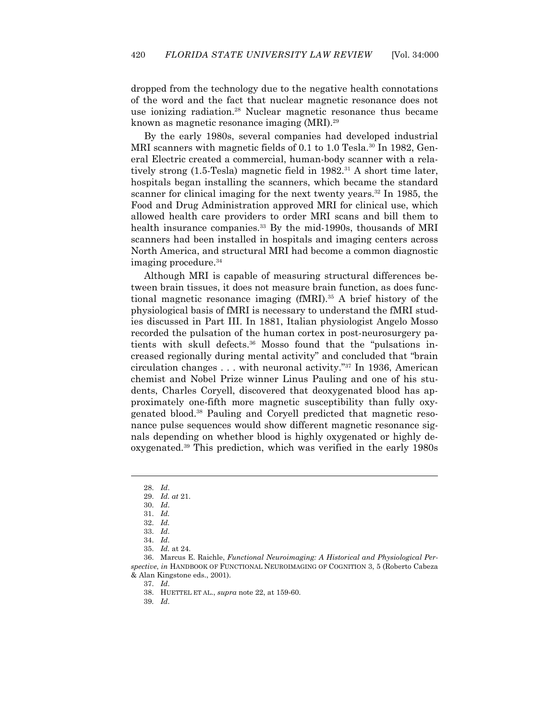dropped from the technology due to the negative health connotations of the word and the fact that nuclear magnetic resonance does not use ionizing radiation.<sup>28</sup> Nuclear magnetic resonance thus became known as magnetic resonance imaging (MRI).29

 By the early 1980s, several companies had developed industrial MRI scanners with magnetic fields of 0.1 to 1.0 Tesla.<sup>30</sup> In 1982, General Electric created a commercial, human-body scanner with a relatively strong  $(1.5$ -Tesla) magnetic field in 1982.<sup>31</sup> A short time later, hospitals began installing the scanners, which became the standard scanner for clinical imaging for the next twenty years.<sup>32</sup> In 1985, the Food and Drug Administration approved MRI for clinical use, which allowed health care providers to order MRI scans and bill them to health insurance companies.<sup>33</sup> By the mid-1990s, thousands of MRI scanners had been installed in hospitals and imaging centers across North America, and structural MRI had become a common diagnostic imaging procedure.<sup>34</sup>

 Although MRI is capable of measuring structural differences between brain tissues, it does not measure brain function, as does functional magnetic resonance imaging (fMRI).35 A brief history of the physiological basis of fMRI is necessary to understand the fMRI studies discussed in Part III. In 1881, Italian physiologist Angelo Mosso recorded the pulsation of the human cortex in post-neurosurgery patients with skull defects.36 Mosso found that the "pulsations increased regionally during mental activity" and concluded that "brain circulation changes . . . with neuronal activity."37 In 1936, American chemist and Nobel Prize winner Linus Pauling and one of his students, Charles Coryell, discovered that deoxygenated blood has approximately one-fifth more magnetic susceptibility than fully oxygenated blood.38 Pauling and Coryell predicted that magnetic resonance pulse sequences would show different magnetic resonance signals depending on whether blood is highly oxygenated or highly deoxygenated.39 This prediction, which was verified in the early 1980s

 $\overline{a}$ 

 36. Marcus E. Raichle, *Functional Neuroimaging: A Historical and Physiological Perspective*, *in* HANDBOOK OF FUNCTIONAL NEUROIMAGING OF COGNITION 3, 5 (Roberto Cabeza & Alan Kingstone eds., 2001).

37. *Id*.

 <sup>28.</sup> *Id*.

 <sup>29.</sup> *Id. at* 21.

 <sup>30.</sup> *Id*.

 <sup>31.</sup> *Id.*

 <sup>32.</sup> *Id.*

 <sup>33.</sup> *Id*.

 <sup>34.</sup> *Id*.

 <sup>35.</sup> *Id.* at 24.

 <sup>38.</sup> HUETTEL ET AL., *supra* note 22, at 159-60.

 <sup>39.</sup> *Id*.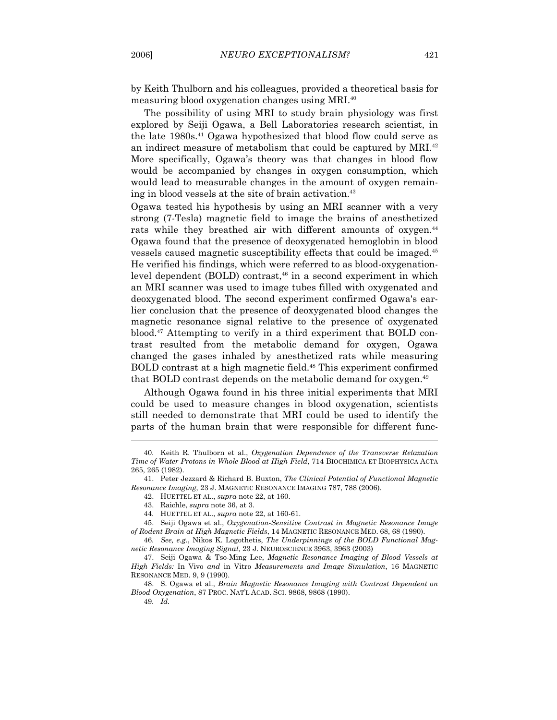by Keith Thulborn and his colleagues, provided a theoretical basis for measuring blood oxygenation changes using MRI.40

 The possibility of using MRI to study brain physiology was first explored by Seiji Ogawa, a Bell Laboratories research scientist, in the late 1980s.<sup>41</sup> Ogawa hypothesized that blood flow could serve as an indirect measure of metabolism that could be captured by MRI.<sup>42</sup> More specifically, Ogawa's theory was that changes in blood flow would be accompanied by changes in oxygen consumption, which would lead to measurable changes in the amount of oxygen remaining in blood vessels at the site of brain activation.<sup>43</sup>

Ogawa tested his hypothesis by using an MRI scanner with a very strong (7-Tesla) magnetic field to image the brains of anesthetized rats while they breathed air with different amounts of oxygen.<sup>44</sup> Ogawa found that the presence of deoxygenated hemoglobin in blood vessels caused magnetic susceptibility effects that could be imaged.45 He verified his findings, which were referred to as blood-oxygenationlevel dependent (BOLD) contrast,<sup>46</sup> in a second experiment in which an MRI scanner was used to image tubes filled with oxygenated and deoxygenated blood. The second experiment confirmed Ogawa's earlier conclusion that the presence of deoxygenated blood changes the magnetic resonance signal relative to the presence of oxygenated blood.47 Attempting to verify in a third experiment that BOLD contrast resulted from the metabolic demand for oxygen, Ogawa changed the gases inhaled by anesthetized rats while measuring BOLD contrast at a high magnetic field.<sup>48</sup> This experiment confirmed that BOLD contrast depends on the metabolic demand for oxygen.<sup>49</sup>

 Although Ogawa found in his three initial experiments that MRI could be used to measure changes in blood oxygenation, scientists still needed to demonstrate that MRI could be used to identify the parts of the human brain that were responsible for different func-

 <sup>40.</sup> Keith R. Thulborn et al., *Oxygenation Dependence of the Transverse Relaxation Time of Water Protons in Whole Blood at High Field*, 714 BIOCHIMICA ET BIOPHYSICA ACTA 265, 265 (1982).

 <sup>41.</sup> Peter Jezzard & Richard B. Buxton, *The Clinical Potential of Functional Magnetic Resonance Imaging*, 23 J. MAGNETIC RESONANCE IMAGING 787, 788 (2006).

 <sup>42.</sup> HUETTEL ET AL., *supra* note 22, at 160.

 <sup>43.</sup> Raichle, *supra* note 36, at 3.

 <sup>44.</sup> HUETTEL ET AL., *supra* note 22, at 160-61.

 <sup>45.</sup> Seiji Ogawa et al., *Oxygenation-Sensitive Contrast in Magnetic Resonance Image of Rodent Brain at High Magnetic Fields*, 14 MAGNETIC RESONANCE MED. 68, 68 (1990).

 <sup>46.</sup> *See, e.g.*, Nikos K. Logothetis, *The Underpinnings of the BOLD Functional Magnetic Resonance Imaging Signal*, 23 J. NEUROSCIENCE 3963, 3963 (2003)

 <sup>47.</sup> Seiji Ogawa & Tso-Ming Lee, *Magnetic Resonance Imaging of Blood Vessels at High Fields:* In Vivo *and* in Vitro *Measurements and Image Simulation*, 16 MAGNETIC RESONANCE MED. 9, 9 (1990).

 <sup>48.</sup> S. Ogawa et al., *Brain Magnetic Resonance Imaging with Contrast Dependent on Blood Oxygenation*, 87 PROC. NAT'L ACAD. SCI*.* 9868, 9868 (1990).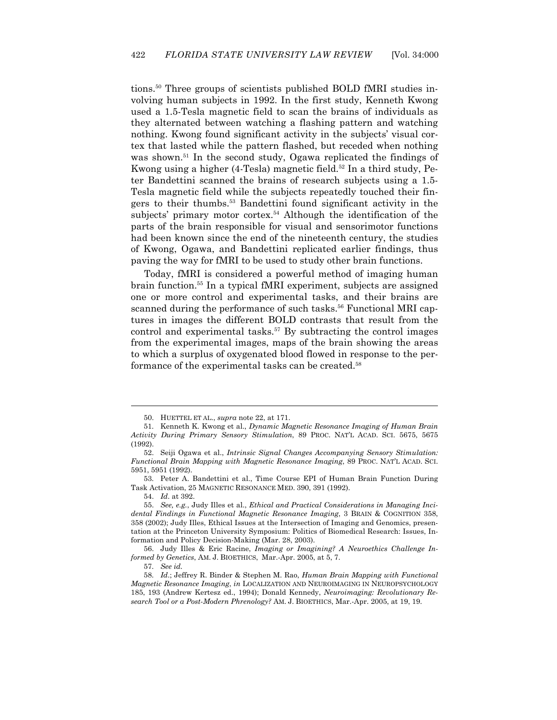tions.50 Three groups of scientists published BOLD fMRI studies involving human subjects in 1992. In the first study, Kenneth Kwong used a 1.5-Tesla magnetic field to scan the brains of individuals as they alternated between watching a flashing pattern and watching nothing. Kwong found significant activity in the subjects' visual cortex that lasted while the pattern flashed, but receded when nothing was shown.<sup>51</sup> In the second study, Ogawa replicated the findings of Kwong using a higher  $(4$ -Tesla) magnetic field.<sup>52</sup> In a third study, Peter Bandettini scanned the brains of research subjects using a 1.5- Tesla magnetic field while the subjects repeatedly touched their fingers to their thumbs.53 Bandettini found significant activity in the subjects' primary motor cortex.<sup>54</sup> Although the identification of the parts of the brain responsible for visual and sensorimotor functions had been known since the end of the nineteenth century, the studies of Kwong, Ogawa, and Bandettini replicated earlier findings, thus paving the way for fMRI to be used to study other brain functions.

 Today, fMRI is considered a powerful method of imaging human brain function.55 In a typical fMRI experiment, subjects are assigned one or more control and experimental tasks, and their brains are scanned during the performance of such tasks.<sup>56</sup> Functional MRI captures in images the different BOLD contrasts that result from the control and experimental tasks.57 By subtracting the control images from the experimental images, maps of the brain showing the areas to which a surplus of oxygenated blood flowed in response to the performance of the experimental tasks can be created.58

 <sup>50.</sup> HUETTEL ET AL., *supra* note 22, at 171.

 <sup>51.</sup> Kenneth K. Kwong et al., *Dynamic Magnetic Resonance Imaging of Human Brain Activity During Primary Sensory Stimulation*, 89 PROC. NAT'L ACAD. SCI. 5675, 5675 (1992).

 <sup>52.</sup> Seiji Ogawa et al., *Intrinsic Signal Changes Accompanying Sensory Stimulation: Functional Brain Mapping with Magnetic Resonance Imaging*, 89 PROC. NAT'L ACAD. SCI. 5951, 5951 (1992).

 <sup>53.</sup> Peter A. Bandettini et al., Time Course EPI of Human Brain Function During Task Activation, 25 MAGNETIC RESONANCE MED. 390, 391 (1992).

 <sup>54.</sup> *Id*. at 392.

 <sup>55.</sup> *See, e.g.*, Judy Illes et al., *Ethical and Practical Considerations in Managing Incidental Findings in Functional Magnetic Resonance Imaging*, 3 BRAIN & COGNITION 358, 358 (2002); Judy Illes, Ethical Issues at the Intersection of Imaging and Genomics, presentation at the Princeton University Symposium: Politics of Biomedical Research: Issues, Information and Policy Decision-Making (Mar. 28, 2003).

 <sup>56.</sup> Judy Illes & Eric Racine, *Imaging or Imagining? A Neuroethics Challenge Informed by Genetics*, AM. J. BIOETHICS, Mar.-Apr. 2005, at 5, 7.

 <sup>57.</sup> *See id.* 

 <sup>58.</sup> *Id*.; Jeffrey R. Binder & Stephen M. Rao, *Human Brain Mapping with Functional Magnetic Resonance Imaging*, *in* LOCALIZATION AND NEUROIMAGING IN NEUROPSYCHOLOGY 185, 193 (Andrew Kertesz ed., 1994); Donald Kennedy, *Neuroimaging: Revolutionary Research Tool or a Post-Modern Phrenology?* AM. J. BIOETHICS, Mar.-Apr. 2005, at 19, 19.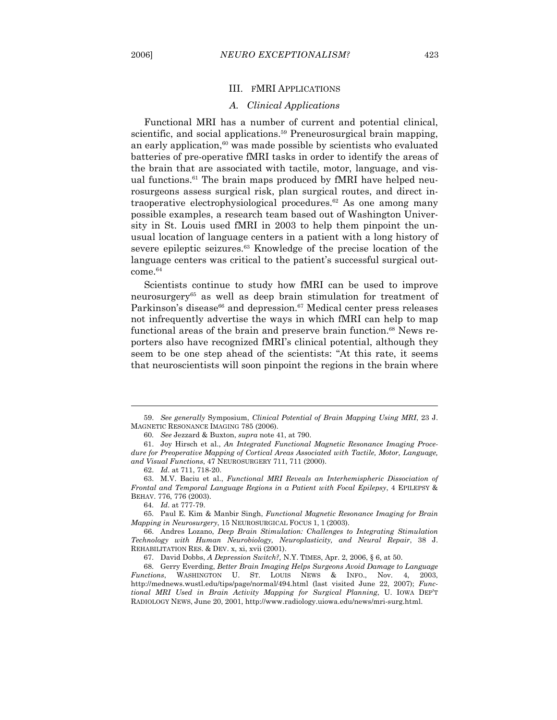#### III. FMRI APPLICATIONS

## *A. Clinical Applications*

 Functional MRI has a number of current and potential clinical, scientific, and social applications.<sup>59</sup> Preneurosurgical brain mapping, an early application, $60$  was made possible by scientists who evaluated batteries of pre-operative fMRI tasks in order to identify the areas of the brain that are associated with tactile, motor, language, and visual functions.<sup>61</sup> The brain maps produced by fMRI have helped neurosurgeons assess surgical risk, plan surgical routes, and direct intraoperative electrophysiological procedures.62 As one among many possible examples, a research team based out of Washington University in St. Louis used fMRI in 2003 to help them pinpoint the unusual location of language centers in a patient with a long history of severe epileptic seizures.<sup>63</sup> Knowledge of the precise location of the language centers was critical to the patient's successful surgical outcome.64

 Scientists continue to study how fMRI can be used to improve neurosurgery65 as well as deep brain stimulation for treatment of Parkinson's disease<sup>66</sup> and depression.<sup>67</sup> Medical center press releases not infrequently advertise the ways in which fMRI can help to map functional areas of the brain and preserve brain function.<sup>68</sup> News reporters also have recognized fMRI's clinical potential, although they seem to be one step ahead of the scientists: "At this rate, it seems that neuroscientists will soon pinpoint the regions in the brain where

 <sup>59.</sup> *See generally* Symposium, *Clinical Potential of Brain Mapping Using MRI*, 23 J. MAGNETIC RESONANCE IMAGING 785 (2006).

 <sup>60.</sup> *See* Jezzard & Buxton, *supra* note 41, at 790.

 <sup>61.</sup> Joy Hirsch et al., *An Integrated Functional Magnetic Resonance Imaging Procedure for Preoperative Mapping of Cortical Areas Associated with Tactile, Motor, Language, and Visual Functions*, 47 NEUROSURGERY 711, 711 (2000).

 <sup>62.</sup> *Id*. at 711, 718-20.

 <sup>63.</sup> M.V. Baciu et al., *Functional MRI Reveals an Interhemispheric Dissociation of Frontal and Temporal Language Regions in a Patient with Focal Epilepsy*, 4 EPILEPSY & BEHAV. 776, 776 (2003).

 <sup>64.</sup> *Id*. at 777-79.

 <sup>65.</sup> Paul E. Kim & Manbir Singh, *Functional Magnetic Resonance Imaging for Brain Mapping in Neurosurgery*, 15 NEUROSURGICAL FOCUS 1, 1 (2003).

 <sup>66.</sup> Andres Lozano, *Deep Brain Stimulation: Challenges to Integrating Stimulation Technology with Human Neurobiology, Neuroplasticity, and Neural Repair*, 38 J. REHABILITATION RES. & DEV. x, xi, xvii (2001).

 <sup>67.</sup> David Dobbs, *A Depression Switch?,* N.Y. TIMES, Apr. 2, 2006, § 6, at 50.

 <sup>68.</sup> Gerry Everding, *Better Brain Imaging Helps Surgeons Avoid Damage to Language Functions*, WASHINGTON U. ST. LOUIS NEWS & INFO., Nov. 4, 2003, http://mednews.wustl.edu/tips/page/normal/494.html (last visited June 22, 2007); *Functional MRI Used in Brain Activity Mapping for Surgical Planning*, U. IOWA DEP'T RADIOLOGY NEWS, June 20, 2001, http://www.radiology.uiowa.edu/news/mri-surg.html.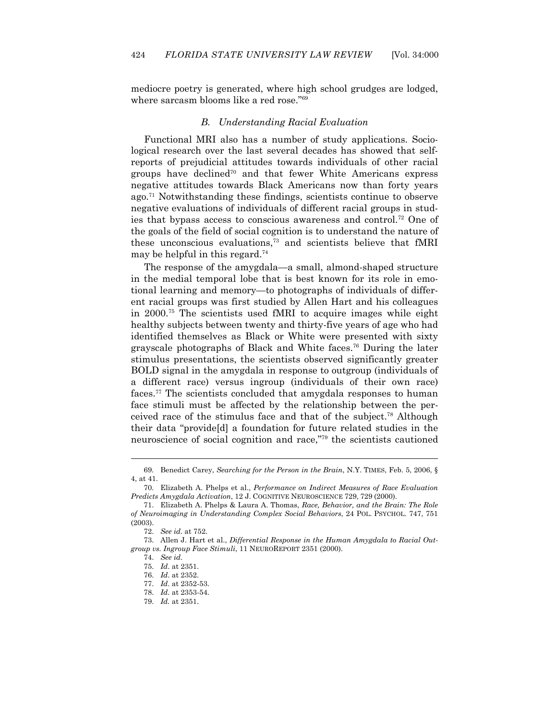mediocre poetry is generated, where high school grudges are lodged, where sarcasm blooms like a red rose."69

#### *B. Understanding Racial Evaluation*

 Functional MRI also has a number of study applications. Sociological research over the last several decades has showed that selfreports of prejudicial attitudes towards individuals of other racial groups have declined<sup>70</sup> and that fewer White Americans express negative attitudes towards Black Americans now than forty years ago.71 Notwithstanding these findings, scientists continue to observe negative evaluations of individuals of different racial groups in studies that bypass access to conscious awareness and control.72 One of the goals of the field of social cognition is to understand the nature of these unconscious evaluations,73 and scientists believe that fMRI may be helpful in this regard.<sup>74</sup>

 The response of the amygdala—a small, almond-shaped structure in the medial temporal lobe that is best known for its role in emotional learning and memory—to photographs of individuals of different racial groups was first studied by Allen Hart and his colleagues in 2000.75 The scientists used fMRI to acquire images while eight healthy subjects between twenty and thirty-five years of age who had identified themselves as Black or White were presented with sixty grayscale photographs of Black and White faces.76 During the later stimulus presentations, the scientists observed significantly greater BOLD signal in the amygdala in response to outgroup (individuals of a different race) versus ingroup (individuals of their own race) faces.77 The scientists concluded that amygdala responses to human face stimuli must be affected by the relationship between the perceived race of the stimulus face and that of the subject.78 Although their data "provide[d] a foundation for future related studies in the neuroscience of social cognition and race,"79 the scientists cautioned

 <sup>69.</sup> Benedict Carey, *Searching for the Person in the Brain*, N.Y. TIMES, Feb. 5, 2006, § 4, at 41.

 <sup>70.</sup> Elizabeth A. Phelps et al., *Performance on Indirect Measures of Race Evaluation Predicts Amygdala Activation*, 12 J. COGNITIVE NEUROSCIENCE 729, 729 (2000).

 <sup>71.</sup> Elizabeth A. Phelps & Laura A. Thomas, *Race, Behavior, and the Brain: The Role of Neuroimaging in Understanding Complex Social Behaviors*, 24 POL. PSYCHOL. 747, 751 (2003).

 <sup>72.</sup> *See id*. at 752.

 <sup>73.</sup> Allen J. Hart et al., *Differential Response in the Human Amygdala to Racial Outgroup vs. Ingroup Face Stimuli*, 11 NEUROREPORT 2351 (2000).

 <sup>74.</sup> *See id*.

 <sup>75.</sup> *Id*. at 2351.

 <sup>76.</sup> *Id*. at 2352.

 <sup>77.</sup> *Id*. at 2352-53.

 <sup>78.</sup> *Id*. at 2353-54.

 <sup>79.</sup> *Id.* at 2351.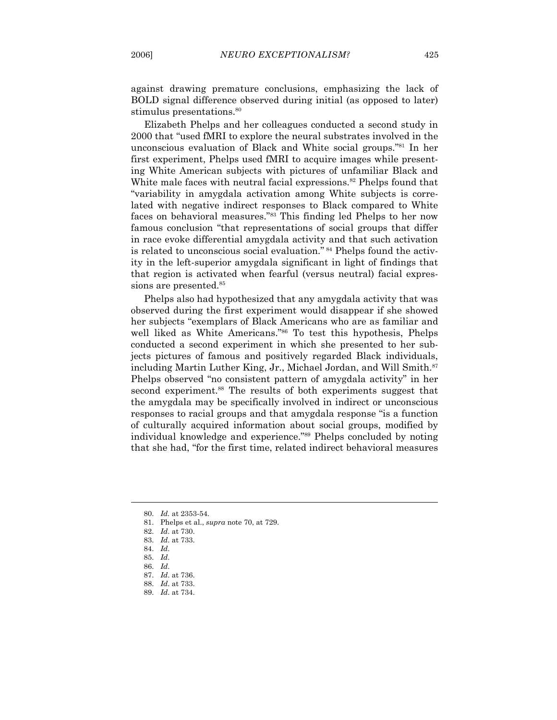against drawing premature conclusions, emphasizing the lack of BOLD signal difference observed during initial (as opposed to later) stimulus presentations.<sup>80</sup>

 Elizabeth Phelps and her colleagues conducted a second study in 2000 that "used fMRI to explore the neural substrates involved in the unconscious evaluation of Black and White social groups."81 In her first experiment, Phelps used fMRI to acquire images while presenting White American subjects with pictures of unfamiliar Black and White male faces with neutral facial expressions.<sup>82</sup> Phelps found that "variability in amygdala activation among White subjects is correlated with negative indirect responses to Black compared to White faces on behavioral measures."83 This finding led Phelps to her now famous conclusion "that representations of social groups that differ in race evoke differential amygdala activity and that such activation is related to unconscious social evaluation." 84 Phelps found the activity in the left-superior amygdala significant in light of findings that that region is activated when fearful (versus neutral) facial expressions are presented.<sup>85</sup>

 Phelps also had hypothesized that any amygdala activity that was observed during the first experiment would disappear if she showed her subjects "exemplars of Black Americans who are as familiar and well liked as White Americans."<sup>86</sup> To test this hypothesis, Phelps conducted a second experiment in which she presented to her subjects pictures of famous and positively regarded Black individuals, including Martin Luther King, Jr., Michael Jordan, and Will Smith.<sup>87</sup> Phelps observed "no consistent pattern of amygdala activity" in her second experiment.<sup>88</sup> The results of both experiments suggest that the amygdala may be specifically involved in indirect or unconscious responses to racial groups and that amygdala response "is a function of culturally acquired information about social groups, modified by individual knowledge and experience."89 Phelps concluded by noting that she had, "for the first time, related indirect behavioral measures

- 80. *Id.* at 2353-54.
- 81. Phelps et al., *supra* note 70, at 729.
- 82. *Id*. at 730.

84. *Id*.

 <sup>83.</sup> *Id*. at 733.

 <sup>85.</sup> *Id*.

 <sup>86.</sup> *Id*.

 <sup>87.</sup> *Id*. at 736.

 <sup>88.</sup> *Id*. at 733.

 <sup>89.</sup> *Id*. at 734.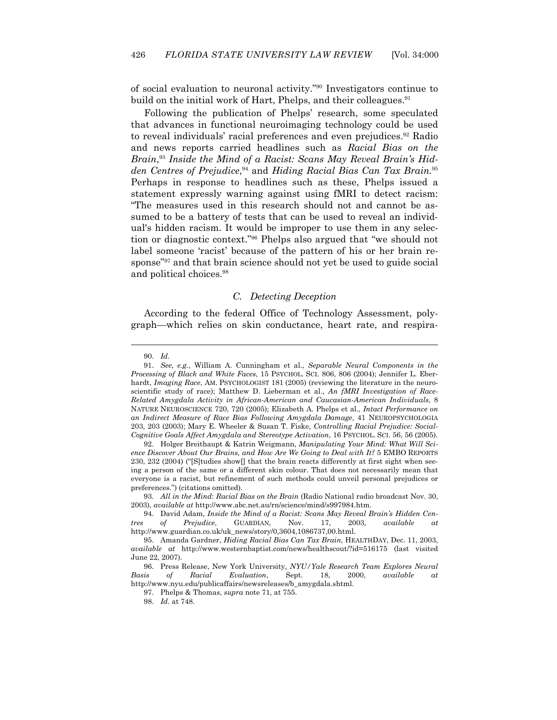of social evaluation to neuronal activity."90 Investigators continue to build on the initial work of Hart, Phelps, and their colleagues.<sup>91</sup>

 Following the publication of Phelps' research, some speculated that advances in functional neuroimaging technology could be used to reveal individuals' racial preferences and even prejudices.92 Radio and news reports carried headlines such as *Racial Bias on the Brain*, <sup>93</sup> *Inside the Mind of a Racist: Scans May Reveal Brain's Hidden Centres of Prejudice*, 94 and *Hiding Racial Bias Can Tax Brain.*<sup>95</sup> Perhaps in response to headlines such as these, Phelps issued a statement expressly warning against using fMRI to detect racism: "The measures used in this research should not and cannot be assumed to be a battery of tests that can be used to reveal an individual's hidden racism. It would be improper to use them in any selection or diagnostic context."96 Phelps also argued that "we should not label someone 'racist' because of the pattern of his or her brain response"97 and that brain science should not yet be used to guide social and political choices.98

#### *C. Detecting Deception*

 According to the federal Office of Technology Assessment, polygraph—which relies on skin conductance, heart rate, and respira-

 $\overline{a}$ 

 92. Holger Breithaupt & Katrin Weigmann, *Manipulating Your Mind: What Will Science Discover About Our Brains, and How Are We Going to Deal with It?* 5 EMBO REPORTS 230, 232 (2004) ("[S]tudies show[] that the brain reacts differently at first sight when seeing a person of the same or a different skin colour. That does not necessarily mean that everyone is a racist, but refinement of such methods could unveil personal prejudices or preferences.") (citations omitted).

 93. *All in the Mind*: *Racial Bias on the Brain* (Radio National radio broadcast Nov. 30, 2003), *available at* http://www.abc.net.au/rn/science/mind/s997984.htm.

 <sup>90.</sup> *Id*.

 <sup>91.</sup> *See, e.g.*, William A. Cunningham et al., *Separable Neural Components in the Processing of Black and White Faces*, 15 PSYCHOL. SCI. 806, 806 (2004); Jennifer L. Eberhardt, *Imaging Race*, AM. PSYCHOLOGIST 181 (2005) (reviewing the literature in the neuroscientific study of race); Matthew D. Lieberman et al., *An fMRI Investigation of Race-Related Amygdala Activity in African-American and Caucasian-American Individuals*, 8 NATURE NEUROSCIENCE 720, 720 (2005); Elizabeth A. Phelps et al., *Intact Performance on an Indirect Measure of Race Bias Following Amygdala Damage*, 41 NEUROPSYCHOLOGIA 203, 203 (2003); Mary E. Wheeler & Susan T. Fiske, *Controlling Racial Prejudice: Social-Cognitive Goals Affect Amygdala and Stereotype Activation*, 16 PSYCHOL. SCI. 56, 56 (2005).

 <sup>94.</sup> David Adam, *Inside the Mind of a Racist: Scans May Reveal Brain's Hidden Centres of Prejudice*, GUARDIAN, Nov. 17, 2003, *available at* http://www.guardian.co.uk/uk\_news/story/0,3604,1086737,00.html.

 <sup>95.</sup> Amanda Gardner, *Hiding Racial Bias Can Tax Brain*, HEALTHDAY, Dec. 11, 2003, *available at* http://www.westernbaptist.com/news/healthscout/?id=516175 (last visited June 22, 2007).

 <sup>96.</sup> Press Release, New York University, *NYU/Yale Research Team Explores Neural Basis of Racial Evaluation*, Sept. 18, 2000, *available at* http://www.nyu.edu/publicaffairs/newsreleases/b\_amygdala.shtml.

 <sup>97.</sup> Phelps & Thomas, *supra* note 71, at 755.

 <sup>98.</sup> *Id*. at 748.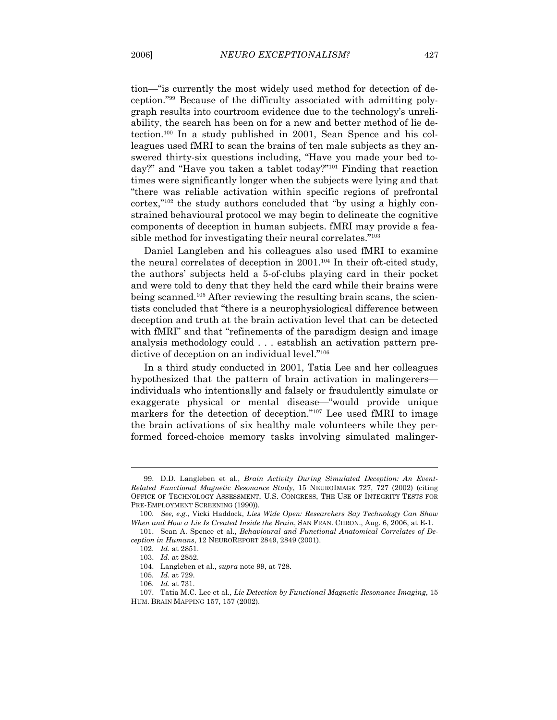tion—"is currently the most widely used method for detection of deception."99 Because of the difficulty associated with admitting polygraph results into courtroom evidence due to the technology's unreliability, the search has been on for a new and better method of lie detection.100 In a study published in 2001, Sean Spence and his colleagues used fMRI to scan the brains of ten male subjects as they answered thirty-six questions including, "Have you made your bed today?" and "Have you taken a tablet today?"101 Finding that reaction times were significantly longer when the subjects were lying and that "there was reliable activation within specific regions of prefrontal cortex,"102 the study authors concluded that "by using a highly constrained behavioural protocol we may begin to delineate the cognitive components of deception in human subjects. fMRI may provide a feasible method for investigating their neural correlates."103

 Daniel Langleben and his colleagues also used fMRI to examine the neural correlates of deception in  $2001$ .<sup>104</sup> In their oft-cited study, the authors' subjects held a 5-of-clubs playing card in their pocket and were told to deny that they held the card while their brains were being scanned.105 After reviewing the resulting brain scans, the scientists concluded that "there is a neurophysiological difference between deception and truth at the brain activation level that can be detected with fMRI" and that "refinements of the paradigm design and image analysis methodology could . . . establish an activation pattern predictive of deception on an individual level."106

 In a third study conducted in 2001, Tatia Lee and her colleagues hypothesized that the pattern of brain activation in malingerers individuals who intentionally and falsely or fraudulently simulate or exaggerate physical or mental disease—"would provide unique markers for the detection of deception."107 Lee used fMRI to image the brain activations of six healthy male volunteers while they performed forced-choice memory tasks involving simulated malinger-

 <sup>99.</sup> D.D. Langleben et al., *Brain Activity During Simulated Deception: An Event-Related Functional Magnetic Resonance Study*, 15 NEUROIMAGE 727, 727 (2002) (citing OFFICE OF TECHNOLOGY ASSESSMENT, U.S. CONGRESS, THE USE OF INTEGRITY TESTS FOR PRE-EMPLOYMENT SCREENING (1990)).

 <sup>100.</sup> *See, e.g.*, Vicki Haddock, *Lies Wide Open: Researchers Say Technology Can Show When and How a Lie Is Created Inside the Brain*, SAN FRAN. CHRON., Aug. 6, 2006, at E-1.

 <sup>101.</sup> Sean A. Spence et al., *Behavioural and Functional Anatomical Correlates of Deception in Humans*, 12 NEUROREPORT 2849, 2849 (2001).

 <sup>102.</sup> *Id*. at 2851.

 <sup>103.</sup> *Id*. at 2852.

 <sup>104.</sup> Langleben et al., *supra* note 99, at 728.

 <sup>105.</sup> *Id*. at 729.

 <sup>106.</sup> *Id*. at 731.

 <sup>107.</sup> Tatia M.C. Lee et al., *Lie Detection by Functional Magnetic Resonance Imaging*, 15 HUM. BRAIN MAPPING 157, 157 (2002).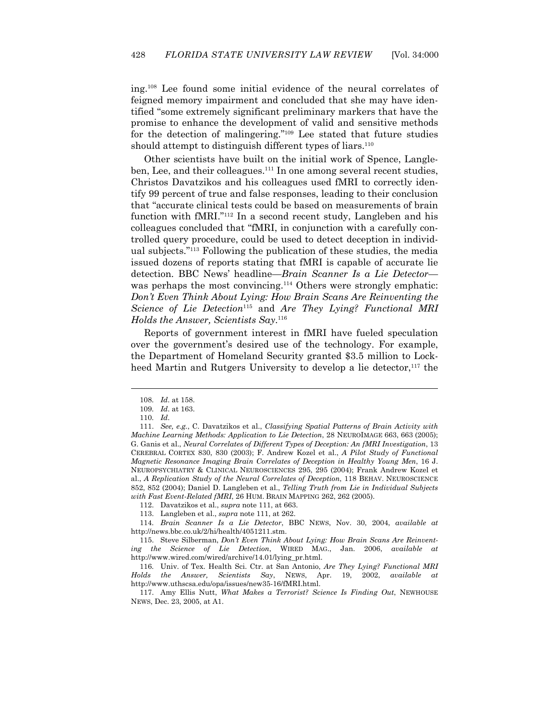ing.108 Lee found some initial evidence of the neural correlates of feigned memory impairment and concluded that she may have identified "some extremely significant preliminary markers that have the promise to enhance the development of valid and sensitive methods for the detection of malingering."109 Lee stated that future studies should attempt to distinguish different types of liars.<sup>110</sup>

 Other scientists have built on the initial work of Spence, Langleben, Lee, and their colleagues.<sup>111</sup> In one among several recent studies, Christos Davatzikos and his colleagues used fMRI to correctly identify 99 percent of true and false responses, leading to their conclusion that "accurate clinical tests could be based on measurements of brain function with fMRI."112 In a second recent study, Langleben and his colleagues concluded that "fMRI, in conjunction with a carefully controlled query procedure, could be used to detect deception in individual subjects."113 Following the publication of these studies, the media issued dozens of reports stating that fMRI is capable of accurate lie detection. BBC News' headline—*Brain Scanner Is a Lie Detector* was perhaps the most convincing.<sup>114</sup> Others were strongly emphatic: *Don't Even Think About Lying: How Brain Scans Are Reinventing the Science of Lie Detection*115 and *Are They Lying? Functional MRI Holds the Answer, Scientists Say*. 116

 Reports of government interest in fMRI have fueled speculation over the government's desired use of the technology. For example, the Department of Homeland Security granted \$3.5 million to Lockheed Martin and Rutgers University to develop a lie detector, $117$  the

 $\overline{a}$ 

112. Davatzikos et al., *supra* note 111, at 663.

 114. *Brain Scanner Is a Lie Detector*, BBC NEWS, Nov. 30, 2004, *available at* http://news.bbc.co.uk/2/hi/health/4051211.stm.

 115. Steve Silberman, *Don't Even Think About Lying: How Brain Scans Are Reinventing the Science of Lie Detection*, WIRED MAG., Jan. 2006, *available at* http://www.wired.com/wired/archive/14.01/lying\_pr.html.

 116. Univ. of Tex. Health Sci. Ctr. at San Antonio, *Are They Lying? Functional MRI Holds the Answer, Scientists Say*, NEWS, Apr. 19, 2002, *available at* http://www.uthscsa.edu/opa/issues/new35-16/fMRI.html.

 117. Amy Ellis Nutt, *What Makes a Terrorist? Science Is Finding Out*, NEWHOUSE NEWS, Dec. 23, 2005, at A1.

 <sup>108.</sup> *Id*. at 158.

 <sup>109.</sup> *Id*. at 163.

 <sup>110.</sup> *Id*.

 <sup>111.</sup> *See, e.g.*, C. Davatzikos et al., *Classifying Spatial Patterns of Brain Activity with Machine Learning Methods: Application to Lie Detection*, 28 NEUROIMAGE 663, 663 (2005); G. Ganis et al., *Neural Correlates of Different Types of Deception: An fMRI Investigation*, 13 CEREBRAL CORTEX 830, 830 (2003); F. Andrew Kozel et al., *A Pilot Study of Functional Magnetic Resonance Imaging Brain Correlates of Deception in Healthy Young Men*, 16 J. NEUROPSYCHIATRY & CLINICAL NEUROSCIENCES 295, 295 (2004); Frank Andrew Kozel et al., *A Replication Study of the Neural Correlates of Deception*, 118 BEHAV. NEUROSCIENCE 852, 852 (2004); Daniel D. Langleben et al., *Telling Truth from Lie in Individual Subjects with Fast Event-Related fMRI*, 26 HUM. BRAIN MAPPING 262, 262 (2005).

 <sup>113.</sup> Langleben et al., *supra* note 111, at 262.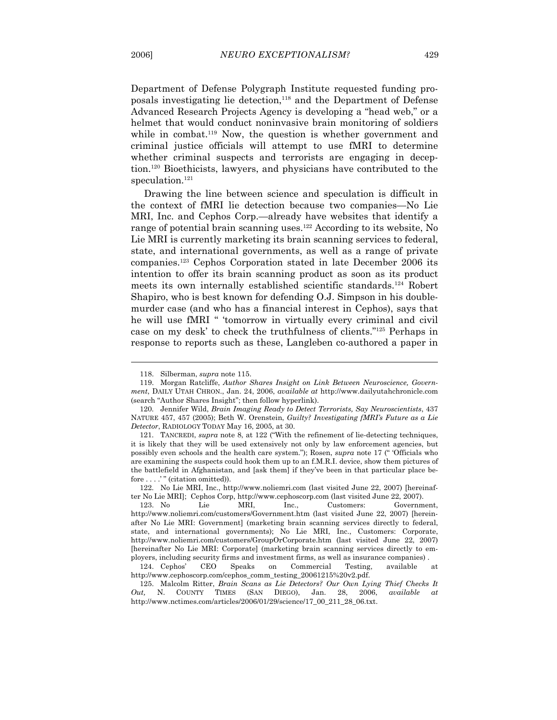Department of Defense Polygraph Institute requested funding proposals investigating lie detection,<sup>118</sup> and the Department of Defense Advanced Research Projects Agency is developing a "head web," or a helmet that would conduct noninvasive brain monitoring of soldiers while in combat.<sup>119</sup> Now, the question is whether government and criminal justice officials will attempt to use fMRI to determine whether criminal suspects and terrorists are engaging in deception.120 Bioethicists, lawyers, and physicians have contributed to the speculation.<sup>121</sup>

 Drawing the line between science and speculation is difficult in the context of fMRI lie detection because two companies—No Lie MRI, Inc. and Cephos Corp.—already have websites that identify a range of potential brain scanning uses.122 According to its website, No Lie MRI is currently marketing its brain scanning services to federal, state, and international governments, as well as a range of private companies.123 Cephos Corporation stated in late December 2006 its intention to offer its brain scanning product as soon as its product meets its own internally established scientific standards.124 Robert Shapiro, who is best known for defending O.J. Simpson in his doublemurder case (and who has a financial interest in Cephos), says that he will use fMRI " 'tomorrow in virtually every criminal and civil case on my desk' to check the truthfulness of clients."125 Perhaps in response to reports such as these, Langleben co-authored a paper in

 <sup>118.</sup> Silberman, *supra* note 115.

 <sup>119.</sup> Morgan Ratcliffe, *Author Shares Insight on Link Between Neuroscience, Government*, DAILY UTAH CHRON., Jan. 24, 2006, *available at* http://www.dailyutahchronicle.com (search "Author Shares Insight"; then follow hyperlink).

 <sup>120.</sup> Jennifer Wild, *Brain Imaging Ready to Detect Terrorists, Say Neuroscientists*, 437 NATURE 457, 457 (2005); Beth W. Orenstein, *Guilty? Investigating fMRI's Future as a Lie Detector*, RADIOLOGY TODAY May 16, 2005, at 30.

 <sup>121.</sup> TANCREDI, *supra* note 8, at 122 ("With the refinement of lie-detecting techniques, it is likely that they will be used extensively not only by law enforcement agencies, but possibly even schools and the health care system."); Rosen, *supra* note 17 (" 'Officials who are examining the suspects could hook them up to an f.M.R.I. device, show them pictures of the battlefield in Afghanistan, and [ask them] if they've been in that particular place before . . . .'" (citation omitted)).

 <sup>122.</sup> No Lie MRI, Inc., http://www.noliemri.com (last visited June 22, 2007) [hereinafter No Lie MRI]; Cephos Corp, http://www.cephoscorp.com (last visited June 22, 2007).

 <sup>123.</sup> No Lie MRI, Inc., Customers: Government, http://www.noliemri.com/customers/Government.htm (last visited June 22, 2007) [hereinafter No Lie MRI: Government] (marketing brain scanning services directly to federal, state, and international governments); No Lie MRI, Inc., Customers: Corporate, http://www.noliemri.com/customers/GroupOrCorporate.htm (last visited June 22, 2007) [hereinafter No Lie MRI: Corporate] (marketing brain scanning services directly to employers, including security firms and investment firms, as well as insurance companies) .

 <sup>124.</sup> Cephos' CEO Speaks on Commercial Testing, available at http://www.cephoscorp.com/cephos\_comm\_testing\_20061215%20v2.pdf.

 <sup>125.</sup> Malcolm Ritter, *Brain Scans as Lie Detectors? Our Own Lying Thief Checks It Out,* N. COUNTY TIMES (SAN DIEGO), Jan. 28, 2006, *available at* http://www.nctimes.com/articles/2006/01/29/science/17\_00\_211\_28\_06.txt.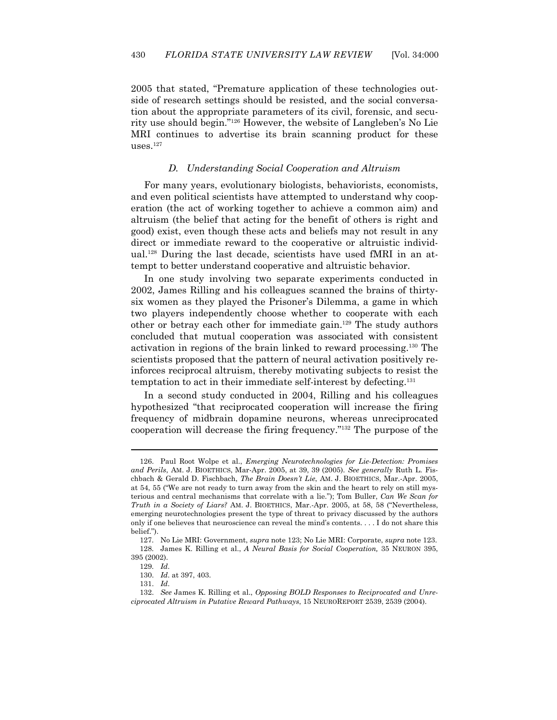2005 that stated, "Premature application of these technologies outside of research settings should be resisted, and the social conversation about the appropriate parameters of its civil, forensic, and security use should begin."126 However, the website of Langleben's No Lie MRI continues to advertise its brain scanning product for these  ${\tt uses.}^{127}$ 

#### *D. Understanding Social Cooperation and Altruism*

 For many years, evolutionary biologists, behaviorists, economists, and even political scientists have attempted to understand why cooperation (the act of working together to achieve a common aim) and altruism (the belief that acting for the benefit of others is right and good) exist, even though these acts and beliefs may not result in any direct or immediate reward to the cooperative or altruistic individual.128 During the last decade, scientists have used fMRI in an attempt to better understand cooperative and altruistic behavior.

 In one study involving two separate experiments conducted in 2002, James Rilling and his colleagues scanned the brains of thirtysix women as they played the Prisoner's Dilemma, a game in which two players independently choose whether to cooperate with each other or betray each other for immediate gain.129 The study authors concluded that mutual cooperation was associated with consistent activation in regions of the brain linked to reward processing.130 The scientists proposed that the pattern of neural activation positively reinforces reciprocal altruism, thereby motivating subjects to resist the temptation to act in their immediate self-interest by defecting.131

 In a second study conducted in 2004, Rilling and his colleagues hypothesized "that reciprocated cooperation will increase the firing frequency of midbrain dopamine neurons, whereas unreciprocated cooperation will decrease the firing frequency."132 The purpose of the

 <sup>126.</sup> Paul Root Wolpe et al., *Emerging Neurotechnologies for Lie-Detection: Promises and Perils*, AM. J. BIOETHICS, Mar-Apr. 2005, at 39, 39 (2005). *See generally* Ruth L. Fischbach & Gerald D. Fischbach, *The Brain Doesn't Lie*, AM. J. BIOETHICS, Mar.-Apr. 2005, at 54, 55 ("We are not ready to turn away from the skin and the heart to rely on still mysterious and central mechanisms that correlate with a lie."); Tom Buller, *Can We Scan for Truth in a Society of Liars?* AM. J. BIOETHICS, Mar.-Apr. 2005, at 58, 58 ("Nevertheless, emerging neurotechnologies present the type of threat to privacy discussed by the authors only if one believes that neuroscience can reveal the mind's contents. . . . I do not share this belief.").

 <sup>127.</sup> No Lie MRI: Government, *supra* note 123; No Lie MRI: Corporate, *supra* note 123. 128. James K. Rilling et al., *A Neural Basis for Social Cooperation,* 35 NEURON 395, 395 (2002).

 <sup>129.</sup> *Id*.

 <sup>130.</sup> *Id*. at 397, 403.

 <sup>131.</sup> *Id*.

 <sup>132.</sup> *See* James K. Rilling et al., *Opposing BOLD Responses to Reciprocated and Unreciprocated Altruism in Putative Reward Pathways*, 15 NEUROREPORT 2539, 2539 (2004).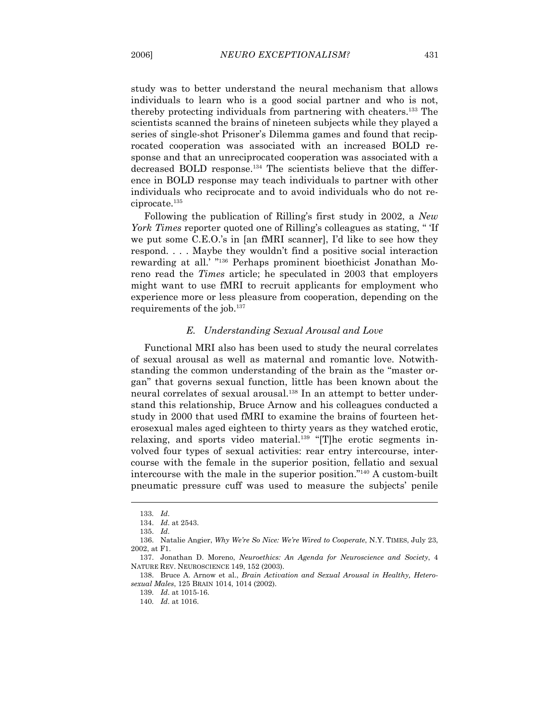study was to better understand the neural mechanism that allows individuals to learn who is a good social partner and who is not, thereby protecting individuals from partnering with cheaters.133 The scientists scanned the brains of nineteen subjects while they played a series of single-shot Prisoner's Dilemma games and found that reciprocated cooperation was associated with an increased BOLD response and that an unreciprocated cooperation was associated with a decreased BOLD response.134 The scientists believe that the difference in BOLD response may teach individuals to partner with other individuals who reciprocate and to avoid individuals who do not reciprocate.135

 Following the publication of Rilling's first study in 2002, a *New York Times* reporter quoted one of Rilling's colleagues as stating, " 'If we put some C.E.O.'s in [an fMRI scanner], I'd like to see how they respond. . . . Maybe they wouldn't find a positive social interaction rewarding at all.' "136 Perhaps prominent bioethicist Jonathan Moreno read the *Times* article; he speculated in 2003 that employers might want to use fMRI to recruit applicants for employment who experience more or less pleasure from cooperation, depending on the requirements of the job.137

#### *E. Understanding Sexual Arousal and Love*

 Functional MRI also has been used to study the neural correlates of sexual arousal as well as maternal and romantic love. Notwithstanding the common understanding of the brain as the "master organ" that governs sexual function, little has been known about the neural correlates of sexual arousal.<sup>138</sup> In an attempt to better understand this relationship, Bruce Arnow and his colleagues conducted a study in 2000 that used fMRI to examine the brains of fourteen heterosexual males aged eighteen to thirty years as they watched erotic, relaxing, and sports video material.<sup>139</sup> "[T]he erotic segments involved four types of sexual activities: rear entry intercourse, intercourse with the female in the superior position, fellatio and sexual intercourse with the male in the superior position."140 A custom-built pneumatic pressure cuff was used to measure the subjects' penile

 <sup>133.</sup> *Id*.

 <sup>134.</sup> *Id*. at 2543.

 <sup>135.</sup> *Id*.

 <sup>136.</sup> Natalie Angier, *Why We're So Nice: We're Wired to Cooperate*, N.Y. TIMES, July 23, 2002, at F1.

 <sup>137.</sup> Jonathan D. Moreno, *Neuroethics: An Agenda for Neuroscience and Society*, 4 NATURE REV. NEUROSCIENCE 149, 152 (2003).

 <sup>138.</sup> Bruce A. Arnow et al., *Brain Activation and Sexual Arousal in Healthy, Heterosexual Males*, 125 BRAIN 1014, 1014 (2002).

 <sup>139.</sup> *Id*. at 1015-16.

 <sup>140.</sup> *Id*. at 1016.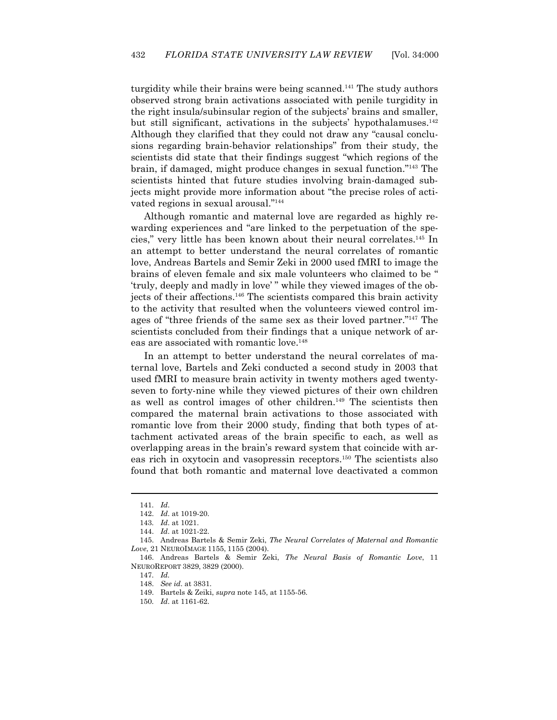turgidity while their brains were being scanned.<sup>141</sup> The study authors observed strong brain activations associated with penile turgidity in the right insula/subinsular region of the subjects' brains and smaller, but still significant, activations in the subjects' hypothalamuses.<sup>142</sup> Although they clarified that they could not draw any "causal conclusions regarding brain-behavior relationships" from their study, the scientists did state that their findings suggest "which regions of the brain, if damaged, might produce changes in sexual function."143 The scientists hinted that future studies involving brain-damaged subjects might provide more information about "the precise roles of activated regions in sexual arousal."144

 Although romantic and maternal love are regarded as highly rewarding experiences and "are linked to the perpetuation of the species," very little has been known about their neural correlates.145 In an attempt to better understand the neural correlates of romantic love, Andreas Bartels and Semir Zeki in 2000 used fMRI to image the brains of eleven female and six male volunteers who claimed to be " 'truly, deeply and madly in love' " while they viewed images of the objects of their affections.<sup>146</sup> The scientists compared this brain activity to the activity that resulted when the volunteers viewed control images of "three friends of the same sex as their loved partner."147 The scientists concluded from their findings that a unique network of areas are associated with romantic love.<sup>148</sup>

 In an attempt to better understand the neural correlates of maternal love, Bartels and Zeki conducted a second study in 2003 that used fMRI to measure brain activity in twenty mothers aged twentyseven to forty-nine while they viewed pictures of their own children as well as control images of other children.<sup>149</sup> The scientists then compared the maternal brain activations to those associated with romantic love from their 2000 study, finding that both types of attachment activated areas of the brain specific to each, as well as overlapping areas in the brain's reward system that coincide with areas rich in oxytocin and vasopressin receptors.150 The scientists also found that both romantic and maternal love deactivated a common

 <sup>141.</sup> *Id*.

 <sup>142.</sup> *Id*. at 1019-20.

 <sup>143.</sup> *Id*. at 1021.

 <sup>144.</sup> *Id*. at 1021-22.

 <sup>145.</sup> Andreas Bartels & Semir Zeki, *The Neural Correlates of Maternal and Romantic Love*, 21 NEUROIMAGE 1155, 1155 (2004).

 <sup>146.</sup> Andreas Bartels & Semir Zeki, *The Neural Basis of Romantic Love*, 11 NEUROREPORT 3829, 3829 (2000).

 <sup>147.</sup> *Id.*

 <sup>148.</sup> *See id*. at 3831.

 <sup>149.</sup> Bartels & Zeiki, *supra* note 145, at 1155-56.

 <sup>150.</sup> *Id*. at 1161-62.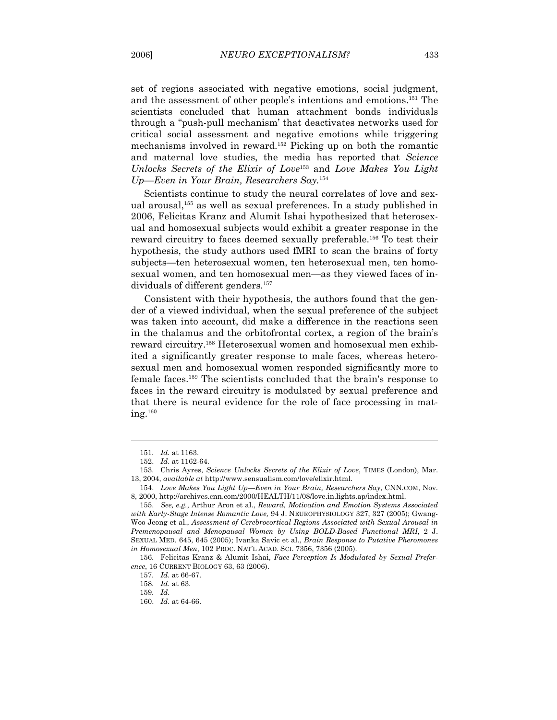set of regions associated with negative emotions, social judgment, and the assessment of other people's intentions and emotions.151 The scientists concluded that human attachment bonds individuals through a "push-pull mechanism' that deactivates networks used for critical social assessment and negative emotions while triggering mechanisms involved in reward.152 Picking up on both the romantic and maternal love studies, the media has reported that *Science Unlocks Secrets of the Elixir of Love*153 and *Love Makes You Light Up—Even in Your Brain, Researchers Say.*<sup>154</sup>

 Scientists continue to study the neural correlates of love and sexual arousal,<sup>155</sup> as well as sexual preferences. In a study published in 2006, Felicitas Kranz and Alumit Ishai hypothesized that heterosexual and homosexual subjects would exhibit a greater response in the reward circuitry to faces deemed sexually preferable.156 To test their hypothesis, the study authors used fMRI to scan the brains of forty subjects—ten heterosexual women, ten heterosexual men, ten homosexual women, and ten homosexual men—as they viewed faces of individuals of different genders.<sup>157</sup>

 Consistent with their hypothesis, the authors found that the gender of a viewed individual, when the sexual preference of the subject was taken into account, did make a difference in the reactions seen in the thalamus and the orbitofrontal cortex, a region of the brain's reward circuitry.158 Heterosexual women and homosexual men exhibited a significantly greater response to male faces, whereas heterosexual men and homosexual women responded significantly more to female faces.159 The scientists concluded that the brain's response to faces in the reward circuitry is modulated by sexual preference and that there is neural evidence for the role of face processing in mating. $160$ 

 <sup>151.</sup> *Id.* at 1163.

 <sup>152.</sup> *Id*. at 1162-64.

 <sup>153.</sup> Chris Ayres, *Science Unlocks Secrets of the Elixir of Love*, TIMES (London), Mar. 13, 2004, *available at* http://www.sensualism.com/love/elixir.html.

 <sup>154.</sup> *Love Makes You Light Up—Even in Your Brain, Researchers Say*, CNN.COM, Nov. 8, 2000, http://archives.cnn.com/2000/HEALTH/11/08/love.in.lights.ap/index.html.

 <sup>155.</sup> *See, e.g.*, Arthur Aron et al., *Reward, Motivation and Emotion Systems Associated with Early-Stage Intense Romantic Love,* 94 J. NEUROPHYSIOLOGY 327, 327 (2005); Gwang-Woo Jeong et al., *Assessment of Cerebrocortical Regions Associated with Sexual Arousal in Premenopausal and Menopausal Women by Using BOLD-Based Functional MRI*, 2 J. SEXUAL MED. 645, 645 (2005); Ivanka Savic et al., *Brain Response to Putative Pheromones in Homosexual Men*, 102 PROC. NAT'L ACAD. SCI. 7356, 7356 (2005).

 <sup>156.</sup> Felicitas Kranz & Alumit Ishai, *Face Perception Is Modulated by Sexual Preference*, 16 CURRENT BIOLOGY 63, 63 (2006).

 <sup>157.</sup> *Id*. at 66-67.

 <sup>158.</sup> *Id*. at 63.

 <sup>159.</sup> *Id*.

 <sup>160.</sup> *Id*. at 64-66.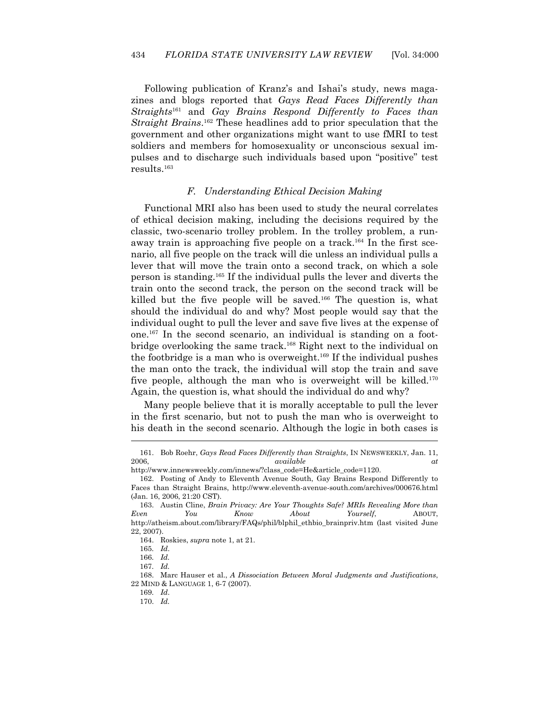Following publication of Kranz's and Ishai's study, news magazines and blogs reported that *Gays Read Faces Differently than Straights*161 and *Gay Brains Respond Differently to Faces than Straight Brains*. 162 These headlines add to prior speculation that the government and other organizations might want to use fMRI to test soldiers and members for homosexuality or unconscious sexual impulses and to discharge such individuals based upon "positive" test results.163

#### *F. Understanding Ethical Decision Making*

 Functional MRI also has been used to study the neural correlates of ethical decision making, including the decisions required by the classic, two-scenario trolley problem. In the trolley problem, a runaway train is approaching five people on a track.164 In the first scenario, all five people on the track will die unless an individual pulls a lever that will move the train onto a second track, on which a sole person is standing.165 If the individual pulls the lever and diverts the train onto the second track, the person on the second track will be killed but the five people will be saved.<sup>166</sup> The question is, what should the individual do and why? Most people would say that the individual ought to pull the lever and save five lives at the expense of one.167 In the second scenario, an individual is standing on a footbridge overlooking the same track.168 Right next to the individual on the footbridge is a man who is overweight.<sup>169</sup> If the individual pushes the man onto the track, the individual will stop the train and save five people, although the man who is overweight will be killed.170 Again, the question is, what should the individual do and why?

 Many people believe that it is morally acceptable to pull the lever in the first scenario, but not to push the man who is overweight to his death in the second scenario. Although the logic in both cases is

 <sup>161.</sup> Bob Roehr, *Gays Read Faces Differently than Straights*, IN NEWSWEEKLY, Jan. 11, 2006, *available at*

http://www.innewsweekly.com/innews/?class\_code=He&article\_code=1120.

 <sup>162.</sup> Posting of Andy to Eleventh Avenue South, Gay Brains Respond Differently to Faces than Straight Brains, http://www.eleventh-avenue-south.com/archives/000676.html (Jan. 16, 2006, 21:20 CST).

 <sup>163.</sup> Austin Cline, *Brain Privacy: Are Your Thoughts Safe? MRIs Revealing More than Even You Know About Yourself*, ABOUT, http://atheism.about.com/library/FAQs/phil/blphil\_ethbio\_brainpriv.htm (last visited June 22, 2007).

 <sup>164.</sup> Roskies, *supra* note 1, at 21.

 <sup>165.</sup> *Id*.

 <sup>166.</sup> *Id.* 

 <sup>167.</sup> *Id.* 

 <sup>168.</sup> Marc Hauser et al., *A Dissociation Between Moral Judgments and Justifications*, 22 MIND & LANGUAGE 1, 6-7 (2007).

 <sup>169.</sup> *Id*.

 <sup>170.</sup> *Id.*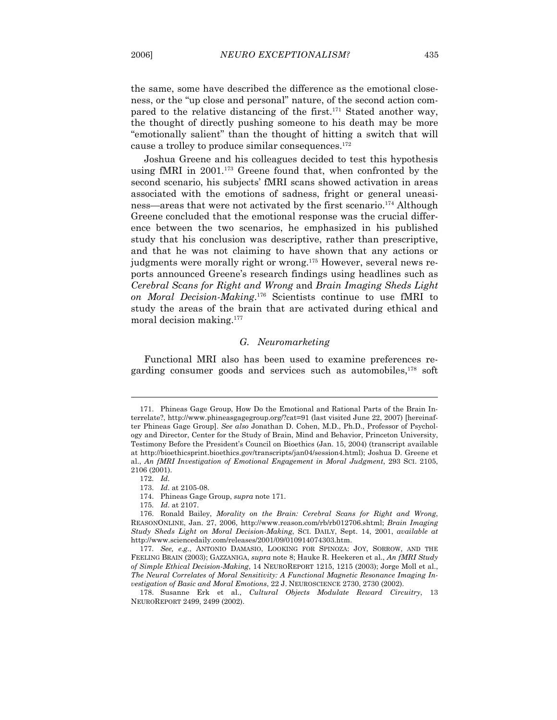the same, some have described the difference as the emotional closeness, or the "up close and personal" nature, of the second action compared to the relative distancing of the first.<sup>171</sup> Stated another way, the thought of directly pushing someone to his death may be more "emotionally salient" than the thought of hitting a switch that will cause a trolley to produce similar consequences.172

 Joshua Greene and his colleagues decided to test this hypothesis using fMRI in 2001.173 Greene found that, when confronted by the second scenario, his subjects' fMRI scans showed activation in areas associated with the emotions of sadness, fright or general uneasiness—areas that were not activated by the first scenario.174 Although Greene concluded that the emotional response was the crucial difference between the two scenarios, he emphasized in his published study that his conclusion was descriptive, rather than prescriptive, and that he was not claiming to have shown that any actions or judgments were morally right or wrong.<sup>175</sup> However, several news reports announced Greene's research findings using headlines such as *Cerebral Scans for Right and Wrong* and *Brain Imaging Sheds Light on Moral Decision-Making*. <sup>176</sup> Scientists continue to use fMRI to study the areas of the brain that are activated during ethical and moral decision making.177

#### *G. Neuromarketing*

Functional MRI also has been used to examine preferences regarding consumer goods and services such as automobiles,<sup>178</sup> soft

- 174. Phineas Gage Group, *supra* note 171.
- 175. *Id*. at 2107.

 <sup>171.</sup> Phineas Gage Group, How Do the Emotional and Rational Parts of the Brain Interrelate?, http://www.phineasgagegroup.org/?cat=91 (last visited June 22, 2007) [hereinafter Phineas Gage Group]. *See also* Jonathan D. Cohen, M.D., Ph.D., Professor of Psychology and Director, Center for the Study of Brain, Mind and Behavior, Princeton University, Testimony Before the President's Council on Bioethics (Jan. 15, 2004) (transcript available at http://bioethicsprint.bioethics.gov/transcripts/jan04/session4.html); Joshua D. Greene et al., *An fMRI Investigation of Emotional Engagement in Moral Judgment*, 293 SCI. 2105, 2106 (2001).

 <sup>172.</sup> *Id*.

 <sup>173.</sup> *Id*. at 2105-08.

 <sup>176.</sup> Ronald Bailey, *Morality on the Brain: Cerebral Scans for Right and Wrong*, REASONONLINE, Jan. 27, 2006, http://www.reason.com/rb/rb012706.shtml; *Brain Imaging Study Sheds Light on Moral Decision-Making*, SCI. DAILY, Sept. 14, 2001, *available at* http://www.sciencedaily.com/releases/2001/09/010914074303.htm.

 <sup>177.</sup> *See, e.g.*, ANTONIO DAMASIO, LOOKING FOR SPINOZA: JOY, SORROW, AND THE FEELING BRAIN (2003); GAZZANIGA, *supra* note 8; Hauke R. Heekeren et al., *An fMRI Study of Simple Ethical Decision-Making*, 14 NEUROREPORT 1215, 1215 (2003); Jorge Moll et al., *The Neural Correlates of Moral Sensitivity: A Functional Magnetic Resonance Imaging Investigation of Basic and Moral Emotions*, 22 J. NEUROSCIENCE 2730, 2730 (2002).

 <sup>178.</sup> Susanne Erk et al., *Cultural Objects Modulate Reward Circuitry*, 13 NEUROREPORT 2499, 2499 (2002).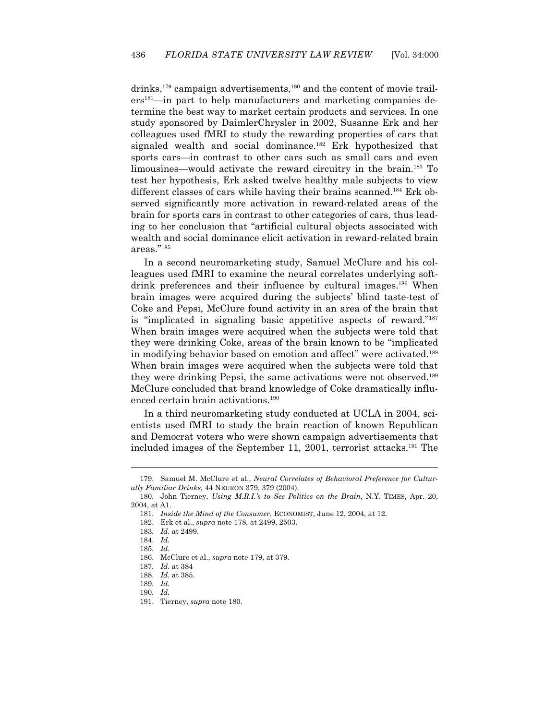drinks,<sup>179</sup> campaign advertisements,<sup>180</sup> and the content of movie trailers181—in part to help manufacturers and marketing companies determine the best way to market certain products and services. In one study sponsored by DaimlerChrysler in 2002, Susanne Erk and her colleagues used fMRI to study the rewarding properties of cars that signaled wealth and social dominance.<sup>182</sup> Erk hypothesized that sports cars—in contrast to other cars such as small cars and even limousines—would activate the reward circuitry in the brain.183 To test her hypothesis, Erk asked twelve healthy male subjects to view different classes of cars while having their brains scanned.184 Erk observed significantly more activation in reward-related areas of the brain for sports cars in contrast to other categories of cars, thus leading to her conclusion that "artificial cultural objects associated with wealth and social dominance elicit activation in reward-related brain areas."185

 In a second neuromarketing study, Samuel McClure and his colleagues used fMRI to examine the neural correlates underlying softdrink preferences and their influence by cultural images.<sup>186</sup> When brain images were acquired during the subjects' blind taste-test of Coke and Pepsi, McClure found activity in an area of the brain that is "implicated in signaling basic appetitive aspects of reward."187 When brain images were acquired when the subjects were told that they were drinking Coke, areas of the brain known to be "implicated in modifying behavior based on emotion and affect" were activated.<sup>188</sup> When brain images were acquired when the subjects were told that they were drinking Pepsi, the same activations were not observed.189 McClure concluded that brand knowledge of Coke dramatically influenced certain brain activations.190

 In a third neuromarketing study conducted at UCLA in 2004, scientists used fMRI to study the brain reaction of known Republican and Democrat voters who were shown campaign advertisements that included images of the September 11, 2001, terrorist attacks.191 The

 <sup>179.</sup> Samuel M. McClure et al., *Neural Correlates of Behavioral Preference for Culturally Familiar Drinks*, 44 NEURON 379, 379 (2004).

 <sup>180.</sup> John Tierney, *Using M.R.I.'s to See Politics on the Brain*, N.Y. TIMES, Apr. 20, 2004, at A1.

 <sup>181.</sup> *Inside the Mind of the Consumer*, ECONOMIST, June 12, 2004, at 12.

 <sup>182.</sup> Erk et al., *supra* note 178, at 2499, 2503.

 <sup>183.</sup> *Id*. at 2499.

 <sup>184.</sup> *Id.* 

 <sup>185.</sup> *Id*.

 <sup>186.</sup> McClure et al., *supra* note 179, at 379.

 <sup>187.</sup> *Id*. at 384

 <sup>188.</sup> *Id.* at 385.

 <sup>189.</sup> *Id.* 

 <sup>190.</sup> *Id.*

 <sup>191.</sup> Tierney, *supra* note 180.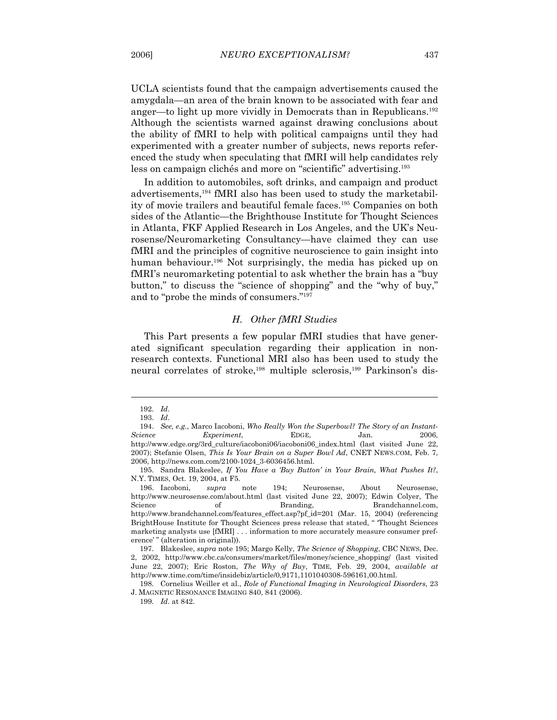UCLA scientists found that the campaign advertisements caused the amygdala—an area of the brain known to be associated with fear and anger—to light up more vividly in Democrats than in Republicans.192 Although the scientists warned against drawing conclusions about the ability of fMRI to help with political campaigns until they had experimented with a greater number of subjects, news reports referenced the study when speculating that fMRI will help candidates rely less on campaign clichés and more on "scientific" advertising.193

 In addition to automobiles, soft drinks, and campaign and product advertisements,194 fMRI also has been used to study the marketability of movie trailers and beautiful female faces.195 Companies on both sides of the Atlantic—the Brighthouse Institute for Thought Sciences in Atlanta, FKF Applied Research in Los Angeles, and the UK's Neurosense/Neuromarketing Consultancy—have claimed they can use fMRI and the principles of cognitive neuroscience to gain insight into human behaviour.196 Not surprisingly, the media has picked up on fMRI's neuromarketing potential to ask whether the brain has a "buy button," to discuss the "science of shopping" and the "why of buy," and to "probe the minds of consumers."197

#### *H. Other fMRI Studies*

 This Part presents a few popular fMRI studies that have generated significant speculation regarding their application in nonresearch contexts. Functional MRI also has been used to study the neural correlates of stroke,198 multiple sclerosis,199 Parkinson's dis-

 <sup>192.</sup> *Id*.

 <sup>193.</sup> *Id*.

 <sup>194.</sup> *See, e.g.*, Marco Iacoboni, *Who Really Won the Superbowl? The Story of an Instant-Science Experiment*, EDGE, Jan. 2006, http://www.edge.org/3rd\_culture/iacoboni06/iacoboni06\_index.html (last visited June 22, 2007); Stefanie Olsen, *This Is Your Brain on a Super Bowl Ad*, CNET NEWS.COM, Feb. 7, 2006, http://news.com.com/2100-1024\_3-6036456.html.

 <sup>195.</sup> Sandra Blakeslee, *If You Have a 'Buy Button' in Your Brain, What Pushes It?*, N.Y. TIMES, Oct. 19, 2004, at F5.

 <sup>196.</sup> Iacoboni, *supra* note 194; Neurosense, About Neurosense, http://www.neurosense.com/about.html (last visited June 22, 2007); Edwin Colyer, The Science of Branding, Brandchannel.com, http://www.brandchannel.com/features\_effect.asp?pf\_id=201 (Mar. 15, 2004) (referencing BrightHouse Institute for Thought Sciences press release that stated, " 'Thought Sciences marketing analysts use [fMRI] . . . information to more accurately measure consumer preference'" (alteration in original)).

 <sup>197.</sup> Blakeslee, *supra* note 195; Margo Kelly, *The Science of Shopping*, CBC NEWS, Dec. 2, 2002, http://www.cbc.ca/consumers/market/files/money/science\_shopping/ (last visited June 22, 2007); Eric Roston, *The Why of Buy*, TIME, Feb. 29, 2004, *available at* http://www.time.com/time/insidebiz/article/0,9171,1101040308-596161,00.html.

 <sup>198.</sup> Cornelius Weiller et al., *Role of Functional Imaging in Neurological Disorders*, 23 J. MAGNETIC RESONANCE IMAGING 840, 841 (2006).

 <sup>199.</sup> *Id*. at 842.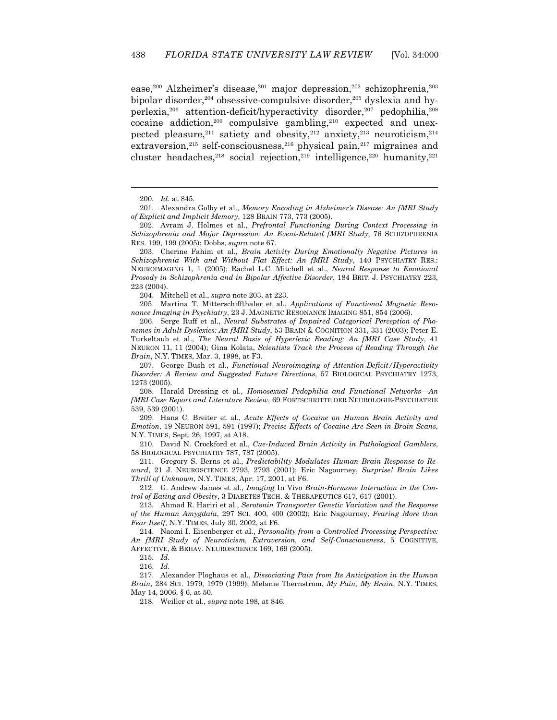ease,<sup>200</sup> Alzheimer's disease,<sup>201</sup> major depression,<sup>202</sup> schizophrenia,<sup>203</sup> bipolar disorder,<sup>204</sup> obsessive-compulsive disorder,<sup>205</sup> dyslexia and hyperlexia,<sup>206</sup> attention-deficit/hyperactivity disorder,<sup>207</sup> pedophilia,<sup>208</sup> cocaine addiction,<sup>209</sup> compulsive gambling,<sup>210</sup> expected and unexpected pleasure,<sup>211</sup> satiety and obesity,<sup>212</sup> anxiety,<sup>213</sup> neuroticism,<sup>214</sup> extraversion,<sup>215</sup> self-consciousness,<sup>216</sup> physical pain,<sup>217</sup> migraines and cluster headaches,<sup>218</sup> social rejection,<sup>219</sup> intelligence,<sup>220</sup> humanity,<sup>221</sup>

 $\overline{a}$ 

 203. Cherine Fahim et al., *Brain Activity During Emotionally Negative Pictures in Schizophrenia With and Without Flat Effect: An fMRI Study*, 140 PSYCHIATRY RES.: NEUROIMAGING 1, 1 (2005); Rachel L.C. Mitchell et al., *Neural Response to Emotional Prosody in Schizophrenia and in Bipolar Affective Disorder*, 184 BRIT. J. PSYCHIATRY 223, 223 (2004).

204. Mitchell et al., *supra* note 203, at 223.

 205. Martina T. Mitterschiffthaler et al., *Applications of Functional Magnetic Resonance Imaging in Psychiatry*, 23 J. MAGNETIC RESONANCE IMAGING 851, 854 (2006).

 206. Serge Ruff et al., *Neural Substrates of Impaired Categorical Perception of Phonemes in Adult Dyslexics: An fMRI Study*, 53 BRAIN & COGNITION 331, 331 (2003); Peter E. Turkeltaub et al., *The Neural Basis of Hyperlexic Reading: An fMRI Case Study*, 41 NEURON 11, 11 (2004); Gina Kolata, *Scientists Track the Process of Reading Through the Brain*, N.Y. TIMES, Mar. 3, 1998, at F3.

 207. George Bush et al., *Functional Neuroimaging of Attention-Deficit/Hyperactivity Disorder: A Review and Suggested Future Directions*, 57 BIOLOGICAL PSYCHIATRY 1273, 1273 (2005).

 208. Harald Dressing et al., *Homosexual Pedophilia and Functional Networks*—*An fMRI Case Report and Literature Review*, 69 FORTSCHRITTE DER NEUROLOGIE-PSYCHIATRIE 539, 539 (2001).

 209. Hans C. Breiter et al., *Acute Effects of Cocaine on Human Brain Activity and Emotion*, 19 NEURON 591, 591 (1997); *Precise Effects of Cocaine Are Seen in Brain Scans*, N.Y. TIMES, Sept. 26, 1997, at A18.

 210. David N. Crockford et al., *Cue-Induced Brain Activity in Pathological Gamblers*, 58 BIOLOGICAL PSYCHIATRY 787, 787 (2005).

 211. Gregory S. Berns et al., *Predictability Modulates Human Brain Response to Reward*, 21 J. NEUROSCIENCE 2793, 2793 (2001); Eric Nagourney, *Surprise! Brain Likes Thrill of Unknown*, N.Y. TIMES, Apr. 17, 2001, at F6.

 212. G. Andrew James et al., *Imaging* In Vivo *Brain-Hormone Interaction in the Control of Eating and Obesity*, 3 DIABETES TECH. & THERAPEUTICS 617, 617 (2001).

 213. Ahmad R. Hariri et al., *Serotonin Transporter Genetic Variation and the Response of the Human Amygdala*, 297 SCI. 400, 400 (2002); Eric Nagourney, *Fearing More than Fear Itself*, N.Y. TIMES, July 30, 2002, at F6.

 214. Naomi I. Eisenberger et al., *Personality from a Controlled Processing Perspective: An fMRI Study of Neuroticism, Extraversion, and Self-Consciousness*, 5 COGNITIVE, AFFECTIVE, & BEHAV. NEUROSCIENCE 169, 169 (2005).

215. *Id*.

216. *Id*.

 217. Alexander Ploghaus et al., *Dissociating Pain from Its Anticipation in the Human Brain*, 284 SCI. 1979, 1979 (1999); Melanie Thernstrom, *My Pain, My Brain*, N.Y. TIMES, May 14, 2006, § 6, at 50.

218. Weiller et al., *supra* note 198, at 846.

 <sup>200.</sup> *Id*. at 845.

 <sup>201.</sup> Alexandra Golby et al., *Memory Encoding in Alzheimer's Disease: An fMRI Study of Explicit and Implicit Memory*, 128 BRAIN 773, 773 (2005).

 <sup>202.</sup> Avram J. Holmes et al., *Prefrontal Functioning During Context Processing in Schizophrenia and Major Depression: An Event-Related fMRI Study*, 76 SCHIZOPHRENIA RES. 199, 199 (2005); Dobbs, *supra* note 67.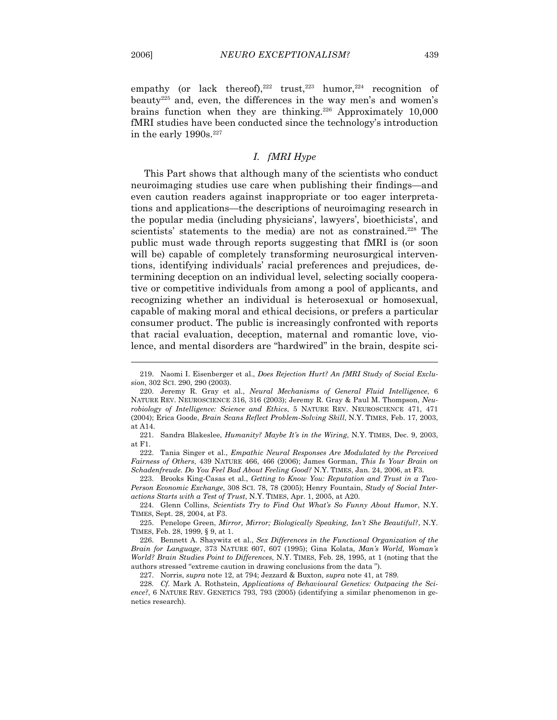$\overline{a}$ 

empathy (or lack thereof),  $222$  trust,  $223$  humor,  $224$  recognition of beauty<sup>225</sup> and, even, the differences in the way men's and women's brains function when they are thinking.<sup>226</sup> Approximately  $10,000$ fMRI studies have been conducted since the technology's introduction in the early  $1990s.^{227}$ 

#### *I. fMRI Hype*

 This Part shows that although many of the scientists who conduct neuroimaging studies use care when publishing their findings—and even caution readers against inappropriate or too eager interpretations and applications—the descriptions of neuroimaging research in the popular media (including physicians', lawyers', bioethicists', and scientists' statements to the media) are not as constrained.<sup>228</sup> The public must wade through reports suggesting that fMRI is (or soon will be) capable of completely transforming neurosurgical interventions, identifying individuals' racial preferences and prejudices, determining deception on an individual level, selecting socially cooperative or competitive individuals from among a pool of applicants, and recognizing whether an individual is heterosexual or homosexual, capable of making moral and ethical decisions, or prefers a particular consumer product. The public is increasingly confronted with reports that racial evaluation, deception, maternal and romantic love, violence, and mental disorders are "hardwired" in the brain, despite sci-

 222. Tania Singer et al., *Empathic Neural Responses Are Modulated by the Perceived Fairness of Others*, 439 NATURE 466, 466 (2006); James Gorman, *This Is Your Brain on Schadenfreude. Do You Feel Bad About Feeling Good?* N.Y. TIMES, Jan. 24, 2006, at F3.

 223. Brooks King-Casas et al., *Getting to Know You: Reputation and Trust in a Two-Person Economic Exchange*, 308 SCI. 78, 78 (2005); Henry Fountain, *Study of Social Interactions Starts with a Test of Trust*, N.Y. TIMES, Apr. 1, 2005, at A20.

 224. Glenn Collins, *Scientists Try to Find Out What's So Funny About Humor*, N.Y. TIMES, Sept. 28, 2004, at F3.

 225. Penelope Green, *Mirror, Mirror; Biologically Speaking, Isn't She Beautiful?*, N.Y. TIMES, Feb. 28, 1999, § 9, at 1.

 226. Bennett A. Shaywitz et al., *Sex Differences in the Functional Organization of the Brain for Language*, 373 NATURE 607, 607 (1995); Gina Kolata, *Man's World, Woman's World? Brain Studies Point to Differences*, N.Y. TIMES, Feb. 28, 1995, at 1 (noting that the authors stressed "extreme caution in drawing conclusions from the data ").

227. Norris, *supra* note 12, at 794; Jezzard & Buxton, *supra* note 41, at 789.

 228. *Cf.* Mark A. Rothstein, *Applications of Behavioural Genetics: Outpacing the Science?*, 6 NATURE REV. GENETICS 793, 793 (2005) (identifying a similar phenomenon in genetics research).

 <sup>219.</sup> Naomi I. Eisenberger et al., *Does Rejection Hurt? An fMRI Study of Social Exclusion*, 302 SCI. 290, 290 (2003).

 <sup>220.</sup> Jeremy R. Gray et al., *Neural Mechanisms of General Fluid Intelligence*, 6 NATURE REV. NEUROSCIENCE 316, 316 (2003); Jeremy R. Gray & Paul M. Thompson, *Neurobiology of Intelligence: Science and Ethics*, 5 NATURE REV. NEUROSCIENCE 471, 471 (2004); Erica Goode, *Brain Scans Reflect Problem-Solving Skill*, N.Y. TIMES, Feb. 17, 2003, at A14.

 <sup>221.</sup> Sandra Blakeslee, *Humanity? Maybe It's in the Wiring*, N.Y. TIMES, Dec. 9, 2003, at F1.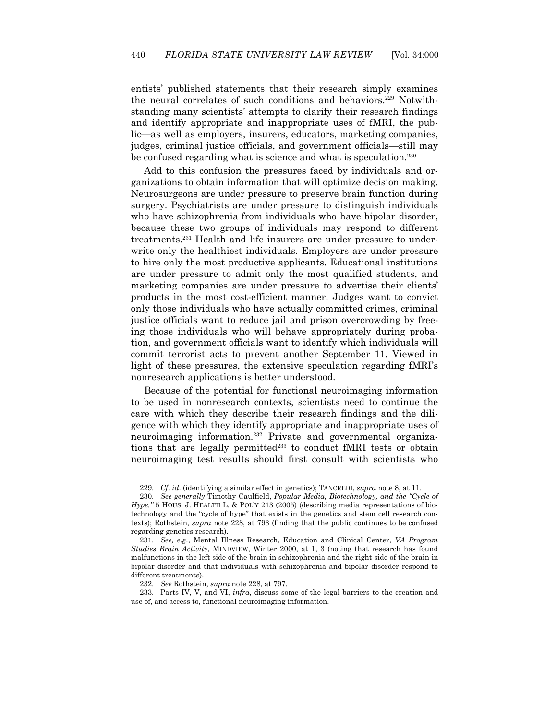entists' published statements that their research simply examines the neural correlates of such conditions and behaviors.<sup>229</sup> Notwithstanding many scientists' attempts to clarify their research findings and identify appropriate and inappropriate uses of fMRI, the public—as well as employers, insurers, educators, marketing companies, judges, criminal justice officials, and government officials—still may be confused regarding what is science and what is speculation.<sup>230</sup>

 Add to this confusion the pressures faced by individuals and organizations to obtain information that will optimize decision making. Neurosurgeons are under pressure to preserve brain function during surgery. Psychiatrists are under pressure to distinguish individuals who have schizophrenia from individuals who have bipolar disorder, because these two groups of individuals may respond to different treatments.231 Health and life insurers are under pressure to underwrite only the healthiest individuals. Employers are under pressure to hire only the most productive applicants. Educational institutions are under pressure to admit only the most qualified students, and marketing companies are under pressure to advertise their clients' products in the most cost-efficient manner. Judges want to convict only those individuals who have actually committed crimes, criminal justice officials want to reduce jail and prison overcrowding by freeing those individuals who will behave appropriately during probation, and government officials want to identify which individuals will commit terrorist acts to prevent another September 11. Viewed in light of these pressures, the extensive speculation regarding fMRI's nonresearch applications is better understood.

 Because of the potential for functional neuroimaging information to be used in nonresearch contexts, scientists need to continue the care with which they describe their research findings and the diligence with which they identify appropriate and inappropriate uses of neuroimaging information.232 Private and governmental organizations that are legally permitted<sup>233</sup> to conduct fMRI tests or obtain neuroimaging test results should first consult with scientists who

232. *See* Rothstein, *supra* note 228, at 797.

 <sup>229.</sup> *Cf. id*. (identifying a similar effect in genetics); TANCREDI, *supra* note 8, at 11.

 <sup>230.</sup> *See generally* Timothy Caulfield, *Popular Media, Biotechnology, and the "Cycle of Hype,"* 5 HOUS. J. HEALTH L. & POL'Y 213 (2005) (describing media representations of biotechnology and the "cycle of hype" that exists in the genetics and stem cell research contexts); Rothstein, *supra* note 228, at 793 (finding that the public continues to be confused regarding genetics research).

 <sup>231.</sup> *See, e.g.*, Mental Illness Research, Education and Clinical Center, *VA Program Studies Brain Activity*, MINDVIEW, Winter 2000, at 1, 3 (noting that research has found malfunctions in the left side of the brain in schizophrenia and the right side of the brain in bipolar disorder and that individuals with schizophrenia and bipolar disorder respond to different treatments).

 <sup>233.</sup> Parts IV, V, and VI, *infra*, discuss some of the legal barriers to the creation and use of, and access to, functional neuroimaging information.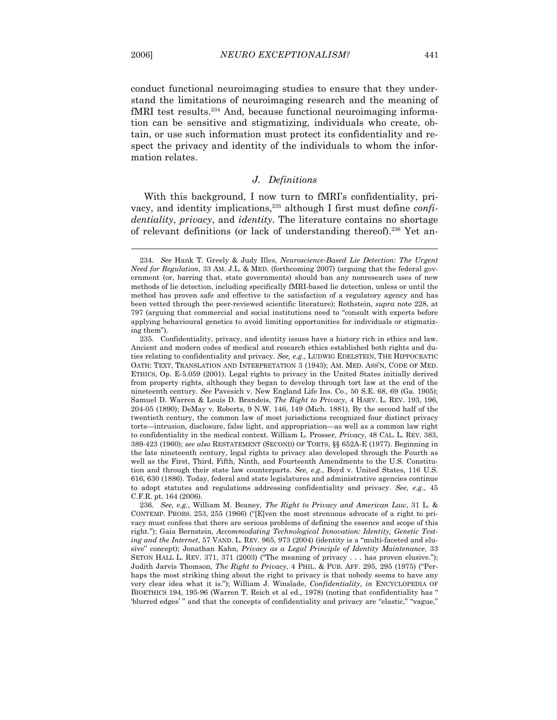conduct functional neuroimaging studies to ensure that they understand the limitations of neuroimaging research and the meaning of fMRI test results.<sup>234</sup> And, because functional neuroimaging information can be sensitive and stigmatizing, individuals who create, obtain, or use such information must protect its confidentiality and respect the privacy and identity of the individuals to whom the information relates.

## *J. Definitions*

 With this background, I now turn to fMRI's confidentiality, privacy, and identity implications,235 although I first must define *confidentiality*, *privacy*, and *identity*. The literature contains no shortage of relevant definitions (or lack of understanding thereof).236 Yet an-

 236. *See, e.g.*, William M. Beaney, *The Right to Privacy and American Law*, 31 L. & CONTEMP. PROBS. 253, 255 (1966) ("[E]ven the most strenuous advocate of a right to privacy must confess that there are serious problems of defining the essence and scope of this right."); Gaia Bernstein, *Accommodating Technological Innovation: Identity, Genetic Testing and the Internet*, 57 VAND. L. REV. 965, 973 (2004) (identity is a "multi-faceted and elusive" concept); Jonathan Kahn, *Privacy as a Legal Principle of Identity Maintenance*, 33 SETON HALL L. REV. 371, 371 (2003) ("The meaning of privacy . . . has proven elusive."); Judith Jarvis Thomson, *The Right to Privacy*, 4 PHIL. & PUB. AFF. 295, 295 (1975) ("Perhaps the most striking thing about the right to privacy is that nobody seems to have any very clear idea what it is."); William J. Winslade, *Confidentiality*, *in* ENCYCLOPEDIA OF BIOETHICS 194, 195-96 (Warren T. Reich et al ed., 1978) (noting that confidentiality has " 'blurred edges' " and that the concepts of confidentiality and privacy are "elastic," "vague,"

 <sup>234.</sup> *See* Hank T. Greely & Judy Illes, *Neuroscience-Based Lie Detection: The Urgent Need for Regulation*, 33 AM. J.L. & MED. (forthcoming 2007) (arguing that the federal government (or, barring that, state governments) should ban any nonresearch uses of new methods of lie detection, including specifically fMRI-based lie detection, unless or until the method has proven safe and effective to the satisfaction of a regulatory agency and has been vetted through the peer-reviewed scientific literature); Rothstein, *supra* note 228, at 797 (arguing that commercial and social institutions need to "consult with experts before applying behavioural genetics to avoid limiting opportunities for individuals or stigmatizing them").

 <sup>235.</sup> Confidentiality, privacy, and identity issues have a history rich in ethics and law. Ancient and modern codes of medical and research ethics established both rights and duties relating to confidentiality and privacy. *See, e.g*., LUDWIG EDELSTEIN, THE HIPPOCRATIC OATH: TEXT, TRANSLATION AND INTERPRETATION 3 (1943); AM. MED. ASS'N, CODE OF MED. ETHICS, Op. E-5.059 (2001). Legal rights to privacy in the United States initially derived from property rights, although they began to develop through tort law at the end of the nineteenth century. *See* Pavesich v. New England Life Ins. Co., 50 S.E. 68, 69 (Ga. 1905); Samuel D. Warren & Louis D. Brandeis, *The Right to Privacy*, 4 HARV. L. REV. 193, 196, 204-05 (1890); DeMay v. Roberts, 9 N.W. 146, 149 (Mich. 1881). By the second half of the twentieth century, the common law of most jurisdictions recognized four distinct privacy torts—intrusion, disclosure, false light, and appropriation—as well as a common law right to confidentiality in the medical context. William L. Prosser, *Privacy*, 48 CAL. L. REV. 383, 389-423 (1960); *see also* RESTATEMENT (SECOND) OF TORTS, §§ 652A-E (1977). Beginning in the late nineteenth century, legal rights to privacy also developed through the Fourth as well as the First, Third, Fifth, Ninth, and Fourteenth Amendments to the U.S. Constitution and through their state law counterparts. *See, e.g*., Boyd v. United States, 116 U.S. 616, 630 (1886). Today, federal and state legislatures and administrative agencies continue to adopt statutes and regulations addressing confidentiality and privacy. *See, e.g.*, 45 C.F.R. pt. 164 (2006).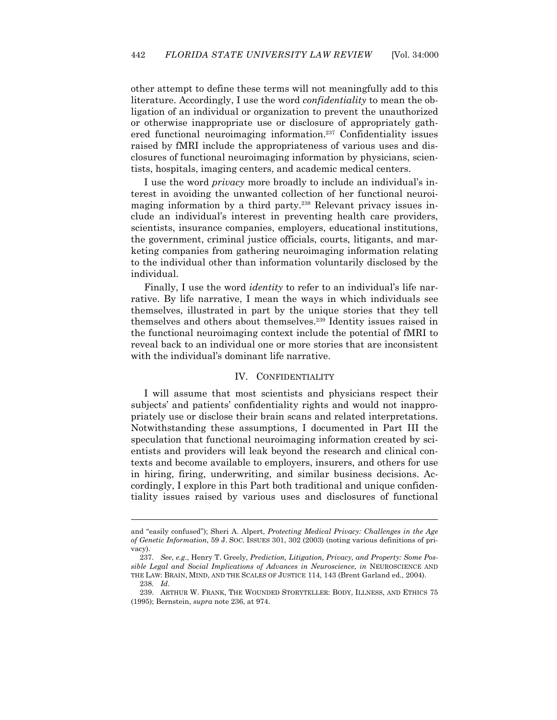other attempt to define these terms will not meaningfully add to this literature. Accordingly, I use the word *confidentiality* to mean the obligation of an individual or organization to prevent the unauthorized or otherwise inappropriate use or disclosure of appropriately gathered functional neuroimaging information.<sup>237</sup> Confidentiality issues raised by fMRI include the appropriateness of various uses and disclosures of functional neuroimaging information by physicians, scientists, hospitals, imaging centers, and academic medical centers.

 I use the word *privacy* more broadly to include an individual's interest in avoiding the unwanted collection of her functional neuroimaging information by a third party.<sup>238</sup> Relevant privacy issues include an individual's interest in preventing health care providers, scientists, insurance companies, employers, educational institutions, the government, criminal justice officials, courts, litigants, and marketing companies from gathering neuroimaging information relating to the individual other than information voluntarily disclosed by the individual.

 Finally, I use the word *identity* to refer to an individual's life narrative. By life narrative, I mean the ways in which individuals see themselves, illustrated in part by the unique stories that they tell themselves and others about themselves.239 Identity issues raised in the functional neuroimaging context include the potential of fMRI to reveal back to an individual one or more stories that are inconsistent with the individual's dominant life narrative.

#### IV. CONFIDENTIALITY

 I will assume that most scientists and physicians respect their subjects' and patients' confidentiality rights and would not inappropriately use or disclose their brain scans and related interpretations. Notwithstanding these assumptions, I documented in Part III the speculation that functional neuroimaging information created by scientists and providers will leak beyond the research and clinical contexts and become available to employers, insurers, and others for use in hiring, firing, underwriting, and similar business decisions. Accordingly, I explore in this Part both traditional and unique confidentiality issues raised by various uses and disclosures of functional

and "easily confused"); Sheri A. Alpert, *Protecting Medical Privacy: Challenges in the Age of Genetic Information*, 59 J. SOC. ISSUES 301, 302 (2003) (noting various definitions of privacy).

 <sup>237.</sup> *See*, *e.g*., Henry T. Greely, *Prediction, Litigation, Privacy, and Property: Some Possible Legal and Social Implications of Advances in Neuroscience*, *in* NEUROSCIENCE AND THE LAW: BRAIN, MIND, AND THE SCALES OF JUSTICE 114, 143 (Brent Garland ed., 2004).

 <sup>238.</sup> *Id*.

 <sup>239.</sup> ARTHUR W. FRANK, THE WOUNDED STORYTELLER: BODY, ILLNESS, AND ETHICS 75 (1995); Bernstein, *supra* note 236, at 974.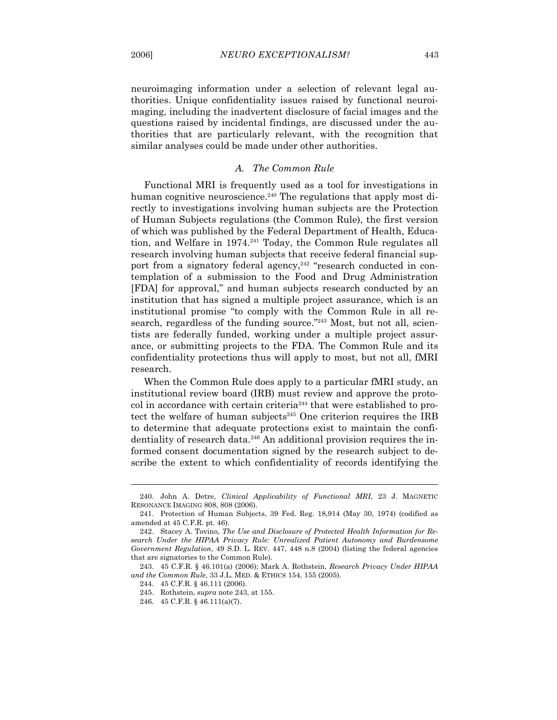neuroimaging information under a selection of relevant legal authorities. Unique confidentiality issues raised by functional neuroimaging, including the inadvertent disclosure of facial images and the questions raised by incidental findings, are discussed under the authorities that are particularly relevant, with the recognition that similar analyses could be made under other authorities.

#### *A. The Common Rule*

 Functional MRI is frequently used as a tool for investigations in human cognitive neuroscience.<sup>240</sup> The regulations that apply most directly to investigations involving human subjects are the Protection of Human Subjects regulations (the Common Rule), the first version of which was published by the Federal Department of Health, Education, and Welfare in 1974.<sup>241</sup> Today, the Common Rule regulates all research involving human subjects that receive federal financial support from a signatory federal agency, $242$  "research conducted in contemplation of a submission to the Food and Drug Administration [FDA] for approval," and human subjects research conducted by an institution that has signed a multiple project assurance, which is an institutional promise "to comply with the Common Rule in all research, regardless of the funding source."<sup>243</sup> Most, but not all, scientists are federally funded, working under a multiple project assurance, or submitting projects to the FDA. The Common Rule and its confidentiality protections thus will apply to most, but not all, fMRI research.

 When the Common Rule does apply to a particular fMRI study, an institutional review board (IRB) must review and approve the protocol in accordance with certain criteria<sup>244</sup> that were established to protect the welfare of human subjects<sup>245</sup> One criterion requires the IRB to determine that adequate protections exist to maintain the confidentiality of research data.<sup>246</sup> An additional provision requires the informed consent documentation signed by the research subject to describe the extent to which confidentiality of records identifying the

244. 45 C.F.R. § 46.111 (2006).

 <sup>240.</sup> John A. Detre, *Clinical Applicability of Functional MRI*, 23 J. MAGNETIC RESONANCE IMAGING 808, 808 (2006).

 <sup>241.</sup> Protection of Human Subjects, 39 Fed. Reg. 18,914 (May 30, 1974) (codified as amended at 45 C.F.R. pt. 46).

 <sup>242.</sup> Stacey A. Tovino, *The Use and Disclosure of Protected Health Information for Research Under the HIPAA Privacy Rule: Unrealized Patient Autonomy and Burdensome Government Regulation*, 49 S.D. L. REV. 447, 448 n.8 (2004) (listing the federal agencies that are signatories to the Common Rule).

 <sup>243. 45</sup> C.F.R. § 46.101(a) (2006); Mark A. Rothstein, *Research Privacy Under HIPAA and the Common Rule*, 33 J.L. MED. & ETHICS 154, 155 (2005).

 <sup>245.</sup> Rothstein, *supra* note 243, at 155.

 <sup>246. 45</sup> C.F.R. § 46.111(a)(7).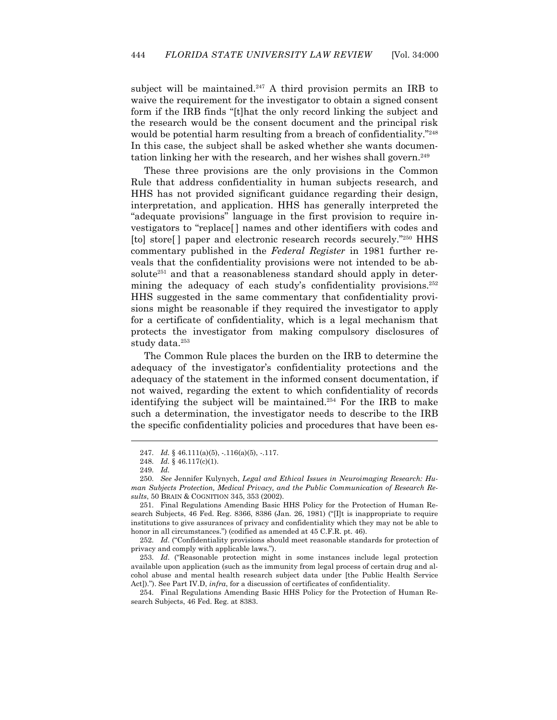subject will be maintained. $247$  A third provision permits an IRB to waive the requirement for the investigator to obtain a signed consent form if the IRB finds "[t]hat the only record linking the subject and the research would be the consent document and the principal risk would be potential harm resulting from a breach of confidentiality."<sup>248</sup> In this case, the subject shall be asked whether she wants documentation linking her with the research, and her wishes shall govern.249

 These three provisions are the only provisions in the Common Rule that address confidentiality in human subjects research, and HHS has not provided significant guidance regarding their design, interpretation, and application. HHS has generally interpreted the "adequate provisions" language in the first provision to require investigators to "replace[ ] names and other identifiers with codes and [to] store[] paper and electronic research records securely."250 HHS commentary published in the *Federal Register* in 1981 further reveals that the confidentiality provisions were not intended to be absolute<sup>251</sup> and that a reasonableness standard should apply in determining the adequacy of each study's confidentiality provisions.<sup>252</sup> HHS suggested in the same commentary that confidentiality provisions might be reasonable if they required the investigator to apply for a certificate of confidentiality, which is a legal mechanism that protects the investigator from making compulsory disclosures of study data.253

 The Common Rule places the burden on the IRB to determine the adequacy of the investigator's confidentiality protections and the adequacy of the statement in the informed consent documentation, if not waived, regarding the extent to which confidentiality of records identifying the subject will be maintained.254 For the IRB to make such a determination, the investigator needs to describe to the IRB the specific confidentiality policies and procedures that have been es-

 $\overline{a}$ 

 252. *Id*. ("Confidentiality provisions should meet reasonable standards for protection of privacy and comply with applicable laws.").

 253. *Id*. ("Reasonable protection might in some instances include legal protection available upon application (such as the immunity from legal process of certain drug and alcohol abuse and mental health research subject data under [the Public Health Service Act])."). See Part IV.D, *infra*, for a discussion of certificates of confidentiality.

<sup>247.</sup> *Id.* § 46.111(a)(5),  $.116(a)(5)$ ,  $.117$ .

 <sup>248.</sup> *Id.* § 46.117(c)(1).

 <sup>249.</sup> *Id.* 

 <sup>250.</sup> *See* Jennifer Kulynych, *Legal and Ethical Issues in Neuroimaging Research: Human Subjects Protection, Medical Privacy, and the Public Communication of Research Results*, 50 BRAIN & COGNITION 345, 353 (2002).

 <sup>251.</sup> Final Regulations Amending Basic HHS Policy for the Protection of Human Research Subjects, 46 Fed. Reg. 8366, 8386 (Jan. 26, 1981) ("[I]t is inappropriate to require institutions to give assurances of privacy and confidentiality which they may not be able to honor in all circumstances.") (codified as amended at 45 C.F.R. pt. 46).

 <sup>254.</sup> Final Regulations Amending Basic HHS Policy for the Protection of Human Research Subjects, 46 Fed. Reg. at 8383.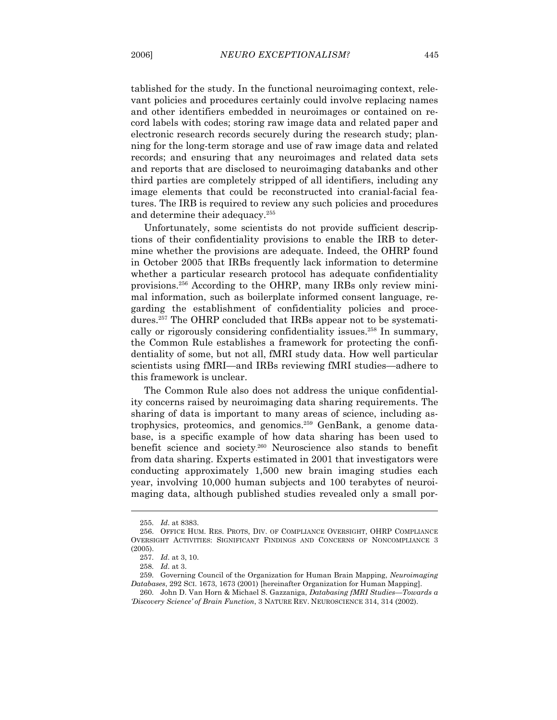tablished for the study. In the functional neuroimaging context, relevant policies and procedures certainly could involve replacing names and other identifiers embedded in neuroimages or contained on record labels with codes; storing raw image data and related paper and electronic research records securely during the research study; planning for the long-term storage and use of raw image data and related records; and ensuring that any neuroimages and related data sets and reports that are disclosed to neuroimaging databanks and other third parties are completely stripped of all identifiers, including any image elements that could be reconstructed into cranial-facial features. The IRB is required to review any such policies and procedures and determine their adequacy.255

 Unfortunately, some scientists do not provide sufficient descriptions of their confidentiality provisions to enable the IRB to determine whether the provisions are adequate. Indeed, the OHRP found in October 2005 that IRBs frequently lack information to determine whether a particular research protocol has adequate confidentiality provisions.256 According to the OHRP, many IRBs only review minimal information, such as boilerplate informed consent language, regarding the establishment of confidentiality policies and procedures.257 The OHRP concluded that IRBs appear not to be systematically or rigorously considering confidentiality issues.<sup>258</sup> In summary, the Common Rule establishes a framework for protecting the confidentiality of some, but not all, fMRI study data. How well particular scientists using fMRI—and IRBs reviewing fMRI studies—adhere to this framework is unclear.

 The Common Rule also does not address the unique confidentiality concerns raised by neuroimaging data sharing requirements. The sharing of data is important to many areas of science, including astrophysics, proteomics, and genomics.259 GenBank, a genome database, is a specific example of how data sharing has been used to benefit science and society. 260 Neuroscience also stands to benefit from data sharing. Experts estimated in 2001 that investigators were conducting approximately 1,500 new brain imaging studies each year, involving 10,000 human subjects and 100 terabytes of neuroimaging data, although published studies revealed only a small por-

 <sup>255.</sup> *Id*. at 8383.

 <sup>256.</sup> OFFICE HUM. RES. PROTS, DIV. OF COMPLIANCE OVERSIGHT, OHRP COMPLIANCE OVERSIGHT ACTIVITIES: SIGNIFICANT FINDINGS AND CONCERNS OF NONCOMPLIANCE 3 (2005).

 <sup>257.</sup> *Id*. at 3, 10.

 <sup>258.</sup> *Id*. at 3.

 <sup>259.</sup> Governing Council of the Organization for Human Brain Mapping, *Neuroimaging Databases*, 292 SCI. 1673, 1673 (2001) [hereinafter Organization for Human Mapping].

 <sup>260.</sup> John D. Van Horn & Michael S. Gazzaniga, *Databasing fMRI Studies—Towards a 'Discovery Science' of Brain Function*, 3 NATURE REV. NEUROSCIENCE 314, 314 (2002).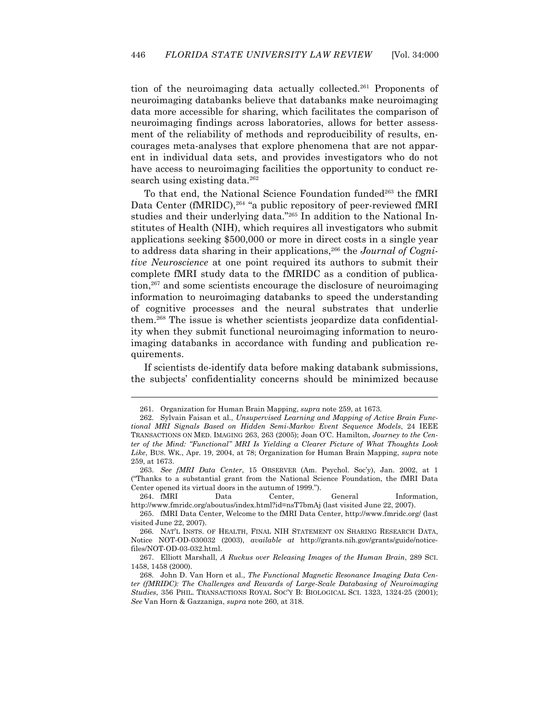tion of the neuroimaging data actually collected.261 Proponents of neuroimaging databanks believe that databanks make neuroimaging data more accessible for sharing, which facilitates the comparison of neuroimaging findings across laboratories, allows for better assessment of the reliability of methods and reproducibility of results, encourages meta-analyses that explore phenomena that are not apparent in individual data sets, and provides investigators who do not have access to neuroimaging facilities the opportunity to conduct research using existing data.<sup>262</sup>

To that end, the National Science Foundation funded<sup>263</sup> the fMRI Data Center (fMRIDC),<sup>264</sup> "a public repository of peer-reviewed fMRI studies and their underlying data."265 In addition to the National Institutes of Health (NIH), which requires all investigators who submit applications seeking \$500,000 or more in direct costs in a single year to address data sharing in their applications,<sup>266</sup> the *Journal of Cognitive Neuroscience* at one point required its authors to submit their complete fMRI study data to the fMRIDC as a condition of publication,<sup>267</sup> and some scientists encourage the disclosure of neuroimaging information to neuroimaging databanks to speed the understanding of cognitive processes and the neural substrates that underlie them.268 The issue is whether scientists jeopardize data confidentiality when they submit functional neuroimaging information to neuroimaging databanks in accordance with funding and publication requirements.

 If scientists de-identify data before making databank submissions, the subjects' confidentiality concerns should be minimized because

 <sup>261.</sup> Organization for Human Brain Mapping, *supra* note 259, at 1673.

 <sup>262.</sup> Sylvain Faisan et al., *Unsupervised Learning and Mapping of Active Brain Functional MRI Signals Based on Hidden Semi-Markov Event Sequence Models*, 24 IEEE TRANSACTIONS ON MED. IMAGING 263, 263 (2005); Joan O'C. Hamilton, *Journey to the Center of the Mind: "Functional" MRI Is Yielding a Clearer Picture of What Thoughts Look Like*, BUS. WK., Apr. 19, 2004, at 78; Organization for Human Brain Mapping, *supra* note 259, at 1673.

 <sup>263.</sup> *See fMRI Data Center*, 15 OBSERVER (Am. Psychol. Soc'y), Jan. 2002, at 1 ("Thanks to a substantial grant from the National Science Foundation, the fMRI Data Center opened its virtual doors in the autumn of 1999.").

 <sup>264.</sup> fMRI Data Center, General Information, http://www.fmridc.org/aboutus/index.html?id=nsT7bmAj (last visited June 22, 2007).

 <sup>265.</sup> fMRI Data Center, Welcome to the fMRI Data Center, http://www.fmridc.org/ (last visited June 22, 2007).

 <sup>266.</sup> NAT'L INSTS. OF HEALTH, FINAL NIH STATEMENT ON SHARING RESEARCH DATA, Notice NOT-OD-030032 (2003), *available at* http://grants.nih.gov/grants/guide/noticefiles/NOT-OD-03-032.html.

 <sup>267.</sup> Elliott Marshall, *A Ruckus over Releasing Images of the Human Brain*, 289 SCI. 1458, 1458 (2000).

 <sup>268.</sup> John D. Van Horn et al., *The Functional Magnetic Resonance Imaging Data Center (fMRIDC): The Challenges and Rewards of Large-Scale Databasing of Neuroimaging Studies*, 356 PHIL. TRANSACTIONS ROYAL SOC'Y B: BIOLOGICAL SCI. 1323, 1324-25 (2001); *See* Van Horn & Gazzaniga, *supra* note 260, at 318.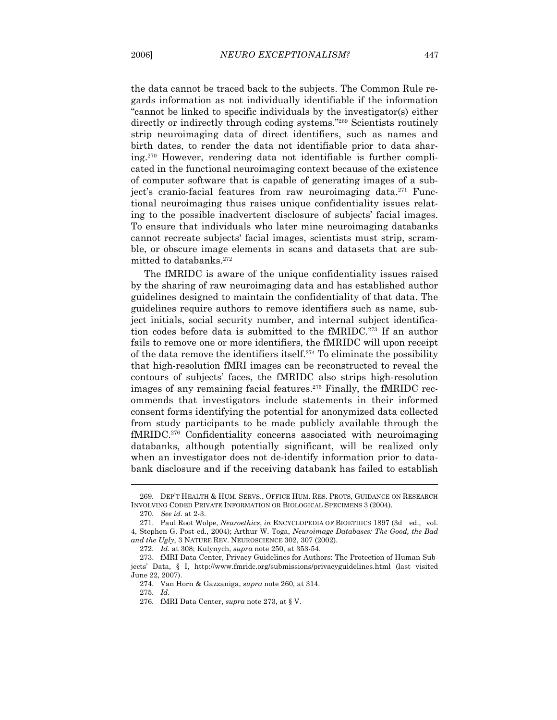the data cannot be traced back to the subjects. The Common Rule regards information as not individually identifiable if the information "cannot be linked to specific individuals by the investigator(s) either directly or indirectly through coding systems."269 Scientists routinely strip neuroimaging data of direct identifiers, such as names and birth dates, to render the data not identifiable prior to data sharing.270 However, rendering data not identifiable is further complicated in the functional neuroimaging context because of the existence of computer software that is capable of generating images of a subject's cranio-facial features from raw neuroimaging data.<sup>271</sup> Functional neuroimaging thus raises unique confidentiality issues relating to the possible inadvertent disclosure of subjects' facial images. To ensure that individuals who later mine neuroimaging databanks cannot recreate subjects' facial images, scientists must strip, scramble, or obscure image elements in scans and datasets that are submitted to databanks.272

 The fMRIDC is aware of the unique confidentiality issues raised by the sharing of raw neuroimaging data and has established author guidelines designed to maintain the confidentiality of that data. The guidelines require authors to remove identifiers such as name, subject initials, social security number, and internal subject identification codes before data is submitted to the fMRIDC.273 If an author fails to remove one or more identifiers, the fMRIDC will upon receipt of the data remove the identifiers itself.274 To eliminate the possibility that high-resolution fMRI images can be reconstructed to reveal the contours of subjects' faces, the fMRIDC also strips high-resolution images of any remaining facial features.<sup>275</sup> Finally, the fMRIDC recommends that investigators include statements in their informed consent forms identifying the potential for anonymized data collected from study participants to be made publicly available through the fMRIDC.276 Confidentiality concerns associated with neuroimaging databanks, although potentially significant, will be realized only when an investigator does not de-identify information prior to databank disclosure and if the receiving databank has failed to establish

 <sup>269.</sup> DEP'T HEALTH & HUM. SERVS., OFFICE HUM. RES. PROTS, GUIDANCE ON RESEARCH INVOLVING CODED PRIVATE INFORMATION OR BIOLOGICAL SPECIMENS 3 (2004).

 <sup>270.</sup> *See id*. at 2-3.

 <sup>271.</sup> Paul Root Wolpe, *Neuroethics*, *in* ENCYCLOPEDIA OF BIOETHICS 1897 (3d ed., vol. 4, Stephen G. Post ed., 2004); Arthur W. Toga, *Neuroimage Databases: The Good, the Bad and the Ugly*, 3 NATURE REV. NEUROSCIENCE 302, 307 (2002).

 <sup>272.</sup> *Id*. at 308; Kulynych, *supra* note 250, at 353-54.

 <sup>273.</sup> fMRI Data Center, Privacy Guidelines for Authors: The Protection of Human Subjects' Data, § I, http://www.fmridc.org/submissions/privacyguidelines.html (last visited June 22, 2007).

 <sup>274.</sup> Van Horn & Gazzaniga, *supra* note 260, at 314.

 <sup>275.</sup> *Id*.

 <sup>276.</sup> fMRI Data Center, *supra* note 273, at § V.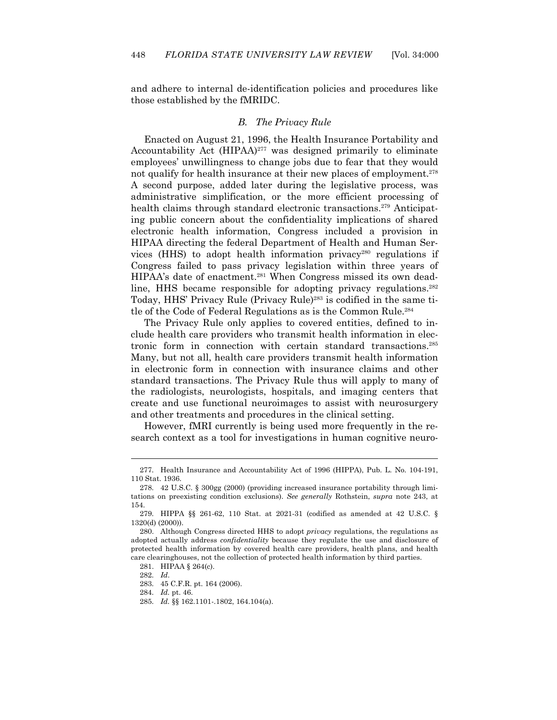and adhere to internal de-identification policies and procedures like those established by the fMRIDC.

#### *B. The Privacy Rule*

 Enacted on August 21, 1996, the Health Insurance Portability and Accountability Act (HIPAA)<sup>277</sup> was designed primarily to eliminate employees' unwillingness to change jobs due to fear that they would not qualify for health insurance at their new places of employment.<sup>278</sup> A second purpose, added later during the legislative process, was administrative simplification, or the more efficient processing of health claims through standard electronic transactions.<sup>279</sup> Anticipating public concern about the confidentiality implications of shared electronic health information, Congress included a provision in HIPAA directing the federal Department of Health and Human Services (HHS) to adopt health information privacy<sup>280</sup> regulations if Congress failed to pass privacy legislation within three years of HIPAA's date of enactment.<sup>281</sup> When Congress missed its own deadline, HHS became responsible for adopting privacy regulations.<sup>282</sup> Today, HHS' Privacy Rule (Privacy Rule)<sup>283</sup> is codified in the same title of the Code of Federal Regulations as is the Common Rule.284

 The Privacy Rule only applies to covered entities, defined to include health care providers who transmit health information in electronic form in connection with certain standard transactions.285 Many, but not all, health care providers transmit health information in electronic form in connection with insurance claims and other standard transactions. The Privacy Rule thus will apply to many of the radiologists, neurologists, hospitals, and imaging centers that create and use functional neuroimages to assist with neurosurgery and other treatments and procedures in the clinical setting.

 However, fMRI currently is being used more frequently in the research context as a tool for investigations in human cognitive neuro-

 $\overline{a}$ 

284. *Id.* pt. 46.

 <sup>277.</sup> Health Insurance and Accountability Act of 1996 (HIPPA), Pub. L. No. 104-191, 110 Stat. 1936.

 <sup>278. 42</sup> U.S.C. § 300gg (2000) (providing increased insurance portability through limitations on preexisting condition exclusions). *See generally* Rothstein, *supra* note 243, at 154.

 <sup>279.</sup> HIPPA §§ 261-62, 110 Stat. at 2021-31 (codified as amended at 42 U.S.C. § 1320(d) (2000)).

 <sup>280.</sup> Although Congress directed HHS to adopt *privacy* regulations, the regulations as adopted actually address *confidentiality* because they regulate the use and disclosure of protected health information by covered health care providers, health plans, and health care clearinghouses, not the collection of protected health information by third parties.

 <sup>281.</sup> HIPAA § 264(c).

 <sup>282.</sup> *Id*.

 <sup>283. 45</sup> C.F.R. pt. 164 (2006).

 <sup>285.</sup> *Id.* §§ 162.1101-.1802, 164.104(a).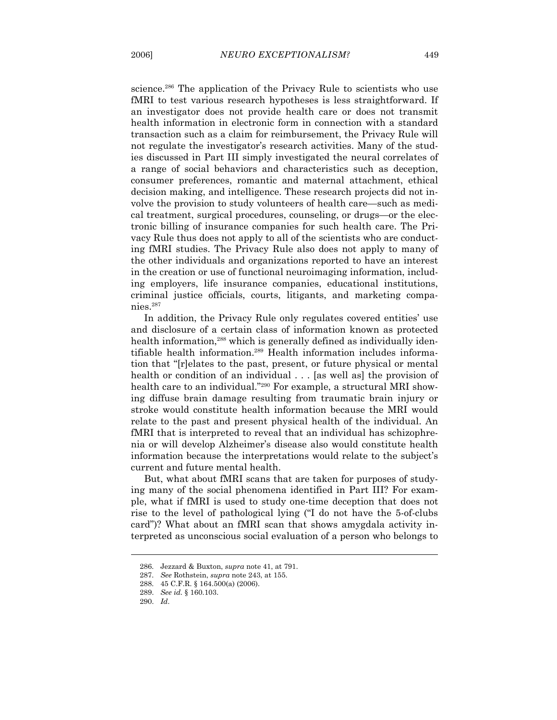science.<sup>286</sup> The application of the Privacy Rule to scientists who use fMRI to test various research hypotheses is less straightforward. If an investigator does not provide health care or does not transmit health information in electronic form in connection with a standard transaction such as a claim for reimbursement, the Privacy Rule will not regulate the investigator's research activities. Many of the studies discussed in Part III simply investigated the neural correlates of a range of social behaviors and characteristics such as deception, consumer preferences, romantic and maternal attachment, ethical decision making, and intelligence. These research projects did not involve the provision to study volunteers of health care—such as medical treatment, surgical procedures, counseling, or drugs—or the electronic billing of insurance companies for such health care. The Privacy Rule thus does not apply to all of the scientists who are conducting fMRI studies. The Privacy Rule also does not apply to many of the other individuals and organizations reported to have an interest in the creation or use of functional neuroimaging information, including employers, life insurance companies, educational institutions, criminal justice officials, courts, litigants, and marketing companies.287

 In addition, the Privacy Rule only regulates covered entities' use and disclosure of a certain class of information known as protected health information,<sup>288</sup> which is generally defined as individually identifiable health information.289 Health information includes information that "[r]elates to the past, present, or future physical or mental health or condition of an individual . . . [as well as] the provision of health care to an individual."290 For example, a structural MRI showing diffuse brain damage resulting from traumatic brain injury or stroke would constitute health information because the MRI would relate to the past and present physical health of the individual. An fMRI that is interpreted to reveal that an individual has schizophrenia or will develop Alzheimer's disease also would constitute health information because the interpretations would relate to the subject's current and future mental health.

 But, what about fMRI scans that are taken for purposes of studying many of the social phenomena identified in Part III? For example, what if fMRI is used to study one-time deception that does not rise to the level of pathological lying ("I do not have the 5-of-clubs card")? What about an fMRI scan that shows amygdala activity interpreted as unconscious social evaluation of a person who belongs to

 <sup>286.</sup> Jezzard & Buxton, *supra* note 41, at 791.

 <sup>287.</sup> *See* Rothstein, *supra* note 243, at 155.

 <sup>288. 45</sup> C.F.R. § 164.500(a) (2006).

 <sup>289.</sup> *See id.* § 160.103.

 <sup>290.</sup> *Id*.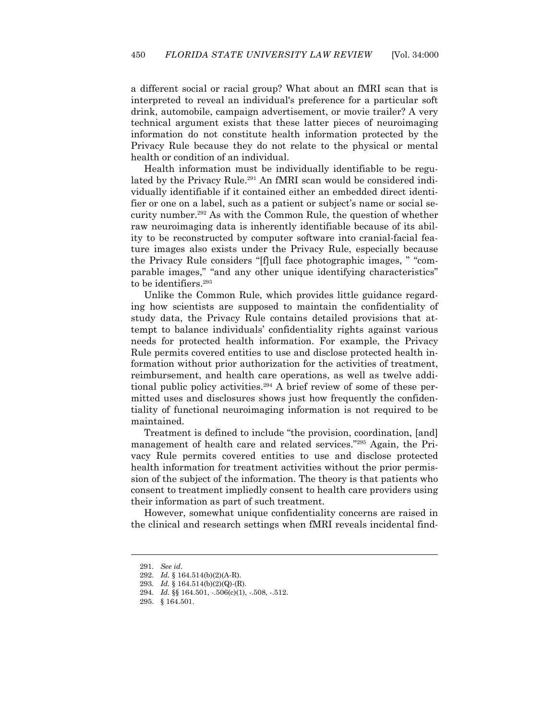a different social or racial group? What about an fMRI scan that is interpreted to reveal an individual's preference for a particular soft drink, automobile, campaign advertisement, or movie trailer? A very technical argument exists that these latter pieces of neuroimaging information do not constitute health information protected by the Privacy Rule because they do not relate to the physical or mental health or condition of an individual.

 Health information must be individually identifiable to be regulated by the Privacy Rule.<sup>291</sup> An fMRI scan would be considered individually identifiable if it contained either an embedded direct identifier or one on a label, such as a patient or subject's name or social security number.292 As with the Common Rule, the question of whether raw neuroimaging data is inherently identifiable because of its ability to be reconstructed by computer software into cranial-facial feature images also exists under the Privacy Rule, especially because the Privacy Rule considers "[f]ull face photographic images, " "comparable images," "and any other unique identifying characteristics" to be identifiers.<sup>293</sup>

 Unlike the Common Rule, which provides little guidance regarding how scientists are supposed to maintain the confidentiality of study data, the Privacy Rule contains detailed provisions that attempt to balance individuals' confidentiality rights against various needs for protected health information. For example, the Privacy Rule permits covered entities to use and disclose protected health information without prior authorization for the activities of treatment, reimbursement, and health care operations, as well as twelve additional public policy activities.<sup>294</sup> A brief review of some of these permitted uses and disclosures shows just how frequently the confidentiality of functional neuroimaging information is not required to be maintained.

 Treatment is defined to include "the provision, coordination, [and] management of health care and related services."295 Again, the Privacy Rule permits covered entities to use and disclose protected health information for treatment activities without the prior permission of the subject of the information. The theory is that patients who consent to treatment impliedly consent to health care providers using their information as part of such treatment.

 However, somewhat unique confidentiality concerns are raised in the clinical and research settings when fMRI reveals incidental find-

 <sup>291.</sup> *See id*.

 <sup>292.</sup> *Id.* § 164.514(b)(2)(A-R).

 <sup>293.</sup> *Id.* § 164.514(b)(2)(Q)-(R).

 <sup>294.</sup> *Id.* §§ 164.501, -.506(c)(1), -.508, -.512.

 <sup>295. § 164.501.</sup>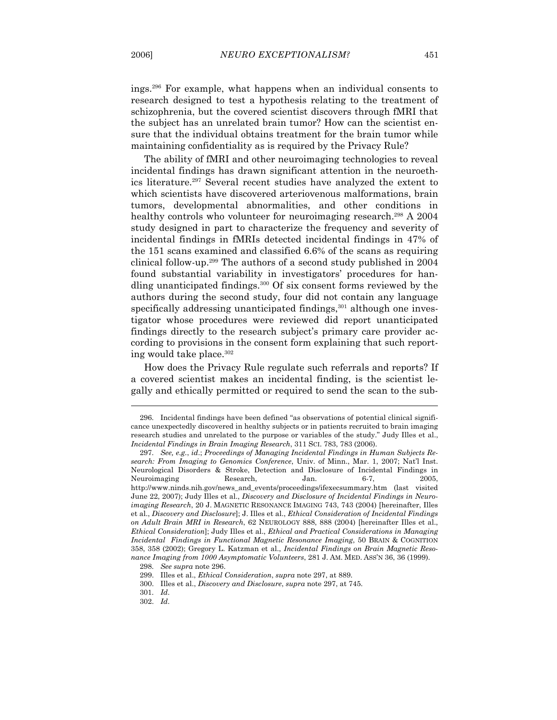ings.296 For example, what happens when an individual consents to research designed to test a hypothesis relating to the treatment of schizophrenia, but the covered scientist discovers through fMRI that the subject has an unrelated brain tumor? How can the scientist ensure that the individual obtains treatment for the brain tumor while

maintaining confidentiality as is required by the Privacy Rule?

 The ability of fMRI and other neuroimaging technologies to reveal incidental findings has drawn significant attention in the neuroethics literature.297 Several recent studies have analyzed the extent to which scientists have discovered arteriovenous malformations, brain tumors, developmental abnormalities, and other conditions in healthy controls who volunteer for neuroimaging research.<sup>298</sup> A 2004 study designed in part to characterize the frequency and severity of incidental findings in fMRIs detected incidental findings in 47% of the 151 scans examined and classified 6.6% of the scans as requiring clinical follow-up.299 The authors of a second study published in 2004 found substantial variability in investigators' procedures for handling unanticipated findings.300 Of six consent forms reviewed by the authors during the second study, four did not contain any language specifically addressing unanticipated findings,<sup>301</sup> although one investigator whose procedures were reviewed did report unanticipated findings directly to the research subject's primary care provider according to provisions in the consent form explaining that such reporting would take place.302

 How does the Privacy Rule regulate such referrals and reports? If a covered scientist makes an incidental finding, is the scientist legally and ethically permitted or required to send the scan to the sub-

 <sup>296.</sup> Incidental findings have been defined "as observations of potential clinical significance unexpectedly discovered in healthy subjects or in patients recruited to brain imaging research studies and unrelated to the purpose or variables of the study." Judy Illes et al., *Incidental Findings in Brain Imaging Research*, 311 SCI. 783, 783 (2006).

 <sup>297.</sup> *See, e.g.*, *id*.; *Proceedings of Managing Incidental Findings in Human Subjects Research: From Imaging to Genomics Conference*, Univ. of Minn., Mar. 1, 2007; Nat'l Inst. Neurological Disorders & Stroke, Detection and Disclosure of Incidental Findings in Neuroimaging Research, Jan. 6-7, 2005. http://www.ninds.nih.gov/news\_and\_events/proceedings/ifexecsummary.htm (last visited June 22, 2007); Judy Illes et al., *Discovery and Disclosure of Incidental Findings in Neuroimaging Research*, 20 J. MAGNETIC RESONANCE IMAGING 743, 743 (2004) [hereinafter, Illes et al., *Discovery and Disclosure*]; J. Illes et al., *Ethical Consideration of Incidental Findings on Adult Brain MRI in Research*, 62 NEUROLOGY 888, 888 (2004) [hereinafter Illes et al., *Ethical Consideration*]; Judy Illes et al., *Ethical and Practical Considerations in Managing Incidental Findings in Functional Magnetic Resonance Imaging*, 50 BRAIN & COGNITION 358, 358 (2002); Gregory L. Katzman et al., *Incidental Findings on Brain Magnetic Resonance Imaging from 1000 Asymptomatic Volunteers*, 281 J. AM. MED. ASS'N 36, 36 (1999).

 <sup>298.</sup> *See supra* note 296.

 <sup>299.</sup> Illes et al., *Ethical Consideration*, *supra* note 297, at 889.

 <sup>300.</sup> Illes et al., *Discovery and Disclosure*, *supra* note 297, at 745.

 <sup>301.</sup> *Id*.

 <sup>302.</sup> *Id*.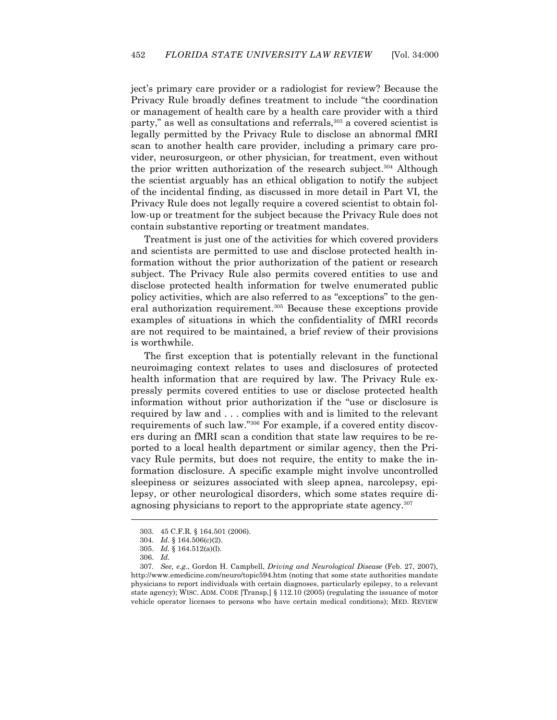ject's primary care provider or a radiologist for review? Because the Privacy Rule broadly defines treatment to include "the coordination or management of health care by a health care provider with a third party," as well as consultations and referrals,<sup>303</sup> a covered scientist is legally permitted by the Privacy Rule to disclose an abnormal fMRI scan to another health care provider, including a primary care provider, neurosurgeon, or other physician, for treatment, even without the prior written authorization of the research subject.<sup>304</sup> Although the scientist arguably has an ethical obligation to notify the subject of the incidental finding, as discussed in more detail in Part VI, the Privacy Rule does not legally require a covered scientist to obtain follow-up or treatment for the subject because the Privacy Rule does not contain substantive reporting or treatment mandates.

 Treatment is just one of the activities for which covered providers and scientists are permitted to use and disclose protected health information without the prior authorization of the patient or research subject. The Privacy Rule also permits covered entities to use and disclose protected health information for twelve enumerated public policy activities, which are also referred to as "exceptions" to the general authorization requirement.<sup>305</sup> Because these exceptions provide examples of situations in which the confidentiality of fMRI records are not required to be maintained, a brief review of their provisions is worthwhile.

 The first exception that is potentially relevant in the functional neuroimaging context relates to uses and disclosures of protected health information that are required by law. The Privacy Rule expressly permits covered entities to use or disclose protected health information without prior authorization if the "use or disclosure is required by law and . . . complies with and is limited to the relevant requirements of such law."306 For example, if a covered entity discovers during an fMRI scan a condition that state law requires to be reported to a local health department or similar agency, then the Privacy Rule permits, but does not require, the entity to make the information disclosure. A specific example might involve uncontrolled sleepiness or seizures associated with sleep apnea, narcolepsy, epilepsy, or other neurological disorders, which some states require diagnosing physicians to report to the appropriate state agency.<sup>307</sup>

 <sup>303. 45</sup> C.F.R. § 164.501 (2006).

 <sup>304.</sup> *Id.* § 164.506(c)(2).

 <sup>305.</sup> *Id.* § 164.512(a)(l).

 <sup>306.</sup> *Id.*

 <sup>307.</sup> *See, e.g*., Gordon H. Campbell, *Driving and Neurological Disease* (Feb. 27, 2007), http://www.emedicine.com/neuro/topic594.htm (noting that some state authorities mandate physicians to report individuals with certain diagnoses, particularly epilepsy, to a relevant state agency); WISC. ADM. CODE [Transp.] § 112.10 (2005) (regulating the issuance of motor vehicle operator licenses to persons who have certain medical conditions); MED. REVIEW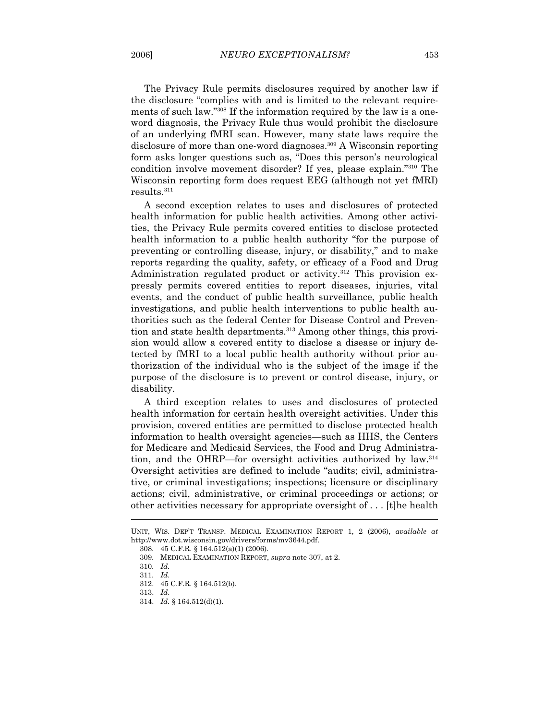The Privacy Rule permits disclosures required by another law if the disclosure "complies with and is limited to the relevant requirements of such law."308 If the information required by the law is a oneword diagnosis, the Privacy Rule thus would prohibit the disclosure of an underlying fMRI scan. However, many state laws require the disclosure of more than one-word diagnoses.<sup>309</sup> A Wisconsin reporting form asks longer questions such as, "Does this person's neurological condition involve movement disorder? If yes, please explain."310 The Wisconsin reporting form does request EEG (although not yet fMRI) results.311

 A second exception relates to uses and disclosures of protected health information for public health activities. Among other activities, the Privacy Rule permits covered entities to disclose protected health information to a public health authority "for the purpose of preventing or controlling disease, injury, or disability," and to make reports regarding the quality, safety, or efficacy of a Food and Drug Administration regulated product or activity.<sup>312</sup> This provision expressly permits covered entities to report diseases, injuries, vital events, and the conduct of public health surveillance, public health investigations, and public health interventions to public health authorities such as the federal Center for Disease Control and Prevention and state health departments.<sup>313</sup> Among other things, this provision would allow a covered entity to disclose a disease or injury detected by fMRI to a local public health authority without prior authorization of the individual who is the subject of the image if the purpose of the disclosure is to prevent or control disease, injury, or disability.

 A third exception relates to uses and disclosures of protected health information for certain health oversight activities. Under this provision, covered entities are permitted to disclose protected health information to health oversight agencies—such as HHS, the Centers for Medicare and Medicaid Services, the Food and Drug Administration, and the OHRP—for oversight activities authorized by law.314 Oversight activities are defined to include "audits; civil, administrative, or criminal investigations; inspections; licensure or disciplinary actions; civil, administrative, or criminal proceedings or actions; or other activities necessary for appropriate oversight of . . . [t]he health

UNIT, WIS. DEP'T TRANSP. MEDICAL EXAMINATION REPORT 1, 2 (2006), *available at* http://www.dot.wisconsin.gov/drivers/forms/mv3644.pdf.

 <sup>308. 45</sup> C.F.R. § 164.512(a)(1) (2006).

 <sup>309.</sup> MEDICAL EXAMINATION REPORT, *supra* note 307, at 2.

 <sup>310.</sup> *Id.*

 <sup>311.</sup> *Id*.

 <sup>312. 45</sup> C.F.R. § 164.512(b).

 <sup>313.</sup> *Id*.

 <sup>314.</sup> *Id.* § 164.512(d)(1).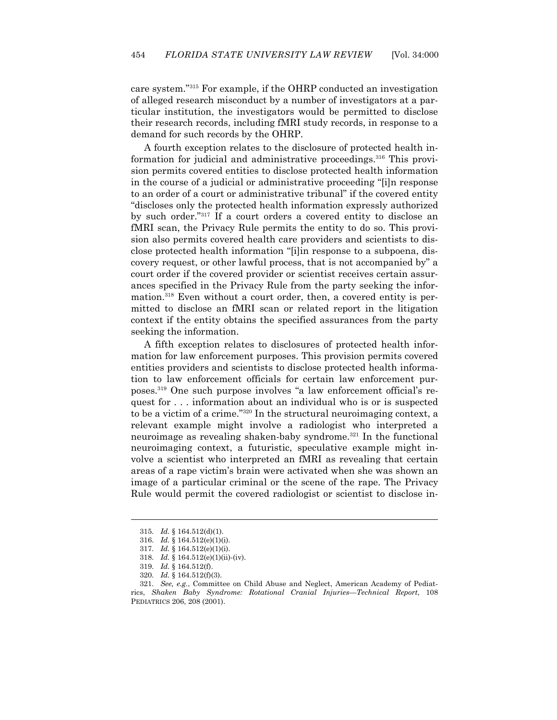care system."315 For example, if the OHRP conducted an investigation of alleged research misconduct by a number of investigators at a particular institution, the investigators would be permitted to disclose their research records, including fMRI study records, in response to a demand for such records by the OHRP.

 A fourth exception relates to the disclosure of protected health information for judicial and administrative proceedings.<sup>316</sup> This provision permits covered entities to disclose protected health information in the course of a judicial or administrative proceeding "[i]n response to an order of a court or administrative tribunal" if the covered entity "discloses only the protected health information expressly authorized by such order."317 If a court orders a covered entity to disclose an fMRI scan, the Privacy Rule permits the entity to do so. This provision also permits covered health care providers and scientists to disclose protected health information "[i]in response to a subpoena, discovery request, or other lawful process, that is not accompanied by" a court order if the covered provider or scientist receives certain assurances specified in the Privacy Rule from the party seeking the information.318 Even without a court order, then, a covered entity is permitted to disclose an fMRI scan or related report in the litigation context if the entity obtains the specified assurances from the party seeking the information.

 A fifth exception relates to disclosures of protected health information for law enforcement purposes. This provision permits covered entities providers and scientists to disclose protected health information to law enforcement officials for certain law enforcement purposes.319 One such purpose involves "a law enforcement official's request for . . . information about an individual who is or is suspected to be a victim of a crime."320 In the structural neuroimaging context, a relevant example might involve a radiologist who interpreted a neuroimage as revealing shaken-baby syndrome.<sup>321</sup> In the functional neuroimaging context, a futuristic, speculative example might involve a scientist who interpreted an fMRI as revealing that certain areas of a rape victim's brain were activated when she was shown an image of a particular criminal or the scene of the rape. The Privacy Rule would permit the covered radiologist or scientist to disclose in-

 <sup>315.</sup> *Id.* § 164.512(d)(1).

 <sup>316.</sup> *Id.* § 164.512(e)(1)(i).

 <sup>317.</sup> *Id.* § 164.512(e)(1)(i).

 <sup>318.</sup> *Id.* § 164.512(e)(1)(ii)-(iv).

 <sup>319.</sup> *Id.* § 164.512(f).

 <sup>320.</sup> *Id.* § 164.512(f)(3).

 <sup>321.</sup> *See, e.g.*, Committee on Child Abuse and Neglect, American Academy of Pediatrics, *Shaken Baby Syndrome: Rotational Cranial Injuries—Technical Report*, 108 PEDIATRICS 206, 208 (2001).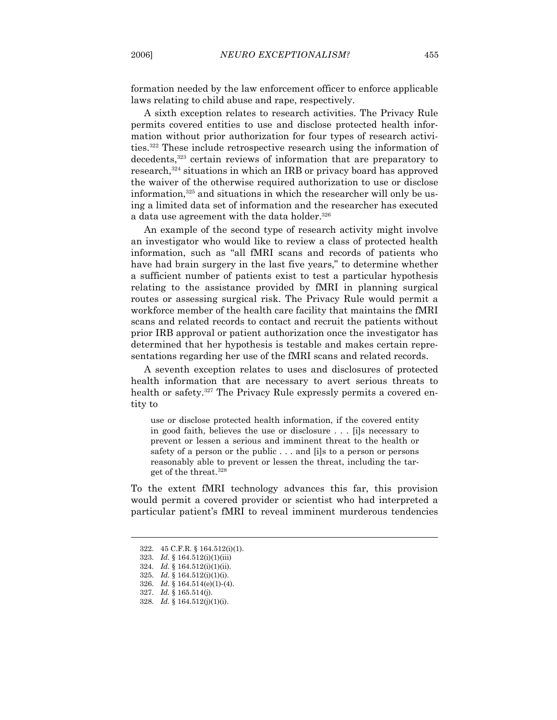formation needed by the law enforcement officer to enforce applicable laws relating to child abuse and rape, respectively.

 A sixth exception relates to research activities. The Privacy Rule permits covered entities to use and disclose protected health information without prior authorization for four types of research activities.322 These include retrospective research using the information of decedents,<sup>323</sup> certain reviews of information that are preparatory to research,324 situations in which an IRB or privacy board has approved the waiver of the otherwise required authorization to use or disclose information,325 and situations in which the researcher will only be using a limited data set of information and the researcher has executed a data use agreement with the data holder.<sup>326</sup>

 An example of the second type of research activity might involve an investigator who would like to review a class of protected health information, such as "all fMRI scans and records of patients who have had brain surgery in the last five years," to determine whether a sufficient number of patients exist to test a particular hypothesis relating to the assistance provided by fMRI in planning surgical routes or assessing surgical risk. The Privacy Rule would permit a workforce member of the health care facility that maintains the fMRI scans and related records to contact and recruit the patients without prior IRB approval or patient authorization once the investigator has determined that her hypothesis is testable and makes certain representations regarding her use of the fMRI scans and related records.

 A seventh exception relates to uses and disclosures of protected health information that are necessary to avert serious threats to health or safety.<sup>327</sup> The Privacy Rule expressly permits a covered entity to

use or disclose protected health information, if the covered entity in good faith, believes the use or disclosure . . . [i]s necessary to prevent or lessen a serious and imminent threat to the health or safety of a person or the public . . . and [i]s to a person or persons reasonably able to prevent or lessen the threat, including the target of the threat.328

To the extent fMRI technology advances this far, this provision would permit a covered provider or scientist who had interpreted a particular patient's fMRI to reveal imminent murderous tendencies

 <sup>322. 45</sup> C.F.R. § 164.512(i)(1).

 <sup>323.</sup> *Id.* § 164.512(i)(1)(iii)

 <sup>324.</sup> *Id.* § 164.512(i)(1)(ii).

 <sup>325.</sup> *Id.* § 164.512(i)(1)(i). 326. *Id.* § 164.514(e)(1)-(4).

 <sup>327.</sup> *Id.* § 165.514(j).

 <sup>328.</sup> *Id.* § 164.512(j)(1)(i).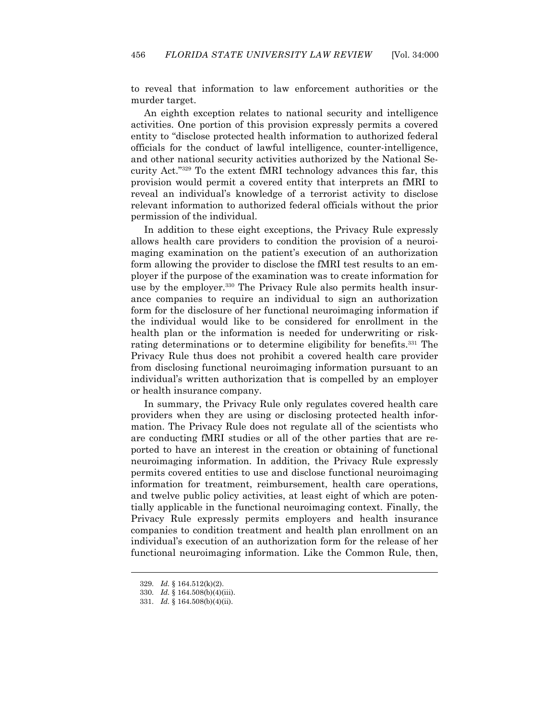to reveal that information to law enforcement authorities or the murder target.

 An eighth exception relates to national security and intelligence activities. One portion of this provision expressly permits a covered entity to "disclose protected health information to authorized federal officials for the conduct of lawful intelligence, counter-intelligence, and other national security activities authorized by the National Security Act."329 To the extent fMRI technology advances this far, this provision would permit a covered entity that interprets an fMRI to reveal an individual's knowledge of a terrorist activity to disclose relevant information to authorized federal officials without the prior permission of the individual.

 In addition to these eight exceptions, the Privacy Rule expressly allows health care providers to condition the provision of a neuroimaging examination on the patient's execution of an authorization form allowing the provider to disclose the fMRI test results to an employer if the purpose of the examination was to create information for use by the employer.<sup>330</sup> The Privacy Rule also permits health insurance companies to require an individual to sign an authorization form for the disclosure of her functional neuroimaging information if the individual would like to be considered for enrollment in the health plan or the information is needed for underwriting or riskrating determinations or to determine eligibility for benefits.<sup>331</sup> The Privacy Rule thus does not prohibit a covered health care provider from disclosing functional neuroimaging information pursuant to an individual's written authorization that is compelled by an employer or health insurance company.

 In summary, the Privacy Rule only regulates covered health care providers when they are using or disclosing protected health information. The Privacy Rule does not regulate all of the scientists who are conducting fMRI studies or all of the other parties that are reported to have an interest in the creation or obtaining of functional neuroimaging information. In addition, the Privacy Rule expressly permits covered entities to use and disclose functional neuroimaging information for treatment, reimbursement, health care operations, and twelve public policy activities, at least eight of which are potentially applicable in the functional neuroimaging context. Finally, the Privacy Rule expressly permits employers and health insurance companies to condition treatment and health plan enrollment on an individual's execution of an authorization form for the release of her functional neuroimaging information. Like the Common Rule, then,

 <sup>329.</sup> *Id.* § 164.512(k)(2).

 <sup>330.</sup> *Id.* § 164.508(b)(4)(iii).

 <sup>331.</sup> *Id.* § 164.508(b)(4)(ii).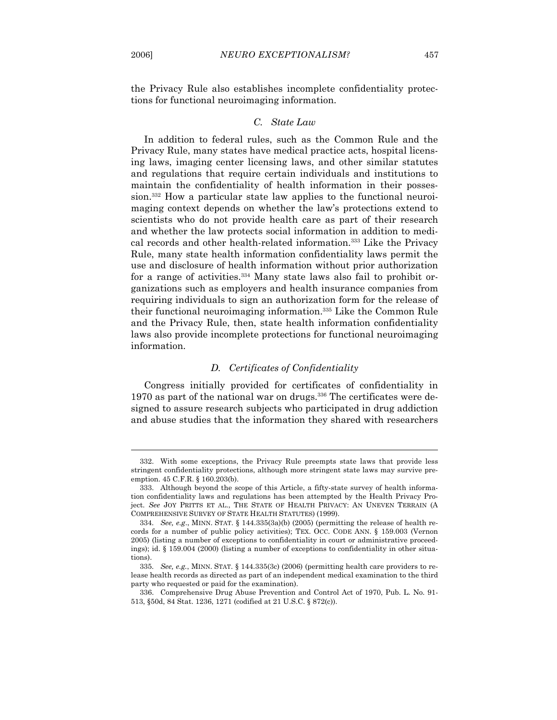$\overline{a}$ 

the Privacy Rule also establishes incomplete confidentiality protections for functional neuroimaging information.

# *C. State Law*

 In addition to federal rules, such as the Common Rule and the Privacy Rule, many states have medical practice acts, hospital licensing laws, imaging center licensing laws, and other similar statutes and regulations that require certain individuals and institutions to maintain the confidentiality of health information in their possession.332 How a particular state law applies to the functional neuroimaging context depends on whether the law's protections extend to scientists who do not provide health care as part of their research and whether the law protects social information in addition to medical records and other health-related information.333 Like the Privacy Rule, many state health information confidentiality laws permit the use and disclosure of health information without prior authorization for a range of activities.334 Many state laws also fail to prohibit organizations such as employers and health insurance companies from requiring individuals to sign an authorization form for the release of their functional neuroimaging information.335 Like the Common Rule and the Privacy Rule, then, state health information confidentiality laws also provide incomplete protections for functional neuroimaging information.

# *D. Certificates of Confidentiality*

 Congress initially provided for certificates of confidentiality in 1970 as part of the national war on drugs.336 The certificates were designed to assure research subjects who participated in drug addiction and abuse studies that the information they shared with researchers

 <sup>332.</sup> With some exceptions, the Privacy Rule preempts state laws that provide less stringent confidentiality protections, although more stringent state laws may survive preemption. 45 C.F.R. § 160.203(b).

 <sup>333.</sup> Although beyond the scope of this Article, a fifty-state survey of health information confidentiality laws and regulations has been attempted by the Health Privacy Project. *See* JOY PRITTS ET AL., THE STATE OF HEALTH PRIVACY: AN UNEVEN TERRAIN (A COMPREHENSIVE SURVEY OF STATE HEALTH STATUTES) (1999).

 <sup>334.</sup> *See, e.g*., MINN. STAT. § 144.335(3a)(b) (2005) (permitting the release of health records for a number of public policy activities); TEX. OCC. CODE ANN. § 159.003 (Vernon 2005) (listing a number of exceptions to confidentiality in court or administrative proceedings); id. § 159.004 (2000) (listing a number of exceptions to confidentiality in other situations).

 <sup>335.</sup> *See, e.g.*, MINN. STAT. § 144.335(3c) (2006) (permitting health care providers to release health records as directed as part of an independent medical examination to the third party who requested or paid for the examination).

 <sup>336.</sup> Comprehensive Drug Abuse Prevention and Control Act of 1970, Pub. L. No. 91- 513, §50d, 84 Stat. 1236, 1271 (codified at 21 U.S.C. § 872(c)).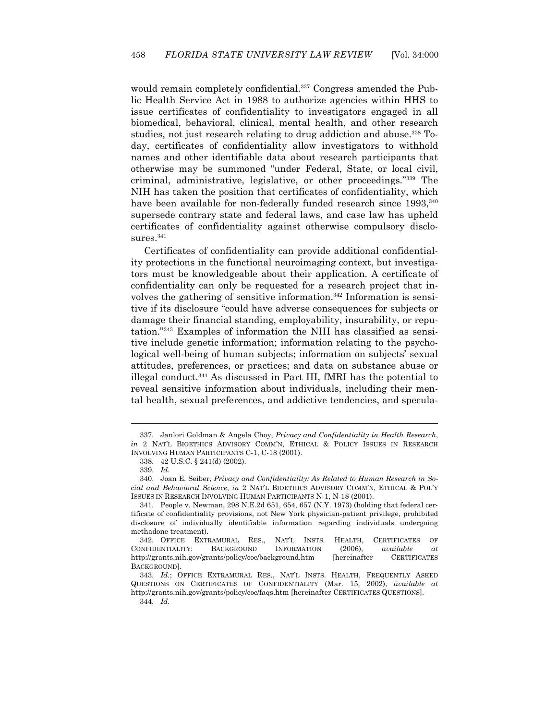would remain completely confidential.<sup>337</sup> Congress amended the Public Health Service Act in 1988 to authorize agencies within HHS to issue certificates of confidentiality to investigators engaged in all biomedical, behavioral, clinical, mental health, and other research studies, not just research relating to drug addiction and abuse.<sup>338</sup> Today, certificates of confidentiality allow investigators to withhold names and other identifiable data about research participants that otherwise may be summoned "under Federal, State, or local civil, criminal, administrative, legislative, or other proceedings."339 The NIH has taken the position that certificates of confidentiality, which have been available for non-federally funded research since 1993,<sup>340</sup> supersede contrary state and federal laws, and case law has upheld certificates of confidentiality against otherwise compulsory disclosures.341

 Certificates of confidentiality can provide additional confidentiality protections in the functional neuroimaging context, but investigators must be knowledgeable about their application. A certificate of confidentiality can only be requested for a research project that involves the gathering of sensitive information.342 Information is sensitive if its disclosure "could have adverse consequences for subjects or damage their financial standing, employability, insurability, or reputation."343 Examples of information the NIH has classified as sensitive include genetic information; information relating to the psychological well-being of human subjects; information on subjects' sexual attitudes, preferences, or practices; and data on substance abuse or illegal conduct.344 As discussed in Part III, fMRI has the potential to reveal sensitive information about individuals, including their mental health, sexual preferences, and addictive tendencies, and specula-

 <sup>337.</sup> Janlori Goldman & Angela Choy, *Privacy and Confidentiality in Health Research*, *in* 2 NAT'L BIOETHICS ADVISORY COMM'N, ETHICAL & POLICY ISSUES IN RESEARCH INVOLVING HUMAN PARTICIPANTS C-1, C-18 (2001).

 <sup>338. 42</sup> U.S.C. § 241(d) (2002).

 <sup>339.</sup> *Id*.

 <sup>340.</sup> Joan E. Seiber, *Privacy and Confidentiality: As Related to Human Research in Social and Behavioral Science*, *in* 2 NAT'L BIOETHICS ADVISORY COMM'N, ETHICAL & POL'Y ISSUES IN RESEARCH INVOLVING HUMAN PARTICIPANTS N-1, N-18 (2001).

 <sup>341.</sup> People v. Newman, 298 N.E.2d 651, 654, 657 (N.Y. 1973) (holding that federal certificate of confidentiality provisions, not New York physician-patient privilege, prohibited disclosure of individually identifiable information regarding individuals undergoing methadone treatment).

 <sup>342.</sup> OFFICE EXTRAMURAL RES., NAT'L INSTS. HEALTH, CERTIFICATES OF CONFIDENTIALITY: BACKGROUND INFORMATION (2006), *available at* http://grants.nih.gov/grants/policy/coc/background.htm [hereinafter CERTIFICATES BACKGROUND].

 <sup>343.</sup> *Id.*; OFFICE EXTRAMURAL RES., NAT'L INSTS. HEALTH, FREQUENTLY ASKED QUESTIONS ON CERTIFICATES OF CONFIDENTIALITY (Mar. 15, 2002), *available at* http://grants.nih.gov/grants/policy/coc/faqs.htm [hereinafter CERTIFICATES QUESTIONS]. 344. *Id*.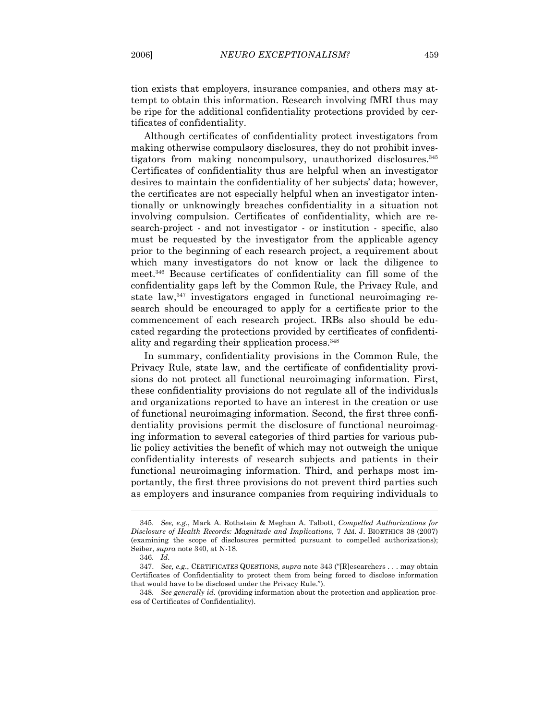tion exists that employers, insurance companies, and others may attempt to obtain this information. Research involving fMRI thus may be ripe for the additional confidentiality protections provided by certificates of confidentiality.

 Although certificates of confidentiality protect investigators from making otherwise compulsory disclosures, they do not prohibit investigators from making noncompulsory, unauthorized disclosures.345 Certificates of confidentiality thus are helpful when an investigator desires to maintain the confidentiality of her subjects' data; however, the certificates are not especially helpful when an investigator intentionally or unknowingly breaches confidentiality in a situation not involving compulsion. Certificates of confidentiality, which are research-project - and not investigator - or institution - specific, also must be requested by the investigator from the applicable agency prior to the beginning of each research project, a requirement about which many investigators do not know or lack the diligence to meet.346 Because certificates of confidentiality can fill some of the confidentiality gaps left by the Common Rule, the Privacy Rule, and state law,<sup>347</sup> investigators engaged in functional neuroimaging research should be encouraged to apply for a certificate prior to the commencement of each research project. IRBs also should be educated regarding the protections provided by certificates of confidentiality and regarding their application process.<sup>348</sup>

 In summary, confidentiality provisions in the Common Rule, the Privacy Rule, state law, and the certificate of confidentiality provisions do not protect all functional neuroimaging information. First, these confidentiality provisions do not regulate all of the individuals and organizations reported to have an interest in the creation or use of functional neuroimaging information. Second, the first three confidentiality provisions permit the disclosure of functional neuroimaging information to several categories of third parties for various public policy activities the benefit of which may not outweigh the unique confidentiality interests of research subjects and patients in their functional neuroimaging information. Third, and perhaps most importantly, the first three provisions do not prevent third parties such as employers and insurance companies from requiring individuals to

 <sup>345.</sup> *See, e.g.*, Mark A. Rothstein & Meghan A. Talbott, *Compelled Authorizations for Disclosure of Health Records: Magnitude and Implications*, 7 AM. J. BIOETHICS 38 (2007) (examining the scope of disclosures permitted pursuant to compelled authorizations); Seiber, *supra* note 340, at N-18.

 <sup>346.</sup> *Id*.

 <sup>347.</sup> *See, e.g*., CERTIFICATES QUESTIONS, *supra* note 343 ("[R]esearchers . . . may obtain Certificates of Confidentiality to protect them from being forced to disclose information that would have to be disclosed under the Privacy Rule.").

 <sup>348.</sup> *See generally id.* (providing information about the protection and application process of Certificates of Confidentiality).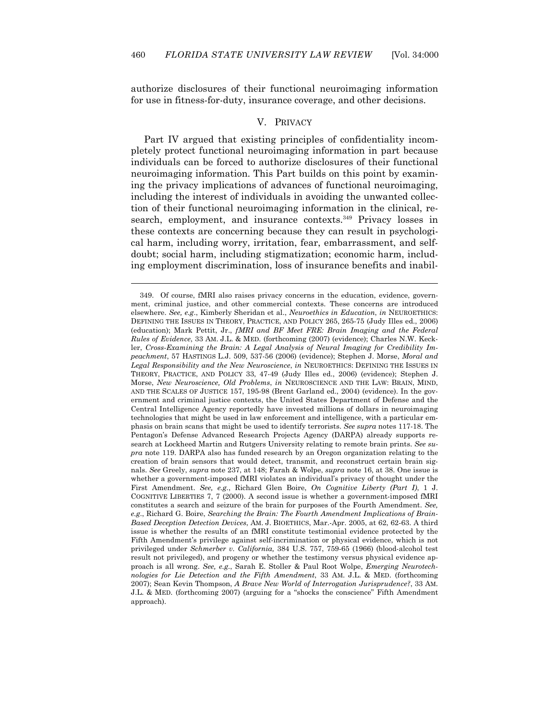authorize disclosures of their functional neuroimaging information for use in fitness-for-duty, insurance coverage, and other decisions.

#### V. PRIVACY

 Part IV argued that existing principles of confidentiality incompletely protect functional neuroimaging information in part because individuals can be forced to authorize disclosures of their functional neuroimaging information. This Part builds on this point by examining the privacy implications of advances of functional neuroimaging, including the interest of individuals in avoiding the unwanted collection of their functional neuroimaging information in the clinical, research, employment, and insurance contexts.<sup>349</sup> Privacy losses in these contexts are concerning because they can result in psychological harm, including worry, irritation, fear, embarrassment, and selfdoubt; social harm, including stigmatization; economic harm, including employment discrimination, loss of insurance benefits and inabil-

 <sup>349.</sup> Of course, fMRI also raises privacy concerns in the education, evidence, government, criminal justice, and other commercial contexts. These concerns are introduced elsewhere. *See, e.g*., Kimberly Sheridan et al., *Neuroethics in Education*, *in* NEUROETHICS: DEFINING THE ISSUES IN THEORY, PRACTICE, AND POLICY 265, 265-75 (Judy Illes ed., 2006) (education); Mark Pettit, Jr., *fMRI and BF Meet FRE: Brain Imaging and the Federal Rules of Evidence*, 33 AM. J.L. & MED. (forthcoming (2007) (evidence); Charles N.W. Keckler, *Cross-Examining the Brain: A Legal Analysis of Neural Imaging for Credibility Impeachment*, 57 HASTINGS L.J. 509, 537-56 (2006) (evidence); Stephen J. Morse, *Moral and Legal Responsibility and the New Neuroscience*, *in* NEUROETHICS: DEFINING THE ISSUES IN THEORY, PRACTICE, AND POLICY 33, 47-49 (Judy Illes ed., 2006) (evidence); Stephen J. Morse, *New Neuroscience, Old Problems*, *in* NEUROSCIENCE AND THE LAW: BRAIN, MIND, AND THE SCALES OF JUSTICE 157, 195-98 (Brent Garland ed., 2004) (evidence). In the government and criminal justice contexts, the United States Department of Defense and the Central Intelligence Agency reportedly have invested millions of dollars in neuroimaging technologies that might be used in law enforcement and intelligence, with a particular emphasis on brain scans that might be used to identify terrorists. *See supra* notes 117-18. The Pentagon's Defense Advanced Research Projects Agency (DARPA) already supports research at Lockheed Martin and Rutgers University relating to remote brain prints. *See supra* note 119. DARPA also has funded research by an Oregon organization relating to the creation of brain sensors that would detect, transmit, and reconstruct certain brain signals. *See* Greely, *supra* note 237, at 148; Farah & Wolpe, *supra* note 16, at 38. One issue is whether a government-imposed fMRI violates an individual's privacy of thought under the First Amendment. *See, e.g.*, Richard Glen Boire, *On Cognitive Liberty (Part I)*, 1 J. COGNITIVE LIBERTIES 7, 7 (2000). A second issue is whether a government-imposed fMRI constitutes a search and seizure of the brain for purposes of the Fourth Amendment. *See, e.g*., Richard G. Boire, *Searching the Brain: The Fourth Amendment Implications of Brain-Based Deception Detection Devices*, AM. J. BIOETHICS, Mar.-Apr. 2005, at 62, 62-63. A third issue is whether the results of an fMRI constitute testimonial evidence protected by the Fifth Amendment's privilege against self-incrimination or physical evidence, which is not privileged under *Schmerber v. California,* 384 U.S. 757, 759-65 (1966) (blood-alcohol test result not privileged), and progeny or whether the testimony versus physical evidence approach is all wrong. *See, e.g.*, Sarah E. Stoller & Paul Root Wolpe, *Emerging Neurotechnologies for Lie Detection and the Fifth Amendment*, 33 AM. J.L. & MED. (forthcoming 2007); Sean Kevin Thompson, *A Brave New World of Interrogation Jurisprudence?*, 33 AM. J.L. & MED. (forthcoming 2007) (arguing for a "shocks the conscience" Fifth Amendment approach).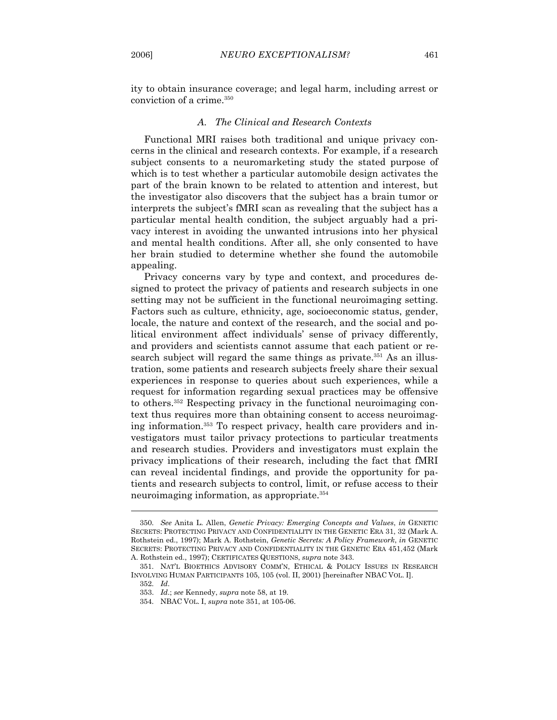ity to obtain insurance coverage; and legal harm, including arrest or conviction of a crime.350

# *A. The Clinical and Research Contexts*

 Functional MRI raises both traditional and unique privacy concerns in the clinical and research contexts. For example, if a research subject consents to a neuromarketing study the stated purpose of which is to test whether a particular automobile design activates the part of the brain known to be related to attention and interest, but the investigator also discovers that the subject has a brain tumor or interprets the subject's fMRI scan as revealing that the subject has a particular mental health condition, the subject arguably had a privacy interest in avoiding the unwanted intrusions into her physical and mental health conditions. After all, she only consented to have her brain studied to determine whether she found the automobile appealing.

 Privacy concerns vary by type and context, and procedures designed to protect the privacy of patients and research subjects in one setting may not be sufficient in the functional neuroimaging setting. Factors such as culture, ethnicity, age, socioeconomic status, gender, locale, the nature and context of the research, and the social and political environment affect individuals' sense of privacy differently, and providers and scientists cannot assume that each patient or research subject will regard the same things as private.<sup>351</sup> As an illustration, some patients and research subjects freely share their sexual experiences in response to queries about such experiences, while a request for information regarding sexual practices may be offensive to others.352 Respecting privacy in the functional neuroimaging context thus requires more than obtaining consent to access neuroimaging information.353 To respect privacy, health care providers and investigators must tailor privacy protections to particular treatments and research studies. Providers and investigators must explain the privacy implications of their research, including the fact that fMRI can reveal incidental findings, and provide the opportunity for patients and research subjects to control, limit, or refuse access to their neuroimaging information, as appropriate.<sup>354</sup>

352. *Id*.

 <sup>350.</sup> *See* Anita L. Allen, *Genetic Privacy: Emerging Concepts and Values*, *in* GENETIC SECRETS: PROTECTING PRIVACY AND CONFIDENTIALITY IN THE GENETIC ERA 31, 32 (Mark A. Rothstein ed., 1997); Mark A. Rothstein, *Genetic Secrets: A Policy Framework*, *in* GENETIC SECRETS: PROTECTING PRIVACY AND CONFIDENTIALITY IN THE GENETIC ERA 451,452 (Mark A. Rothstein ed., 1997); CERTIFICATES QUESTIONS, *supra* note 343.

 <sup>351.</sup> NAT'L BIOETHICS ADVISORY COMM'N, ETHICAL & POLICY ISSUES IN RESEARCH INVOLVING HUMAN PARTICIPANTS 105, 105 (vol. II, 2001) [hereinafter NBAC VOL. I].

 <sup>353.</sup> *Id*.; *see* Kennedy, *supra* note 58, at 19.

 <sup>354.</sup> NBAC VOL. I, *supra* note 351, at 105-06.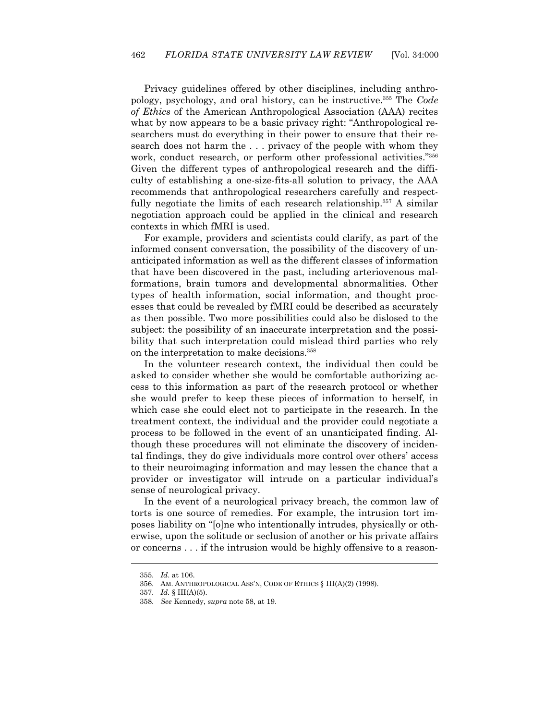Privacy guidelines offered by other disciplines, including anthropology, psychology, and oral history, can be instructive.355 The *Code of Ethics* of the American Anthropological Association (AAA) recites what by now appears to be a basic privacy right: "Anthropological researchers must do everything in their power to ensure that their research does not harm the . . . privacy of the people with whom they work, conduct research, or perform other professional activities."356 Given the different types of anthropological research and the difficulty of establishing a one-size-fits-all solution to privacy, the AAA recommends that anthropological researchers carefully and respectfully negotiate the limits of each research relationship.<sup>357</sup> A similar negotiation approach could be applied in the clinical and research contexts in which fMRI is used.

 For example, providers and scientists could clarify, as part of the informed consent conversation, the possibility of the discovery of unanticipated information as well as the different classes of information that have been discovered in the past, including arteriovenous malformations, brain tumors and developmental abnormalities. Other types of health information, social information, and thought processes that could be revealed by fMRI could be described as accurately as then possible. Two more possibilities could also be dislosed to the subject: the possibility of an inaccurate interpretation and the possibility that such interpretation could mislead third parties who rely on the interpretation to make decisions.358

 In the volunteer research context, the individual then could be asked to consider whether she would be comfortable authorizing access to this information as part of the research protocol or whether she would prefer to keep these pieces of information to herself, in which case she could elect not to participate in the research. In the treatment context, the individual and the provider could negotiate a process to be followed in the event of an unanticipated finding. Although these procedures will not eliminate the discovery of incidental findings, they do give individuals more control over others' access to their neuroimaging information and may lessen the chance that a provider or investigator will intrude on a particular individual's sense of neurological privacy.

 In the event of a neurological privacy breach, the common law of torts is one source of remedies. For example, the intrusion tort imposes liability on "[o]ne who intentionally intrudes, physically or otherwise, upon the solitude or seclusion of another or his private affairs or concerns . . . if the intrusion would be highly offensive to a reason-

 <sup>355.</sup> *Id*. at 106.

 <sup>356.</sup> AM. ANTHROPOLOGICAL ASS'N, CODE OF ETHICS § III(A)(2) (1998).

 <sup>357.</sup> *Id.* § III(A)(5).

 <sup>358.</sup> *See* Kennedy, *supra* note 58, at 19.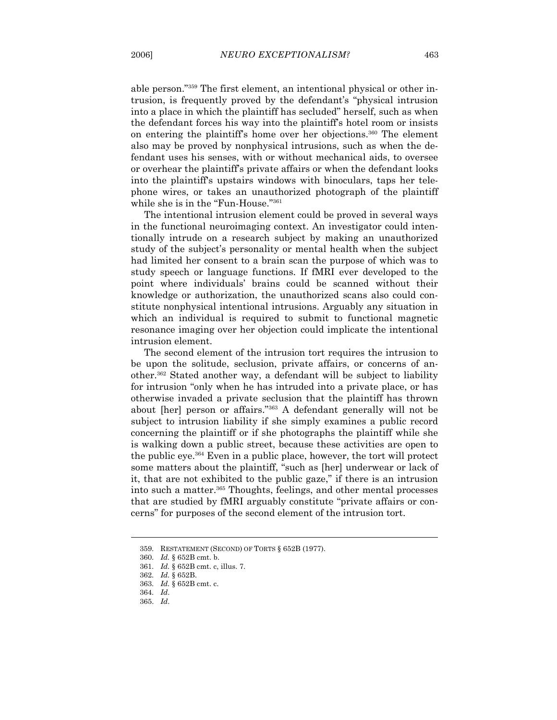able person."359 The first element, an intentional physical or other intrusion, is frequently proved by the defendant's "physical intrusion into a place in which the plaintiff has secluded" herself, such as when the defendant forces his way into the plaintiff's hotel room or insists on entering the plaintiff's home over her objections.360 The element also may be proved by nonphysical intrusions, such as when the defendant uses his senses, with or without mechanical aids, to oversee or overhear the plaintiff's private affairs or when the defendant looks into the plaintiff's upstairs windows with binoculars, taps her telephone wires, or takes an unauthorized photograph of the plaintiff while she is in the "Fun-House."361

 The intentional intrusion element could be proved in several ways in the functional neuroimaging context. An investigator could intentionally intrude on a research subject by making an unauthorized study of the subject's personality or mental health when the subject had limited her consent to a brain scan the purpose of which was to study speech or language functions. If fMRI ever developed to the point where individuals' brains could be scanned without their knowledge or authorization, the unauthorized scans also could constitute nonphysical intentional intrusions. Arguably any situation in which an individual is required to submit to functional magnetic resonance imaging over her objection could implicate the intentional intrusion element.

 The second element of the intrusion tort requires the intrusion to be upon the solitude, seclusion, private affairs, or concerns of another.362 Stated another way, a defendant will be subject to liability for intrusion "only when he has intruded into a private place, or has otherwise invaded a private seclusion that the plaintiff has thrown about [her] person or affairs."363 A defendant generally will not be subject to intrusion liability if she simply examines a public record concerning the plaintiff or if she photographs the plaintiff while she is walking down a public street, because these activities are open to the public eye.364 Even in a public place, however, the tort will protect some matters about the plaintiff, "such as [her] underwear or lack of it, that are not exhibited to the public gaze," if there is an intrusion into such a matter.365 Thoughts, feelings, and other mental processes that are studied by fMRI arguably constitute "private affairs or concerns" for purposes of the second element of the intrusion tort.

 <sup>359.</sup> RESTATEMENT (SECOND) OF TORTS § 652B (1977).

 <sup>360.</sup> *Id.* § 652B cmt. b.

 <sup>361.</sup> *Id.* § 652B cmt. c, illus. 7.

 <sup>362.</sup> *Id.* § 652B.

 <sup>363.</sup> *Id.* § 652B cmt. c.

 <sup>364.</sup> *Id*.

 <sup>365.</sup> *Id*.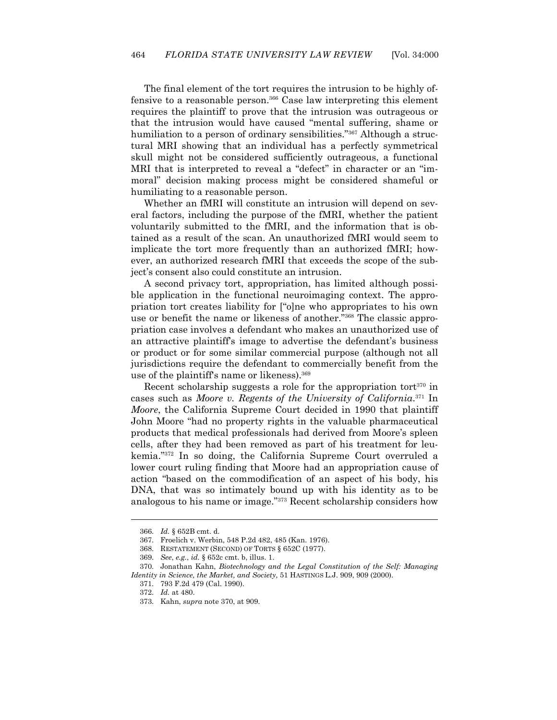The final element of the tort requires the intrusion to be highly offensive to a reasonable person.366 Case law interpreting this element requires the plaintiff to prove that the intrusion was outrageous or that the intrusion would have caused "mental suffering, shame or humiliation to a person of ordinary sensibilities."367 Although a structural MRI showing that an individual has a perfectly symmetrical skull might not be considered sufficiently outrageous, a functional MRI that is interpreted to reveal a "defect" in character or an "immoral" decision making process might be considered shameful or humiliating to a reasonable person.

 Whether an fMRI will constitute an intrusion will depend on several factors, including the purpose of the fMRI, whether the patient voluntarily submitted to the fMRI, and the information that is obtained as a result of the scan. An unauthorized fMRI would seem to implicate the tort more frequently than an authorized fMRI; however, an authorized research fMRI that exceeds the scope of the subject's consent also could constitute an intrusion.

 A second privacy tort, appropriation, has limited although possible application in the functional neuroimaging context. The appropriation tort creates liability for ["o]ne who appropriates to his own use or benefit the name or likeness of another."368 The classic appropriation case involves a defendant who makes an unauthorized use of an attractive plaintiff's image to advertise the defendant's business or product or for some similar commercial purpose (although not all jurisdictions require the defendant to commercially benefit from the use of the plaintiff's name or likeness).<sup>369</sup>

Recent scholarship suggests a role for the appropriation tort<sup>370</sup> in cases such as *Moore v. Regents of the University of California*. 371 In *Moore*, the California Supreme Court decided in 1990 that plaintiff John Moore "had no property rights in the valuable pharmaceutical products that medical professionals had derived from Moore's spleen cells, after they had been removed as part of his treatment for leukemia."372 In so doing, the California Supreme Court overruled a lower court ruling finding that Moore had an appropriation cause of action "based on the commodification of an aspect of his body, his DNA, that was so intimately bound up with his identity as to be analogous to his name or image."373 Recent scholarship considers how

 <sup>366.</sup> *Id.* § 652B cmt. d.

 <sup>367.</sup> Froelich v. Werbin, 548 P.2d 482, 485 (Kan. 1976).

 <sup>368.</sup> RESTATEMENT (SECOND) OF TORTS § 652C (1977).

 <sup>369.</sup> *See*, *e.g.*, *id.* § 652c cmt. b, illus. 1.

 <sup>370.</sup> Jonathan Kahn, *Biotechnology and the Legal Constitution of the Self: Managing Identity in Science, the Market, and Society*, 51 HASTINGS L.J. 909, 909 (2000).

 <sup>371. 793</sup> F.2d 479 (Cal. 1990).

 <sup>372.</sup> *Id.* at 480.

 <sup>373.</sup> Kahn, *supra* note 370, at 909.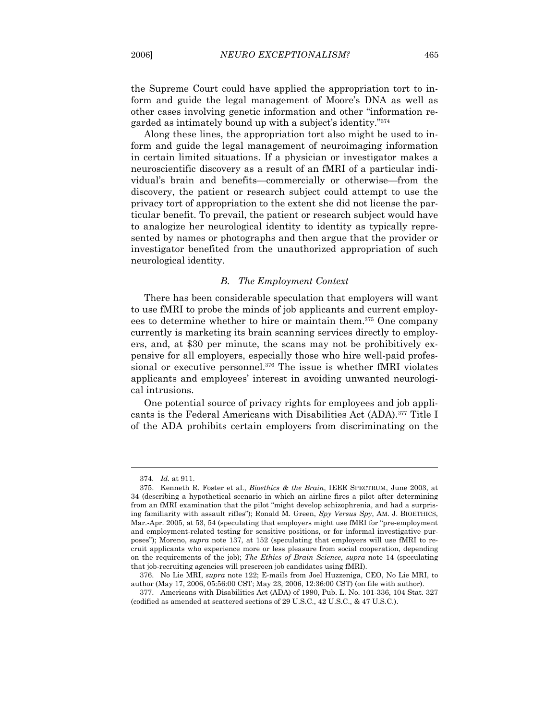the Supreme Court could have applied the appropriation tort to inform and guide the legal management of Moore's DNA as well as other cases involving genetic information and other "information regarded as intimately bound up with a subject's identity."374

 Along these lines, the appropriation tort also might be used to inform and guide the legal management of neuroimaging information in certain limited situations. If a physician or investigator makes a neuroscientific discovery as a result of an fMRI of a particular individual's brain and benefits—commercially or otherwise—from the discovery, the patient or research subject could attempt to use the privacy tort of appropriation to the extent she did not license the particular benefit. To prevail, the patient or research subject would have to analogize her neurological identity to identity as typically represented by names or photographs and then argue that the provider or investigator benefited from the unauthorized appropriation of such neurological identity.

# *B. The Employment Context*

 There has been considerable speculation that employers will want to use fMRI to probe the minds of job applicants and current employees to determine whether to hire or maintain them.375 One company currently is marketing its brain scanning services directly to employers, and, at \$30 per minute, the scans may not be prohibitively expensive for all employers, especially those who hire well-paid professional or executive personnel.<sup>376</sup> The issue is whether fMRI violates applicants and employees' interest in avoiding unwanted neurological intrusions.

 One potential source of privacy rights for employees and job applicants is the Federal Americans with Disabilities Act (ADA).377 Title I of the ADA prohibits certain employers from discriminating on the

 <sup>374.</sup> *Id.* at 911.

 <sup>375.</sup> Kenneth R. Foster et al., *Bioethics & the Brain*, IEEE SPECTRUM, June 2003, at 34 (describing a hypothetical scenario in which an airline fires a pilot after determining from an fMRI examination that the pilot "might develop schizophrenia, and had a surprising familiarity with assault rifles"); Ronald M. Green, *Spy Versus Spy*, AM. J. BIOETHICS, Mar.-Apr. 2005, at 53, 54 (speculating that employers might use fMRI for "pre-employment and employment-related testing for sensitive positions, or for informal investigative purposes"); Moreno, *supra* note 137, at 152 (speculating that employers will use fMRI to recruit applicants who experience more or less pleasure from social cooperation, depending on the requirements of the job); *The Ethics of Brain Science*, *supra* note 14 (speculating that job-recruiting agencies will prescreen job candidates using fMRI).

 <sup>376.</sup> No Lie MRI, *supra* note 122; E-mails from Joel Huzzeniga, CEO, No Lie MRI, to author (May 17, 2006, 05:56:00 CST; May 23, 2006, 12:36:00 CST) (on file with author).

 <sup>377.</sup> Americans with Disabilities Act (ADA) of 1990, Pub. L. No. 101-336, 104 Stat. 327 (codified as amended at scattered sections of 29 U.S.C., 42 U.S.C., & 47 U.S.C.).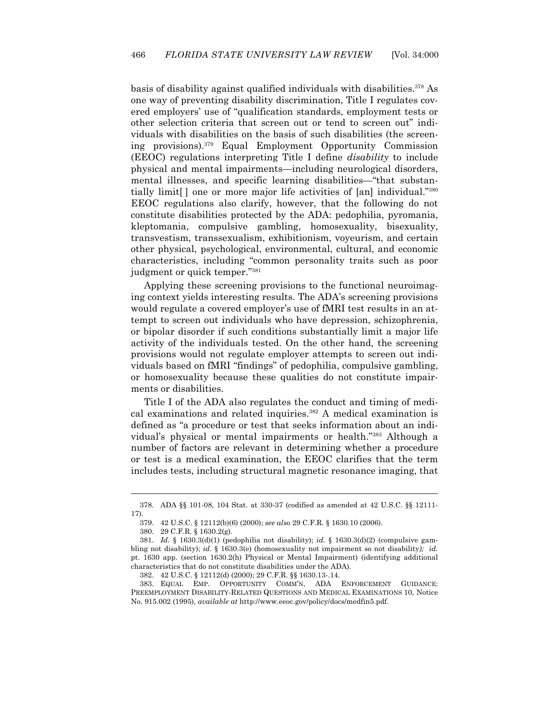basis of disability against qualified individuals with disabilities.<sup>378</sup> As one way of preventing disability discrimination, Title I regulates covered employers' use of "qualification standards, employment tests or other selection criteria that screen out or tend to screen out" individuals with disabilities on the basis of such disabilities (the screening provisions).379 Equal Employment Opportunity Commission (EEOC) regulations interpreting Title I define *disability* to include physical and mental impairments—including neurological disorders, mental illnesses, and specific learning disabilities—"that substantially limit[ ] one or more major life activities of [an] individual."380 EEOC regulations also clarify, however, that the following do not constitute disabilities protected by the ADA: pedophilia, pyromania, kleptomania, compulsive gambling, homosexuality, bisexuality, transvestism, transsexualism, exhibitionism, voyeurism, and certain other physical, psychological, environmental, cultural, and economic characteristics, including "common personality traits such as poor judgment or quick temper."381

 Applying these screening provisions to the functional neuroimaging context yields interesting results. The ADA's screening provisions would regulate a covered employer's use of fMRI test results in an attempt to screen out individuals who have depression, schizophrenia, or bipolar disorder if such conditions substantially limit a major life activity of the individuals tested. On the other hand, the screening provisions would not regulate employer attempts to screen out individuals based on fMRI "findings" of pedophilia, compulsive gambling, or homosexuality because these qualities do not constitute impairments or disabilities.

 Title I of the ADA also regulates the conduct and timing of medical examinations and related inquiries.382 A medical examination is defined as "a procedure or test that seeks information about an individual's physical or mental impairments or health."383 Although a number of factors are relevant in determining whether a procedure or test is a medical examination, the EEOC clarifies that the term includes tests, including structural magnetic resonance imaging, that

 <sup>378.</sup> ADA §§ 101-08, 104 Stat. at 330-37 (codified as amended at 42 U.S.C. §§ 12111- 17).

 <sup>379. 42</sup> U.S.C. § 12112(b)(6) (2000); *see also* 29 C.F.R. § 1630.10 (2006).

 <sup>380. 29</sup> C.F.R. § 1630.2(g).

 <sup>381.</sup> *Id.* § 1630.3(d)(1) (pedophilia not disability); *id.* § 1630.3(d)(2) (compulsive gambling not disability); *id.* § 1630.3(e) (homosexuality not impairment so not disability*); id.* pt. 1630 app. (section 1630.2(h) Physical or Mental Impairment) (identifying additional characteristics that do not constitute disabilities under the ADA).

 <sup>382. 42</sup> U.S.C. § 12112(d) (2000); 29 C.F.R. §§ 1630.13-.14.

 <sup>383.</sup> EQUAL EMP. OPPORTUNITY COMM'N, ADA ENFORCEMENT GUIDANCE: PREEMPLOYMENT DISABILITY-RELATED QUESTIONS AND MEDICAL EXAMINATIONS 10, Notice No. 915.002 (1995), *available at* http://www.eeoc.gov/policy/docs/medfin5.pdf.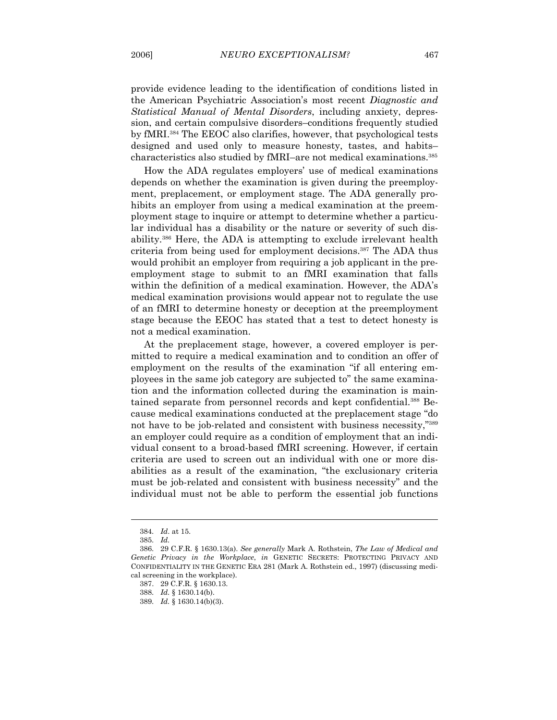provide evidence leading to the identification of conditions listed in the American Psychiatric Association's most recent *Diagnostic and Statistical Manual of Mental Disorders*, including anxiety, depression, and certain compulsive disorders–conditions frequently studied by fMRI.384 The EEOC also clarifies, however, that psychological tests designed and used only to measure honesty, tastes, and habits– characteristics also studied by fMRI–are not medical examinations.385

 How the ADA regulates employers' use of medical examinations depends on whether the examination is given during the preemployment, preplacement, or employment stage. The ADA generally prohibits an employer from using a medical examination at the preemployment stage to inquire or attempt to determine whether a particular individual has a disability or the nature or severity of such disability.386 Here, the ADA is attempting to exclude irrelevant health criteria from being used for employment decisions.387 The ADA thus would prohibit an employer from requiring a job applicant in the preemployment stage to submit to an fMRI examination that falls within the definition of a medical examination. However, the ADA's medical examination provisions would appear not to regulate the use of an fMRI to determine honesty or deception at the preemployment stage because the EEOC has stated that a test to detect honesty is not a medical examination.

 At the preplacement stage, however, a covered employer is permitted to require a medical examination and to condition an offer of employment on the results of the examination "if all entering employees in the same job category are subjected to" the same examination and the information collected during the examination is maintained separate from personnel records and kept confidential.388 Because medical examinations conducted at the preplacement stage "do not have to be job-related and consistent with business necessity,"389 an employer could require as a condition of employment that an individual consent to a broad-based fMRI screening. However, if certain criteria are used to screen out an individual with one or more disabilities as a result of the examination, "the exclusionary criteria must be job-related and consistent with business necessity" and the individual must not be able to perform the essential job functions

 <sup>384.</sup> *Id*. at 15.

 <sup>385.</sup> *Id.*

 <sup>386. 29</sup> C.F.R. § 1630.13(a). *See generally* Mark A. Rothstein, *The Law of Medical and Genetic Privacy in the Workplace*, *in* GENETIC SECRETS: PROTECTING PRIVACY AND CONFIDENTIALITY IN THE GENETIC ERA 281 (Mark A. Rothstein ed., 1997) (discussing medical screening in the workplace).

 <sup>387. 29</sup> C.F.R. § 1630.13.

 <sup>388.</sup> *Id.* § 1630.14(b).

 <sup>389.</sup> *Id.* § 1630.14(b)(3).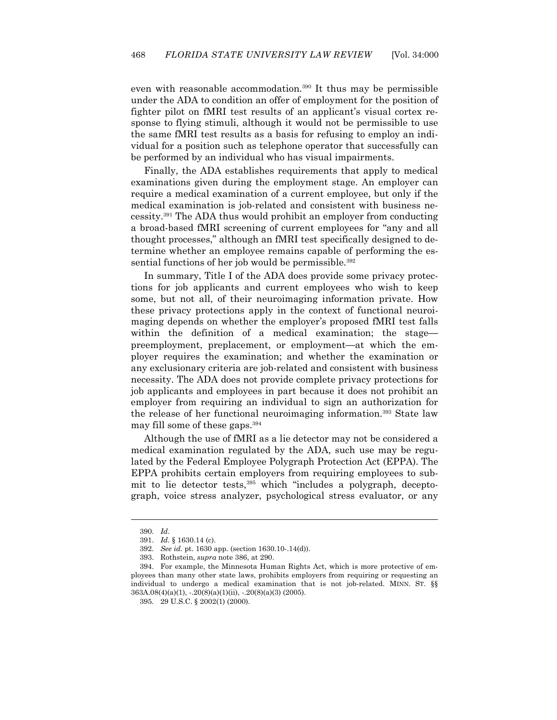even with reasonable accommodation.390 It thus may be permissible under the ADA to condition an offer of employment for the position of fighter pilot on fMRI test results of an applicant's visual cortex response to flying stimuli, although it would not be permissible to use the same fMRI test results as a basis for refusing to employ an individual for a position such as telephone operator that successfully can be performed by an individual who has visual impairments.

 Finally, the ADA establishes requirements that apply to medical examinations given during the employment stage. An employer can require a medical examination of a current employee, but only if the medical examination is job-related and consistent with business necessity.391 The ADA thus would prohibit an employer from conducting a broad-based fMRI screening of current employees for "any and all thought processes," although an fMRI test specifically designed to determine whether an employee remains capable of performing the essential functions of her job would be permissible.<sup>392</sup>

 In summary, Title I of the ADA does provide some privacy protections for job applicants and current employees who wish to keep some, but not all, of their neuroimaging information private. How these privacy protections apply in the context of functional neuroimaging depends on whether the employer's proposed fMRI test falls within the definition of a medical examination; the stage preemployment, preplacement, or employment—at which the employer requires the examination; and whether the examination or any exclusionary criteria are job-related and consistent with business necessity. The ADA does not provide complete privacy protections for job applicants and employees in part because it does not prohibit an employer from requiring an individual to sign an authorization for the release of her functional neuroimaging information.393 State law may fill some of these gaps.394

 Although the use of fMRI as a lie detector may not be considered a medical examination regulated by the ADA, such use may be regulated by the Federal Employee Polygraph Protection Act (EPPA). The EPPA prohibits certain employers from requiring employees to submit to lie detector tests,<sup>395</sup> which "includes a polygraph, deceptograph, voice stress analyzer, psychological stress evaluator, or any

 <sup>390.</sup> *Id*.

 <sup>391.</sup> *Id.* § 1630.14 (c).

 <sup>392.</sup> *See id.* pt. 1630 app. (section 1630.10-.14(d)).

 <sup>393.</sup> Rothstein, *supra* note 386, at 290.

 <sup>394.</sup> For example, the Minnesota Human Rights Act, which is more protective of employees than many other state laws, prohibits employers from requiring or requesting an individual to undergo a medical examination that is not job-related. MINN. ST. §§  $363A.08(4)(a)(1)$ ,  $-20(8)(a)(1)(ii)$ ,  $-20(8)(a)(3)(2005)$ .

 <sup>395. 29</sup> U.S.C. § 2002(1) (2000).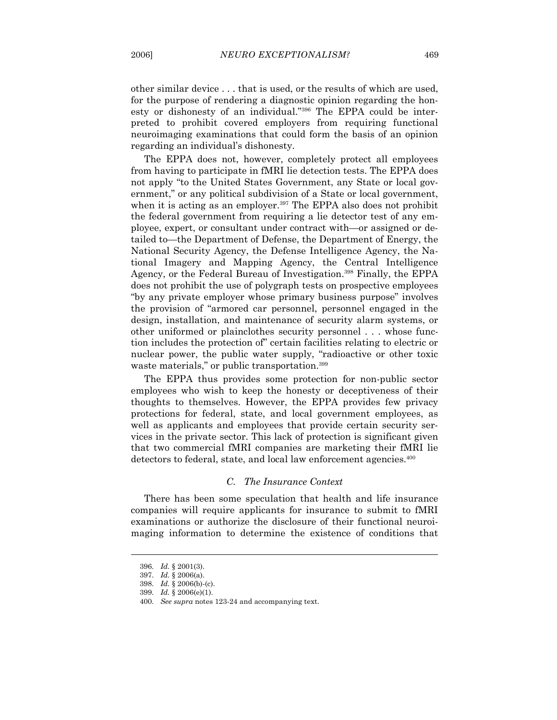other similar device . . . that is used, or the results of which are used, for the purpose of rendering a diagnostic opinion regarding the honesty or dishonesty of an individual."396 The EPPA could be interpreted to prohibit covered employers from requiring functional neuroimaging examinations that could form the basis of an opinion regarding an individual's dishonesty.

 The EPPA does not, however, completely protect all employees from having to participate in fMRI lie detection tests. The EPPA does not apply "to the United States Government, any State or local government," or any political subdivision of a State or local government, when it is acting as an employer.<sup>397</sup> The EPPA also does not prohibit the federal government from requiring a lie detector test of any employee, expert, or consultant under contract with—or assigned or detailed to—the Department of Defense, the Department of Energy, the National Security Agency, the Defense Intelligence Agency, the National Imagery and Mapping Agency, the Central Intelligence Agency, or the Federal Bureau of Investigation.<sup>398</sup> Finally, the EPPA does not prohibit the use of polygraph tests on prospective employees "by any private employer whose primary business purpose" involves the provision of "armored car personnel, personnel engaged in the design, installation, and maintenance of security alarm systems, or other uniformed or plainclothes security personnel . . . whose function includes the protection of" certain facilities relating to electric or nuclear power, the public water supply, "radioactive or other toxic waste materials," or public transportation.<sup>399</sup>

 The EPPA thus provides some protection for non-public sector employees who wish to keep the honesty or deceptiveness of their thoughts to themselves. However, the EPPA provides few privacy protections for federal, state, and local government employees, as well as applicants and employees that provide certain security services in the private sector. This lack of protection is significant given that two commercial fMRI companies are marketing their fMRI lie detectors to federal, state, and local law enforcement agencies.<sup>400</sup>

# *C. The Insurance Context*

 There has been some speculation that health and life insurance companies will require applicants for insurance to submit to fMRI examinations or authorize the disclosure of their functional neuroimaging information to determine the existence of conditions that

 <sup>396.</sup> *Id.* § 2001(3).

 <sup>397.</sup> *Id.* § 2006(a).

 <sup>398.</sup> *Id.* § 2006(b)-(c).

 <sup>399.</sup> *Id.* § 2006(e)(1).

 <sup>400.</sup> *See supra* notes 123-24 and accompanying text.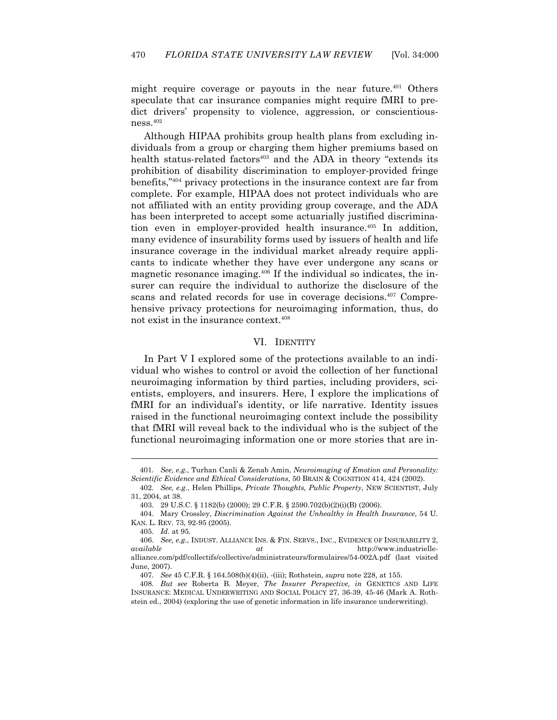might require coverage or payouts in the near future.<sup>401</sup> Others speculate that car insurance companies might require fMRI to predict drivers' propensity to violence, aggression, or conscientiousness.402

 Although HIPAA prohibits group health plans from excluding individuals from a group or charging them higher premiums based on health status-related factors<sup>403</sup> and the ADA in theory "extends its prohibition of disability discrimination to employer-provided fringe benefits,"404 privacy protections in the insurance context are far from complete. For example, HIPAA does not protect individuals who are not affiliated with an entity providing group coverage, and the ADA has been interpreted to accept some actuarially justified discrimination even in employer-provided health insurance.<sup>405</sup> In addition, many evidence of insurability forms used by issuers of health and life insurance coverage in the individual market already require applicants to indicate whether they have ever undergone any scans or magnetic resonance imaging.406 If the individual so indicates, the insurer can require the individual to authorize the disclosure of the scans and related records for use in coverage decisions.<sup>407</sup> Comprehensive privacy protections for neuroimaging information, thus, do not exist in the insurance context.408

### VI. IDENTITY

 In Part V I explored some of the protections available to an individual who wishes to control or avoid the collection of her functional neuroimaging information by third parties, including providers, scientists, employers, and insurers. Here, I explore the implications of fMRI for an individual's identity, or life narrative. Identity issues raised in the functional neuroimaging context include the possibility that fMRI will reveal back to the individual who is the subject of the functional neuroimaging information one or more stories that are in-

405. *Id*. at 95.

 <sup>401.</sup> *See, e.g*., Turhan Canli & Zenab Amin, *Neuroimaging of Emotion and Personality: Scientific Evidence and Ethical Considerations*, 50 BRAIN & COGNITION 414, 424 (2002).

 <sup>402.</sup> *See, e.g.*, Helen Phillips, *Private Thoughts, Public Property*, NEW SCIENTIST, July 31, 2004, at 38.

 <sup>403. 29</sup> U.S.C. § 1182(b) (2000); 29 C.F.R. § 2590.702(b)(2)(i)(B) (2006).

 <sup>404.</sup> Mary Crossley, *Discrimination Against the Unhealthy in Health Insurance*, 54 U. KAN. L. REV. 73, 92-95 (2005).

 <sup>406.</sup> *See, e.g.*, INDUST. ALLIANCE INS. & FIN. SERVS., INC., EVIDENCE OF INSURABILITY 2, *available at* http://www.industriellealliance.com/pdf/collectifs/collective/administrateurs/formulaires/54-002A.pdf (last visited

June, 2007).

 <sup>407.</sup> *See* 45 C.F.R. § 164.508(b)(4)(ii), -(iii); Rothstein, *supra* note 228, at 155.

 <sup>408.</sup> *But see* Roberta B. Meyer, *The Insurer Perspective, in* GENETICS AND LIFE INSURANCE: MEDICAL UNDERWRITING AND SOCIAL POLICY 27, 36-39, 45-46 (Mark A. Rothstein ed., 2004) (exploring the use of genetic information in life insurance underwriting).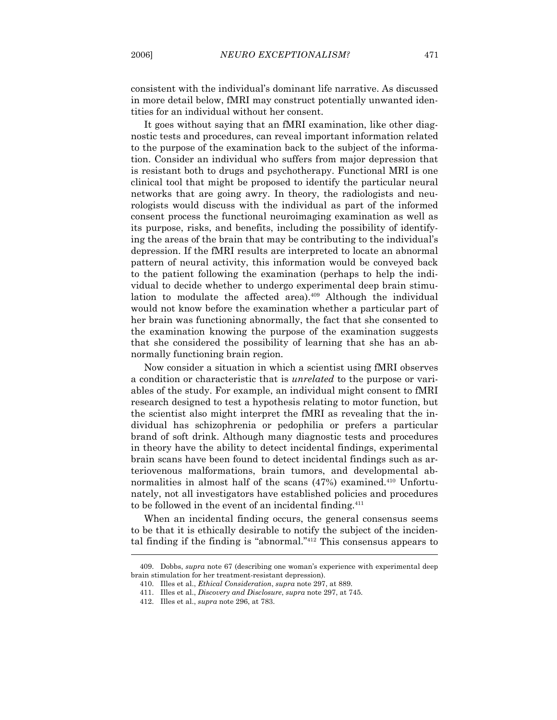consistent with the individual's dominant life narrative. As discussed in more detail below, fMRI may construct potentially unwanted identities for an individual without her consent.

 It goes without saying that an fMRI examination, like other diagnostic tests and procedures, can reveal important information related to the purpose of the examination back to the subject of the information. Consider an individual who suffers from major depression that is resistant both to drugs and psychotherapy. Functional MRI is one clinical tool that might be proposed to identify the particular neural networks that are going awry. In theory, the radiologists and neurologists would discuss with the individual as part of the informed consent process the functional neuroimaging examination as well as its purpose, risks, and benefits, including the possibility of identifying the areas of the brain that may be contributing to the individual's depression. If the fMRI results are interpreted to locate an abnormal pattern of neural activity, this information would be conveyed back to the patient following the examination (perhaps to help the individual to decide whether to undergo experimental deep brain stimulation to modulate the affected area).409 Although the individual would not know before the examination whether a particular part of her brain was functioning abnormally, the fact that she consented to the examination knowing the purpose of the examination suggests that she considered the possibility of learning that she has an abnormally functioning brain region.

 Now consider a situation in which a scientist using fMRI observes a condition or characteristic that is *unrelated* to the purpose or variables of the study. For example, an individual might consent to fMRI research designed to test a hypothesis relating to motor function, but the scientist also might interpret the fMRI as revealing that the individual has schizophrenia or pedophilia or prefers a particular brand of soft drink. Although many diagnostic tests and procedures in theory have the ability to detect incidental findings, experimental brain scans have been found to detect incidental findings such as arteriovenous malformations, brain tumors, and developmental abnormalities in almost half of the scans  $(47%)$  examined.<sup>410</sup> Unfortunately, not all investigators have established policies and procedures to be followed in the event of an incidental finding.<sup>411</sup>

 When an incidental finding occurs, the general consensus seems to be that it is ethically desirable to notify the subject of the incidental finding if the finding is "abnormal."412 This consensus appears to

 <sup>409.</sup> Dobbs, *supra* note 67 (describing one woman's experience with experimental deep brain stimulation for her treatment-resistant depression).

 <sup>410.</sup> Illes et al., *Ethical Consideration*, *supra* note 297, at 889.

 <sup>411.</sup> Illes et al., *Discovery and Disclosure*, *supra* note 297, at 745.

 <sup>412.</sup> Illes et al., *supra* note 296, at 783.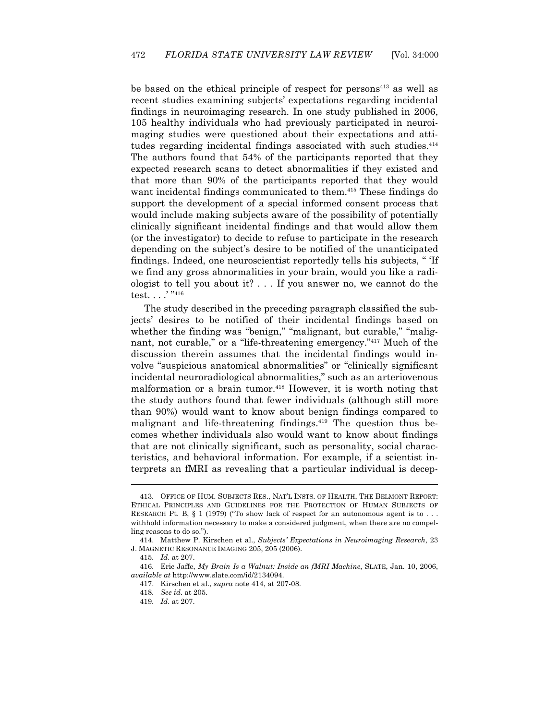be based on the ethical principle of respect for persons<sup>413</sup> as well as recent studies examining subjects' expectations regarding incidental findings in neuroimaging research. In one study published in 2006, 105 healthy individuals who had previously participated in neuroimaging studies were questioned about their expectations and attitudes regarding incidental findings associated with such studies.<sup>414</sup> The authors found that 54% of the participants reported that they expected research scans to detect abnormalities if they existed and that more than 90% of the participants reported that they would want incidental findings communicated to them.415 These findings do support the development of a special informed consent process that would include making subjects aware of the possibility of potentially clinically significant incidental findings and that would allow them (or the investigator) to decide to refuse to participate in the research depending on the subject's desire to be notified of the unanticipated findings. Indeed, one neuroscientist reportedly tells his subjects, " 'If we find any gross abnormalities in your brain, would you like a radiologist to tell you about it? . . . If you answer no, we cannot do the test. . . .' "416

 The study described in the preceding paragraph classified the subjects' desires to be notified of their incidental findings based on whether the finding was "benign," "malignant, but curable," "malignant, not curable," or a "life-threatening emergency."417 Much of the discussion therein assumes that the incidental findings would involve "suspicious anatomical abnormalities" or "clinically significant incidental neuroradiological abnormalities," such as an arteriovenous malformation or a brain tumor.418 However, it is worth noting that the study authors found that fewer individuals (although still more than 90%) would want to know about benign findings compared to malignant and life-threatening findings.<sup>419</sup> The question thus becomes whether individuals also would want to know about findings that are not clinically significant, such as personality, social characteristics, and behavioral information. For example, if a scientist interprets an fMRI as revealing that a particular individual is decep-

 <sup>413.</sup> OFFICE OF HUM. SUBJECTS RES., NAT'L INSTS. OF HEALTH, THE BELMONT REPORT: ETHICAL PRINCIPLES AND GUIDELINES FOR THE PROTECTION OF HUMAN SUBJECTS OF RESEARCH Pt. B,  $\S$  1 (1979) ("To show lack of respect for an autonomous agent is to ... withhold information necessary to make a considered judgment, when there are no compelling reasons to do so.").

 <sup>414.</sup> Matthew P. Kirschen et al., *Subjects' Expectations in Neuroimaging Research*, 23 J. MAGNETIC RESONANCE IMAGING 205, 205 (2006).

 <sup>415.</sup> *Id*. at 207.

 <sup>416.</sup> Eric Jaffe, *My Brain Is a Walnut: Inside an fMRI Machine*, SLATE, Jan. 10, 2006, *available at* http://www.slate.com/id/2134094.

 <sup>417.</sup> Kirschen et al., *supra* note 414, at 207-08.

 <sup>418.</sup> *See id*. at 205.

 <sup>419.</sup> *Id*. at 207.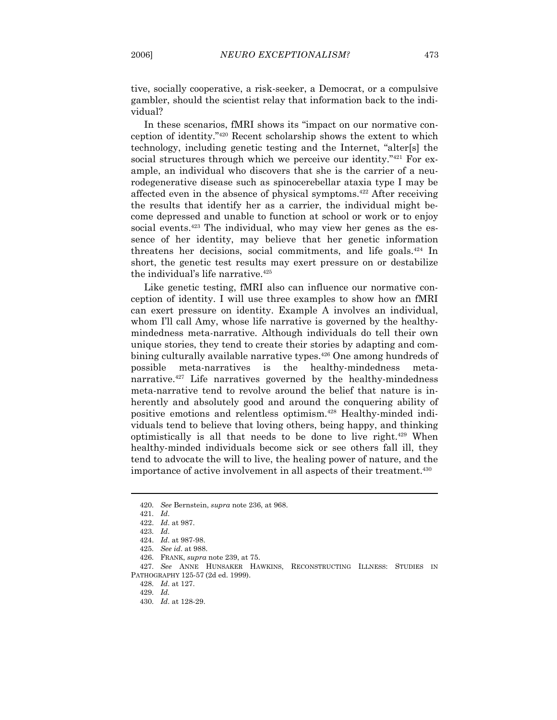tive, socially cooperative, a risk-seeker, a Democrat, or a compulsive gambler, should the scientist relay that information back to the individual?

 In these scenarios, fMRI shows its "impact on our normative conception of identity."420 Recent scholarship shows the extent to which technology, including genetic testing and the Internet, "alter[s] the social structures through which we perceive our identity."<sup>421</sup> For example, an individual who discovers that she is the carrier of a neurodegenerative disease such as spinocerebellar ataxia type I may be affected even in the absence of physical symptoms.422 After receiving the results that identify her as a carrier, the individual might become depressed and unable to function at school or work or to enjoy social events.<sup>423</sup> The individual, who may view her genes as the essence of her identity, may believe that her genetic information threatens her decisions, social commitments, and life goals.424 In short, the genetic test results may exert pressure on or destabilize the individual's life narrative.425

 Like genetic testing, fMRI also can influence our normative conception of identity. I will use three examples to show how an fMRI can exert pressure on identity. Example A involves an individual, whom I'll call Amy, whose life narrative is governed by the healthymindedness meta-narrative. Although individuals do tell their own unique stories, they tend to create their stories by adapting and combining culturally available narrative types.<sup>426</sup> One among hundreds of possible meta-narratives is the healthy-mindedness metanarrative.427 Life narratives governed by the healthy-mindedness meta-narrative tend to revolve around the belief that nature is inherently and absolutely good and around the conquering ability of positive emotions and relentless optimism.428 Healthy-minded individuals tend to believe that loving others, being happy, and thinking optimistically is all that needs to be done to live right.<sup> $429$ </sup> When healthy-minded individuals become sick or see others fall ill, they tend to advocate the will to live, the healing power of nature, and the importance of active involvement in all aspects of their treatment.<sup>430</sup>

 <sup>420.</sup> *See* Bernstein, *supra* note 236, at 968.

 <sup>421.</sup> *Id*.

 <sup>422.</sup> *Id*. at 987.

 <sup>423.</sup> *Id*.

 <sup>424.</sup> *Id*. at 987-98.

 <sup>425.</sup> *See id*. at 988.

 <sup>426.</sup> FRANK, *supra* note 239, at 75.

 <sup>427.</sup> *See* ANNE HUNSAKER HAWKINS, RECONSTRUCTING ILLNESS: STUDIES IN PATHOGRAPHY 125-57 (2d ed. 1999).

 <sup>428.</sup> *Id*. at 127.

 <sup>429.</sup> *Id.*

 <sup>430.</sup> *Id*. at 128-29.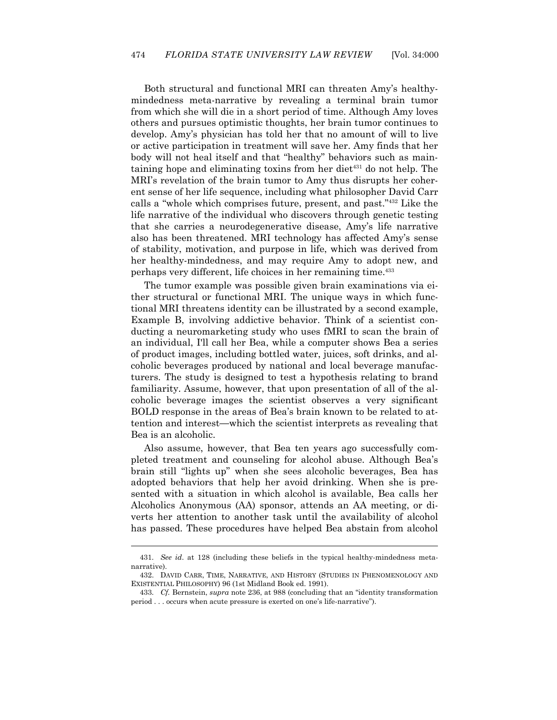Both structural and functional MRI can threaten Amy's healthymindedness meta-narrative by revealing a terminal brain tumor from which she will die in a short period of time. Although Amy loves others and pursues optimistic thoughts, her brain tumor continues to develop. Amy's physician has told her that no amount of will to live or active participation in treatment will save her. Amy finds that her body will not heal itself and that "healthy" behaviors such as maintaining hope and eliminating toxins from her diet<sup> $431$ </sup> do not help. The MRI's revelation of the brain tumor to Amy thus disrupts her coherent sense of her life sequence, including what philosopher David Carr calls a "whole which comprises future, present, and past."432 Like the life narrative of the individual who discovers through genetic testing that she carries a neurodegenerative disease, Amy's life narrative also has been threatened. MRI technology has affected Amy's sense of stability, motivation, and purpose in life, which was derived from her healthy-mindedness, and may require Amy to adopt new, and perhaps very different, life choices in her remaining time.433

 The tumor example was possible given brain examinations via either structural or functional MRI. The unique ways in which functional MRI threatens identity can be illustrated by a second example, Example B, involving addictive behavior. Think of a scientist conducting a neuromarketing study who uses fMRI to scan the brain of an individual, I'll call her Bea, while a computer shows Bea a series of product images, including bottled water, juices, soft drinks, and alcoholic beverages produced by national and local beverage manufacturers. The study is designed to test a hypothesis relating to brand familiarity. Assume, however, that upon presentation of all of the alcoholic beverage images the scientist observes a very significant BOLD response in the areas of Bea's brain known to be related to attention and interest—which the scientist interprets as revealing that Bea is an alcoholic.

 Also assume, however, that Bea ten years ago successfully completed treatment and counseling for alcohol abuse. Although Bea's brain still "lights up" when she sees alcoholic beverages, Bea has adopted behaviors that help her avoid drinking. When she is presented with a situation in which alcohol is available, Bea calls her Alcoholics Anonymous (AA) sponsor, attends an AA meeting, or diverts her attention to another task until the availability of alcohol has passed. These procedures have helped Bea abstain from alcohol

 <sup>431.</sup> *See id*. at 128 (including these beliefs in the typical healthy-mindedness metanarrative).

 <sup>432.</sup> DAVID CARR, TIME, NARRATIVE, AND HISTORY (STUDIES IN PHENOMENOLOGY AND EXISTENTIAL PHILOSOPHY) 96 (1st Midland Book ed. 1991).

 <sup>433.</sup> *Cf.* Bernstein, *supra* note 236, at 988 (concluding that an "identity transformation period . . . occurs when acute pressure is exerted on one's life-narrative").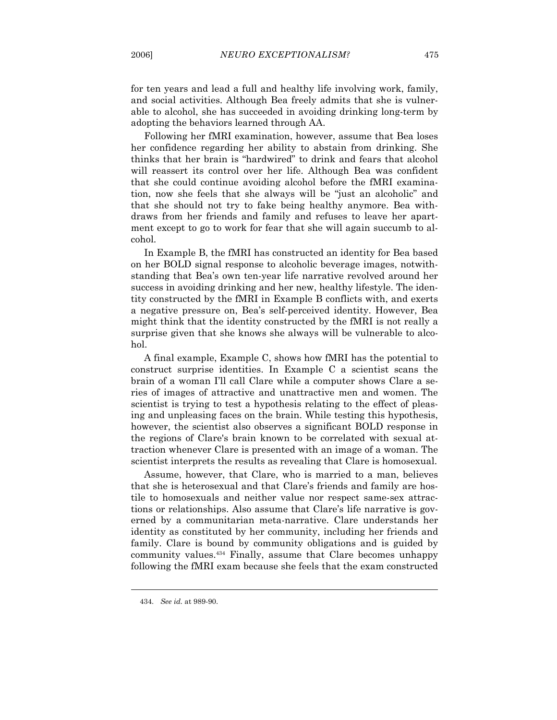for ten years and lead a full and healthy life involving work, family, and social activities. Although Bea freely admits that she is vulnerable to alcohol, she has succeeded in avoiding drinking long-term by adopting the behaviors learned through AA.

 Following her fMRI examination, however, assume that Bea loses her confidence regarding her ability to abstain from drinking. She thinks that her brain is "hardwired" to drink and fears that alcohol will reassert its control over her life. Although Bea was confident that she could continue avoiding alcohol before the fMRI examination, now she feels that she always will be "just an alcoholic" and that she should not try to fake being healthy anymore. Bea withdraws from her friends and family and refuses to leave her apartment except to go to work for fear that she will again succumb to alcohol.

 In Example B, the fMRI has constructed an identity for Bea based on her BOLD signal response to alcoholic beverage images, notwithstanding that Bea's own ten-year life narrative revolved around her success in avoiding drinking and her new, healthy lifestyle. The identity constructed by the fMRI in Example B conflicts with, and exerts a negative pressure on, Bea's self-perceived identity. However, Bea might think that the identity constructed by the fMRI is not really a surprise given that she knows she always will be vulnerable to alcohol.

 A final example, Example C, shows how fMRI has the potential to construct surprise identities. In Example C a scientist scans the brain of a woman I'll call Clare while a computer shows Clare a series of images of attractive and unattractive men and women. The scientist is trying to test a hypothesis relating to the effect of pleasing and unpleasing faces on the brain. While testing this hypothesis, however, the scientist also observes a significant BOLD response in the regions of Clare's brain known to be correlated with sexual attraction whenever Clare is presented with an image of a woman. The scientist interprets the results as revealing that Clare is homosexual.

 Assume, however, that Clare, who is married to a man, believes that she is heterosexual and that Clare's friends and family are hostile to homosexuals and neither value nor respect same-sex attractions or relationships. Also assume that Clare's life narrative is governed by a communitarian meta-narrative. Clare understands her identity as constituted by her community, including her friends and family. Clare is bound by community obligations and is guided by community values.434 Finally, assume that Clare becomes unhappy following the fMRI exam because she feels that the exam constructed

 <sup>434.</sup> *See id.* at 989-90.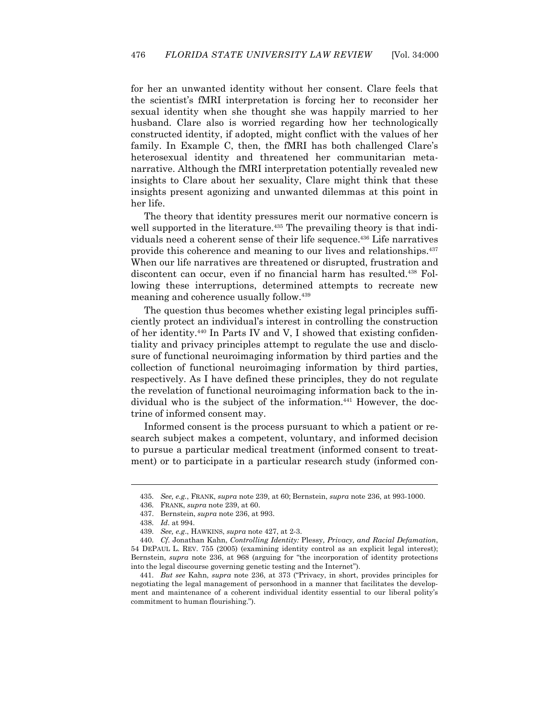for her an unwanted identity without her consent. Clare feels that the scientist's fMRI interpretation is forcing her to reconsider her sexual identity when she thought she was happily married to her husband. Clare also is worried regarding how her technologically constructed identity, if adopted, might conflict with the values of her family. In Example C, then, the fMRI has both challenged Clare's heterosexual identity and threatened her communitarian metanarrative. Although the fMRI interpretation potentially revealed new insights to Clare about her sexuality, Clare might think that these insights present agonizing and unwanted dilemmas at this point in her life.

 The theory that identity pressures merit our normative concern is well supported in the literature.<sup>435</sup> The prevailing theory is that individuals need a coherent sense of their life sequence.436 Life narratives provide this coherence and meaning to our lives and relationships.437 When our life narratives are threatened or disrupted, frustration and discontent can occur, even if no financial harm has resulted.438 Following these interruptions, determined attempts to recreate new meaning and coherence usually follow.439

 The question thus becomes whether existing legal principles sufficiently protect an individual's interest in controlling the construction of her identity.440 In Parts IV and V, I showed that existing confidentiality and privacy principles attempt to regulate the use and disclosure of functional neuroimaging information by third parties and the collection of functional neuroimaging information by third parties, respectively. As I have defined these principles, they do not regulate the revelation of functional neuroimaging information back to the individual who is the subject of the information.<sup>441</sup> However, the doctrine of informed consent may.

 Informed consent is the process pursuant to which a patient or research subject makes a competent, voluntary, and informed decision to pursue a particular medical treatment (informed consent to treatment) or to participate in a particular research study (informed con-

 <sup>435.</sup> *See, e.g.*, FRANK, *supra* note 239, at 60; Bernstein, *supra* note 236, at 993-1000.

 <sup>436.</sup> FRANK, *supra* note 239, at 60.

 <sup>437.</sup> Bernstein, *supra* note 236, at 993.

 <sup>438.</sup> *Id*. at 994.

 <sup>439.</sup> *See, e.g*., HAWKINS, *supra* note 427, at 2-3.

 <sup>440.</sup> *Cf.* Jonathan Kahn, *Controlling Identity:* Plessy*, Privacy, and Racial Defamation*, 54 DEPAUL L. REV. 755 (2005) (examining identity control as an explicit legal interest); Bernstein, *supra* note 236, at 968 (arguing for "the incorporation of identity protections into the legal discourse governing genetic testing and the Internet").

 <sup>441.</sup> *But see* Kahn, *supra* note 236, at 373 ("Privacy, in short, provides principles for negotiating the legal management of personhood in a manner that facilitates the development and maintenance of a coherent individual identity essential to our liberal polity's commitment to human flourishing.").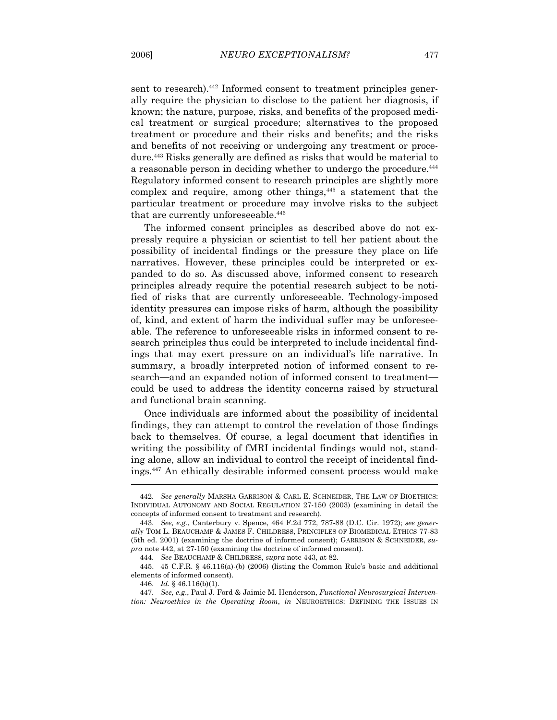sent to research).<sup>442</sup> Informed consent to treatment principles generally require the physician to disclose to the patient her diagnosis, if known; the nature, purpose, risks, and benefits of the proposed medical treatment or surgical procedure; alternatives to the proposed treatment or procedure and their risks and benefits; and the risks and benefits of not receiving or undergoing any treatment or procedure.443 Risks generally are defined as risks that would be material to a reasonable person in deciding whether to undergo the procedure.<sup>444</sup> Regulatory informed consent to research principles are slightly more complex and require, among other things,<sup>445</sup> a statement that the particular treatment or procedure may involve risks to the subject that are currently unforeseeable.<sup>446</sup>

 The informed consent principles as described above do not expressly require a physician or scientist to tell her patient about the possibility of incidental findings or the pressure they place on life narratives. However, these principles could be interpreted or expanded to do so. As discussed above, informed consent to research principles already require the potential research subject to be notified of risks that are currently unforeseeable. Technology-imposed identity pressures can impose risks of harm, although the possibility of, kind, and extent of harm the individual suffer may be unforeseeable. The reference to unforeseeable risks in informed consent to research principles thus could be interpreted to include incidental findings that may exert pressure on an individual's life narrative. In summary, a broadly interpreted notion of informed consent to research—and an expanded notion of informed consent to treatment could be used to address the identity concerns raised by structural and functional brain scanning.

 Once individuals are informed about the possibility of incidental findings, they can attempt to control the revelation of those findings back to themselves. Of course, a legal document that identifies in writing the possibility of fMRI incidental findings would not, standing alone, allow an individual to control the receipt of incidental findings.447 An ethically desirable informed consent process would make

 <sup>442.</sup> *See generally* MARSHA GARRISON & CARL E. SCHNEIDER, THE LAW OF BIOETHICS: INDIVIDUAL AUTONOMY AND SOCIAL REGULATION 27-150 (2003) (examining in detail the concepts of informed consent to treatment and research).

 <sup>443.</sup> *See, e.g.*, Canterbury v. Spence, 464 F.2d 772, 787-88 (D.C. Cir. 1972); *see generally* TOM L. BEAUCHAMP & JAMES F. CHILDRESS, PRINCIPLES OF BIOMEDICAL ETHICS 77-83 (5th ed. 2001) (examining the doctrine of informed consent); GARRISON & SCHNEIDER, *supra* note 442, at 27-150 (examining the doctrine of informed consent).

 <sup>444.</sup> *See* BEAUCHAMP & CHILDRESS, *supra* note 443, at 82.

 <sup>445. 45</sup> C.F.R. § 46.116(a)-(b) (2006) (listing the Common Rule's basic and additional elements of informed consent).

 <sup>446.</sup> *Id.* § 46.116(b)(1).

 <sup>447.</sup> *See, e.g*., Paul J. Ford & Jaimie M. Henderson, *Functional Neurosurgical Intervention: Neuroethics in the Operating Room*, *in* NEUROETHICS: DEFINING THE ISSUES IN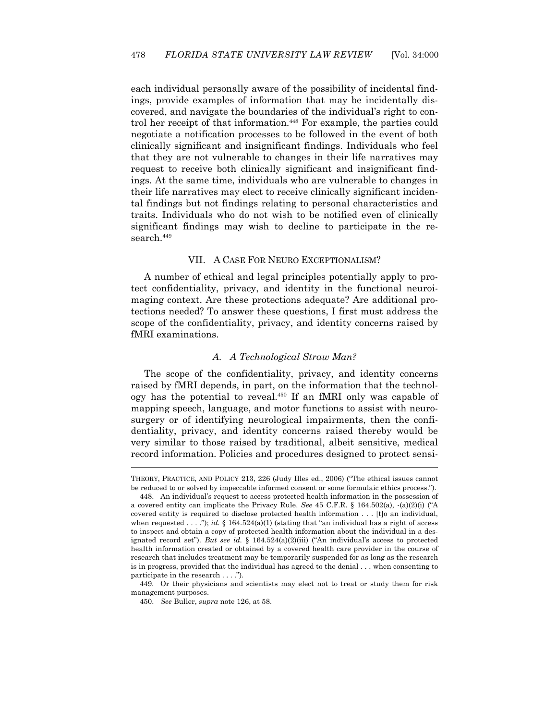each individual personally aware of the possibility of incidental findings, provide examples of information that may be incidentally discovered, and navigate the boundaries of the individual's right to control her receipt of that information.448 For example, the parties could negotiate a notification processes to be followed in the event of both clinically significant and insignificant findings. Individuals who feel that they are not vulnerable to changes in their life narratives may request to receive both clinically significant and insignificant findings. At the same time, individuals who are vulnerable to changes in their life narratives may elect to receive clinically significant incidental findings but not findings relating to personal characteristics and traits. Individuals who do not wish to be notified even of clinically significant findings may wish to decline to participate in the research.<sup>449</sup>

# VII. A CASE FOR NEURO EXCEPTIONALISM?

 A number of ethical and legal principles potentially apply to protect confidentiality, privacy, and identity in the functional neuroimaging context. Are these protections adequate? Are additional protections needed? To answer these questions, I first must address the scope of the confidentiality, privacy, and identity concerns raised by fMRI examinations.

# *A. A Technological Straw Man?*

 The scope of the confidentiality, privacy, and identity concerns raised by fMRI depends, in part, on the information that the technology has the potential to reveal.450 If an fMRI only was capable of mapping speech, language, and motor functions to assist with neurosurgery or of identifying neurological impairments, then the confidentiality, privacy, and identity concerns raised thereby would be very similar to those raised by traditional, albeit sensitive, medical record information. Policies and procedures designed to protect sensi-

THEORY, PRACTICE, AND POLICY 213, 226 (Judy Illes ed., 2006) ("The ethical issues cannot be reduced to or solved by impeccable informed consent or some formulaic ethics process.").

 <sup>448.</sup> An individual's request to access protected health information in the possession of a covered entity can implicate the Privacy Rule. *See* 45 C.F.R. § 164.502(a), -(a)(2)(i) ("A covered entity is required to disclose protected health information . . . [t]o an individual, when requested . . . ."); *id.*  $\S$  164.524(a)(1) (stating that "an individual has a right of access to inspect and obtain a copy of protected health information about the individual in a designated record set"). *But see id.*  $\S$  164.524(a)(2)(iii) ("An individual's access to protected health information created or obtained by a covered health care provider in the course of research that includes treatment may be temporarily suspended for as long as the research is in progress, provided that the individual has agreed to the denial . . . when consenting to participate in the research . . . .").

 <sup>449.</sup> Or their physicians and scientists may elect not to treat or study them for risk management purposes.

 <sup>450.</sup> *See* Buller, *supra* note 126, at 58.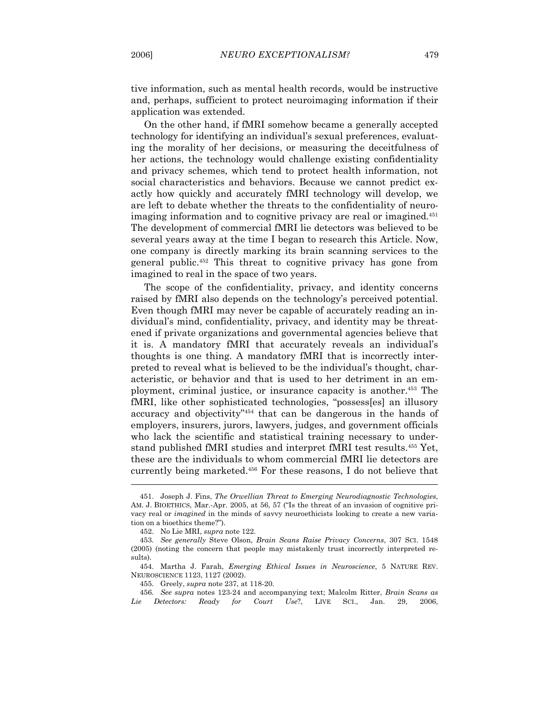tive information, such as mental health records, would be instructive and, perhaps, sufficient to protect neuroimaging information if their application was extended.

 On the other hand, if fMRI somehow became a generally accepted technology for identifying an individual's sexual preferences, evaluating the morality of her decisions, or measuring the deceitfulness of her actions, the technology would challenge existing confidentiality and privacy schemes, which tend to protect health information, not social characteristics and behaviors. Because we cannot predict exactly how quickly and accurately fMRI technology will develop, we are left to debate whether the threats to the confidentiality of neuroimaging information and to cognitive privacy are real or imagined.451 The development of commercial fMRI lie detectors was believed to be several years away at the time I began to research this Article. Now, one company is directly marking its brain scanning services to the general public.452 This threat to cognitive privacy has gone from imagined to real in the space of two years.

 The scope of the confidentiality, privacy, and identity concerns raised by fMRI also depends on the technology's perceived potential. Even though fMRI may never be capable of accurately reading an individual's mind, confidentiality, privacy, and identity may be threatened if private organizations and governmental agencies believe that it is. A mandatory fMRI that accurately reveals an individual's thoughts is one thing. A mandatory fMRI that is incorrectly interpreted to reveal what is believed to be the individual's thought, characteristic, or behavior and that is used to her detriment in an employment, criminal justice, or insurance capacity is another.453 The fMRI, like other sophisticated technologies, "possess[es] an illusory accuracy and objectivity"454 that can be dangerous in the hands of employers, insurers, jurors, lawyers, judges, and government officials who lack the scientific and statistical training necessary to understand published fMRI studies and interpret fMRI test results.455 Yet, these are the individuals to whom commercial fMRI lie detectors are currently being marketed.456 For these reasons, I do not believe that

-

455. Greely, *supra* note 237, at 118-20.

 456. *See supra* notes 123-24 and accompanying text; Malcolm Ritter, *Brain Scans as Lie Detectors: Ready for Court Use*?, LIVE SCI., Jan. 29, 2006,

 <sup>451.</sup> Joseph J. Fins, *The Orwellian Threat to Emerging Neurodiagnostic Technologies*, AM. J. BIOETHICS, Mar.-Apr. 2005, at 56, 57 ("Is the threat of an invasion of cognitive privacy real or *imagined* in the minds of savvy neuroethicists looking to create a new variation on a bioethics theme?").

 <sup>452.</sup> No Lie MRI, *supra* note 122.

 <sup>453.</sup> *See generally* Steve Olson, *Brain Scans Raise Privacy Concerns*, 307 SCI. 1548 (2005) (noting the concern that people may mistakenly trust incorrectly interpreted results).

 <sup>454.</sup> Martha J. Farah, *Emerging Ethical Issues in Neuroscience*, 5 NATURE REV. NEUROSCIENCE 1123, 1127 (2002).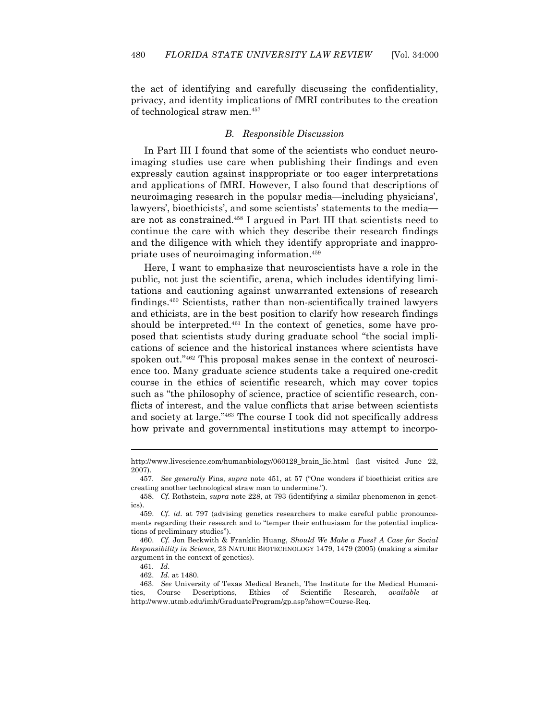the act of identifying and carefully discussing the confidentiality, privacy, and identity implications of fMRI contributes to the creation of technological straw men.457

# *B. Responsible Discussion*

 In Part III I found that some of the scientists who conduct neuroimaging studies use care when publishing their findings and even expressly caution against inappropriate or too eager interpretations and applications of fMRI. However, I also found that descriptions of neuroimaging research in the popular media—including physicians', lawyers', bioethicists', and some scientists' statements to the media are not as constrained.458 I argued in Part III that scientists need to continue the care with which they describe their research findings and the diligence with which they identify appropriate and inappropriate uses of neuroimaging information.459

 Here, I want to emphasize that neuroscientists have a role in the public, not just the scientific, arena, which includes identifying limitations and cautioning against unwarranted extensions of research findings.460 Scientists, rather than non-scientifically trained lawyers and ethicists, are in the best position to clarify how research findings should be interpreted.461 In the context of genetics, some have proposed that scientists study during graduate school "the social implications of science and the historical instances where scientists have spoken out."462 This proposal makes sense in the context of neuroscience too. Many graduate science students take a required one-credit course in the ethics of scientific research, which may cover topics such as "the philosophy of science, practice of scientific research, conflicts of interest, and the value conflicts that arise between scientists and society at large."463 The course I took did not specifically address how private and governmental institutions may attempt to incorpo-

http://www.livescience.com/humanbiology/060129\_brain\_lie.html (last visited June 22, 2007).

 <sup>457.</sup> *See generally* Fins, *supra* note 451, at 57 ("One wonders if bioethicist critics are creating another technological straw man to undermine.").

 <sup>458.</sup> *Cf.* Rothstein, *supra* note 228, at 793 (identifying a similar phenomenon in genetics).

 <sup>459.</sup> *Cf. id*. at 797 (advising genetics researchers to make careful public pronouncements regarding their research and to "temper their enthusiasm for the potential implications of preliminary studies").

 <sup>460.</sup> *Cf.* Jon Beckwith & Franklin Huang, *Should We Make a Fuss? A Case for Social Responsibility in Science*, 23 NATURE BIOTECHNOLOGY 1479, 1479 (2005) (making a similar argument in the context of genetics).

 <sup>461.</sup> *Id*.

 <sup>462.</sup> *Id*. at 1480.

 <sup>463.</sup> *See* University of Texas Medical Branch, The Institute for the Medical Humanities, Course Descriptions, Ethics of Scientific Research, *available at* http://www.utmb.edu/imh/GraduateProgram/gp.asp?show=Course-Req.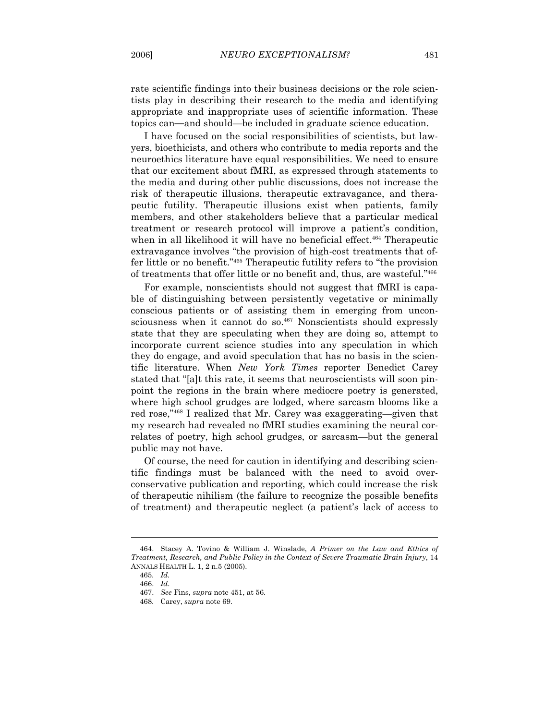rate scientific findings into their business decisions or the role scientists play in describing their research to the media and identifying appropriate and inappropriate uses of scientific information. These topics can—and should—be included in graduate science education.

 I have focused on the social responsibilities of scientists, but lawyers, bioethicists, and others who contribute to media reports and the neuroethics literature have equal responsibilities. We need to ensure that our excitement about fMRI, as expressed through statements to the media and during other public discussions, does not increase the risk of therapeutic illusions, therapeutic extravagance, and therapeutic futility. Therapeutic illusions exist when patients, family members, and other stakeholders believe that a particular medical treatment or research protocol will improve a patient's condition, when in all likelihood it will have no beneficial effect.<sup>464</sup> Therapeutic extravagance involves "the provision of high-cost treatments that offer little or no benefit."465 Therapeutic futility refers to "the provision of treatments that offer little or no benefit and, thus, are wasteful."466

 For example, nonscientists should not suggest that fMRI is capable of distinguishing between persistently vegetative or minimally conscious patients or of assisting them in emerging from unconsciousness when it cannot do so.<sup>467</sup> Nonscientists should expressly state that they are speculating when they are doing so, attempt to incorporate current science studies into any speculation in which they do engage, and avoid speculation that has no basis in the scientific literature. When *New York Times* reporter Benedict Carey stated that "[a]t this rate, it seems that neuroscientists will soon pinpoint the regions in the brain where mediocre poetry is generated, where high school grudges are lodged, where sarcasm blooms like a red rose,"468 I realized that Mr. Carey was exaggerating—given that my research had revealed no fMRI studies examining the neural correlates of poetry, high school grudges, or sarcasm—but the general public may not have.

 Of course, the need for caution in identifying and describing scientific findings must be balanced with the need to avoid overconservative publication and reporting, which could increase the risk of therapeutic nihilism (the failure to recognize the possible benefits of treatment) and therapeutic neglect (a patient's lack of access to

 <sup>464.</sup> Stacey A. Tovino & William J. Winslade, *A Primer on the Law and Ethics of Treatment, Research, and Public Policy in the Context of Severe Traumatic Brain Injury*, 14 ANNALS HEALTH L. 1, 2 n.5 (2005).

 <sup>465.</sup> *Id.*

 <sup>466.</sup> *Id*.

 <sup>467.</sup> *See* Fins, *supra* note 451, at 56.

 <sup>468.</sup> Carey, *supra* note 69.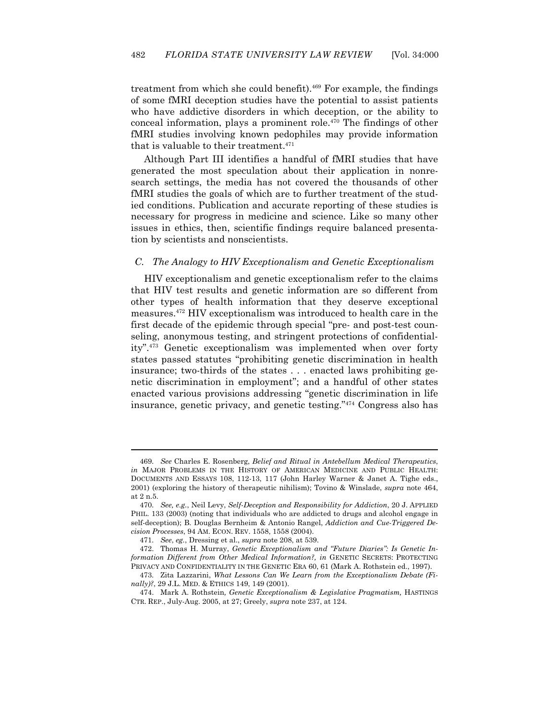treatment from which she could benefit).469 For example, the findings of some fMRI deception studies have the potential to assist patients who have addictive disorders in which deception, or the ability to conceal information, plays a prominent role.470 The findings of other fMRI studies involving known pedophiles may provide information that is valuable to their treatment.<sup>471</sup>

 Although Part III identifies a handful of fMRI studies that have generated the most speculation about their application in nonresearch settings, the media has not covered the thousands of other fMRI studies the goals of which are to further treatment of the studied conditions. Publication and accurate reporting of these studies is necessary for progress in medicine and science. Like so many other issues in ethics, then, scientific findings require balanced presentation by scientists and nonscientists.

# *C. The Analogy to HIV Exceptionalism and Genetic Exceptionalism*

 HIV exceptionalism and genetic exceptionalism refer to the claims that HIV test results and genetic information are so different from other types of health information that they deserve exceptional measures.472 HIV exceptionalism was introduced to health care in the first decade of the epidemic through special "pre- and post-test counseling, anonymous testing, and stringent protections of confidentiality".473 Genetic exceptionalism was implemented when over forty states passed statutes "prohibiting genetic discrimination in health insurance; two-thirds of the states . . . enacted laws prohibiting genetic discrimination in employment"; and a handful of other states enacted various provisions addressing "genetic discrimination in life insurance, genetic privacy, and genetic testing."474 Congress also has

 <sup>469.</sup> *See* Charles E. Rosenberg, *Belief and Ritual in Antebellum Medical Therapeutics*, *in* MAJOR PROBLEMS IN THE HISTORY OF AMERICAN MEDICINE AND PUBLIC HEALTH: DOCUMENTS AND ESSAYS 108, 112-13, 117 (John Harley Warner & Janet A. Tighe eds., 2001) (exploring the history of therapeutic nihilism); Tovino & Winslade, *supra* note 464, at 2 n.5.

 <sup>470.</sup> *See, e.g.*, Neil Levy, *Self-Deception and Responsibility for Addiction*, 20 J. APPLIED PHIL. 133 (2003) (noting that individuals who are addicted to drugs and alcohol engage in self-deception); B. Douglas Bernheim & Antonio Rangel, *Addiction and Cue-Triggered Decision Processes*, 94 AM. ECON. REV. 1558, 1558 (2004).

 <sup>471.</sup> *See*, *eg.*, Dressing et al., *supra* note 208, at 539.

 <sup>472.</sup> Thomas H. Murray, *Genetic Exceptionalism and "Future Diaries": Is Genetic Information Different from Other Medical Information?, in* GENETIC SECRETS: PROTECTING PRIVACY AND CONFIDENTIALITY IN THE GENETIC ERA 60, 61 (Mark A. Rothstein ed., 1997).

 <sup>473.</sup> Zita Lazzarini, *What Lessons Can We Learn from the Exceptionalism Debate (Finally)?*, 29 J.L. MED. & ETHICS 149, 149 (2001).

 <sup>474.</sup> Mark A. Rothstein*, Genetic Exceptionalism & Legislative Pragmatism,* HASTINGS CTR. REP., July-Aug. 2005, at 27; Greely, *supra* note 237, at 124.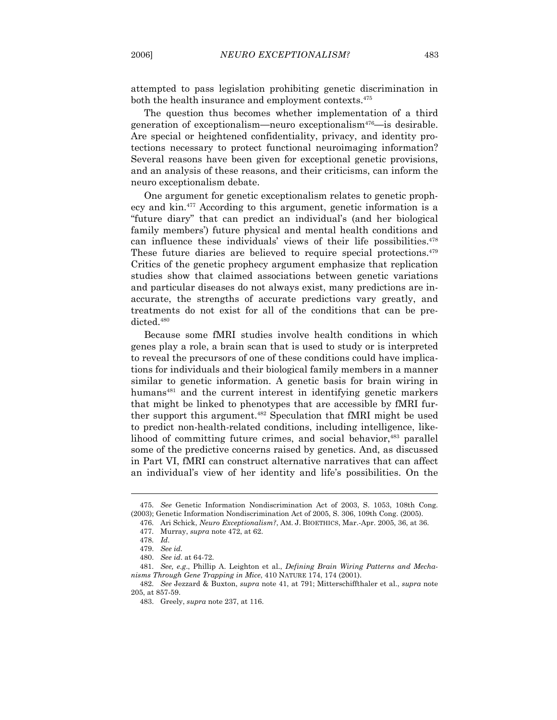attempted to pass legislation prohibiting genetic discrimination in both the health insurance and employment contexts.475

 The question thus becomes whether implementation of a third generation of exceptionalism—neuro exceptionalism476—is desirable. Are special or heightened confidentiality, privacy, and identity protections necessary to protect functional neuroimaging information? Several reasons have been given for exceptional genetic provisions, and an analysis of these reasons, and their criticisms, can inform the neuro exceptionalism debate.

 One argument for genetic exceptionalism relates to genetic prophecy and kin.477 According to this argument, genetic information is a "future diary" that can predict an individual's (and her biological family members') future physical and mental health conditions and can influence these individuals' views of their life possibilities.<sup>478</sup> These future diaries are believed to require special protections.<sup>479</sup> Critics of the genetic prophecy argument emphasize that replication studies show that claimed associations between genetic variations and particular diseases do not always exist, many predictions are inaccurate, the strengths of accurate predictions vary greatly, and treatments do not exist for all of the conditions that can be predicted.<sup>480</sup>

 Because some fMRI studies involve health conditions in which genes play a role, a brain scan that is used to study or is interpreted to reveal the precursors of one of these conditions could have implications for individuals and their biological family members in a manner similar to genetic information. A genetic basis for brain wiring in humans<sup>481</sup> and the current interest in identifying genetic markers that might be linked to phenotypes that are accessible by fMRI further support this argument.482 Speculation that fMRI might be used to predict non-health-related conditions, including intelligence, likelihood of committing future crimes, and social behavior,<sup>483</sup> parallel some of the predictive concerns raised by genetics. And, as discussed in Part VI, fMRI can construct alternative narratives that can affect an individual's view of her identity and life's possibilities. On the

 <sup>475.</sup> *See* Genetic Information Nondiscrimination Act of 2003, S. 1053, 108th Cong. (2003); Genetic Information Nondiscrimination Act of 2005, S. 306, 109th Cong. (2005).

 <sup>476.</sup> Ari Schick, *Neuro Exceptionalism?*, AM. J. BIOETHICS, Mar.-Apr. 2005, 36, at 36.

 <sup>477.</sup> Murray, *supra* note 472, at 62.

 <sup>478.</sup> *Id*.

 <sup>479.</sup> *See id.*

 <sup>480.</sup> *See id*. at 64-72.

 <sup>481.</sup> *See, e.g*., Phillip A. Leighton et al., *Defining Brain Wiring Patterns and Mechanisms Through Gene Trapping in Mice*, 410 NATURE 174, 174 (2001).

 <sup>482.</sup> *See* Jezzard & Buxton, *supra* note 41, at 791; Mitterschiffthaler et al., *supra* note 205, at 857-59.

 <sup>483.</sup> Greely, *supra* note 237, at 116.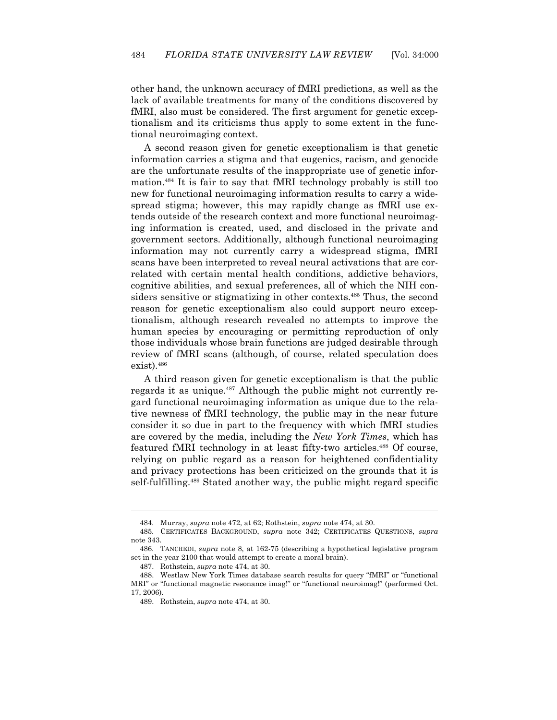other hand, the unknown accuracy of fMRI predictions, as well as the lack of available treatments for many of the conditions discovered by fMRI, also must be considered. The first argument for genetic exceptionalism and its criticisms thus apply to some extent in the functional neuroimaging context.

 A second reason given for genetic exceptionalism is that genetic information carries a stigma and that eugenics, racism, and genocide are the unfortunate results of the inappropriate use of genetic information.484 It is fair to say that fMRI technology probably is still too new for functional neuroimaging information results to carry a widespread stigma; however, this may rapidly change as fMRI use extends outside of the research context and more functional neuroimaging information is created, used, and disclosed in the private and government sectors. Additionally, although functional neuroimaging information may not currently carry a widespread stigma, fMRI scans have been interpreted to reveal neural activations that are correlated with certain mental health conditions, addictive behaviors, cognitive abilities, and sexual preferences, all of which the NIH considers sensitive or stigmatizing in other contexts.485 Thus, the second reason for genetic exceptionalism also could support neuro exceptionalism, although research revealed no attempts to improve the human species by encouraging or permitting reproduction of only those individuals whose brain functions are judged desirable through review of fMRI scans (although, of course, related speculation does exist).486

 A third reason given for genetic exceptionalism is that the public regards it as unique.487 Although the public might not currently regard functional neuroimaging information as unique due to the relative newness of fMRI technology, the public may in the near future consider it so due in part to the frequency with which fMRI studies are covered by the media, including the *New York Times*, which has featured fMRI technology in at least fifty-two articles.488 Of course, relying on public regard as a reason for heightened confidentiality and privacy protections has been criticized on the grounds that it is self-fulfilling.489 Stated another way, the public might regard specific

 <sup>484.</sup> Murray, *supra* note 472, at 62; Rothstein, *supra* note 474, at 30.

 <sup>485.</sup> CERTIFICATES BACKGROUND, *supra* note 342; CERTIFICATES QUESTIONS, *supra* note 343.

 <sup>486.</sup> TANCREDI, *supra* note 8, at 162-75 (describing a hypothetical legislative program set in the year 2100 that would attempt to create a moral brain).

 <sup>487.</sup> Rothstein, *supra* note 474, at 30.

 <sup>488.</sup> Westlaw New York Times database search results for query "fMRI" or "functional MRI" or "functional magnetic resonance imag!" or "functional neuroimag!" (performed Oct. 17, 2006).

 <sup>489.</sup> Rothstein, *supra* note 474, at 30.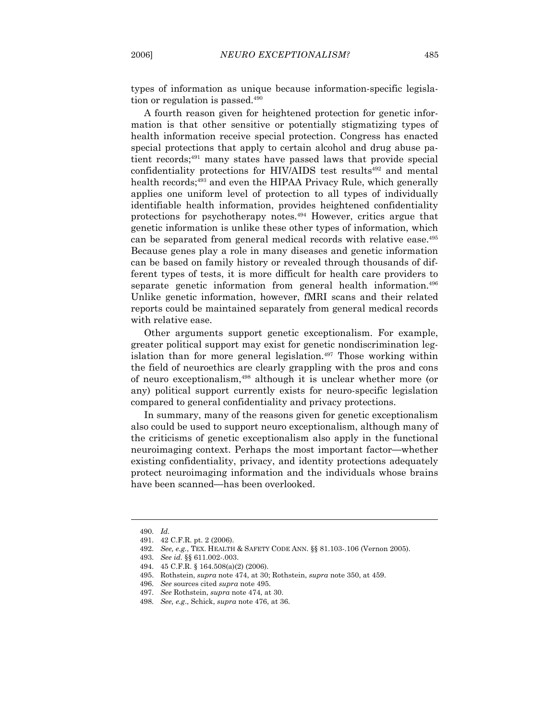types of information as unique because information-specific legislation or regulation is passed.490

 A fourth reason given for heightened protection for genetic information is that other sensitive or potentially stigmatizing types of health information receive special protection. Congress has enacted special protections that apply to certain alcohol and drug abuse patient records;<sup>491</sup> many states have passed laws that provide special confidentiality protections for HIV/AIDS test results<sup>492</sup> and mental health records;<sup>493</sup> and even the HIPAA Privacy Rule, which generally applies one uniform level of protection to all types of individually identifiable health information, provides heightened confidentiality protections for psychotherapy notes.494 However, critics argue that genetic information is unlike these other types of information, which can be separated from general medical records with relative ease.495 Because genes play a role in many diseases and genetic information can be based on family history or revealed through thousands of different types of tests, it is more difficult for health care providers to separate genetic information from general health information.<sup>496</sup> Unlike genetic information, however, fMRI scans and their related reports could be maintained separately from general medical records with relative ease.

 Other arguments support genetic exceptionalism. For example, greater political support may exist for genetic nondiscrimination legislation than for more general legislation.<sup>497</sup> Those working within the field of neuroethics are clearly grappling with the pros and cons of neuro exceptionalism,498 although it is unclear whether more (or any) political support currently exists for neuro-specific legislation compared to general confidentiality and privacy protections.

 In summary, many of the reasons given for genetic exceptionalism also could be used to support neuro exceptionalism, although many of the criticisms of genetic exceptionalism also apply in the functional neuroimaging context. Perhaps the most important factor—whether existing confidentiality, privacy, and identity protections adequately protect neuroimaging information and the individuals whose brains have been scanned—has been overlooked.

 <sup>490.</sup> *Id.*

 <sup>491. 42</sup> C.F.R. pt. 2 (2006).

 <sup>492.</sup> *See, e.g.*, TEX. HEALTH & SAFETY CODE ANN. §§ 81.103-.106 (Vernon 2005).

 <sup>493.</sup> *See id.* §§ 611.002-.003.

 <sup>494. 45</sup> C.F.R. § 164.508(a)(2) (2006).

 <sup>495.</sup> Rothstein, *supra* note 474, at 30; Rothstein, *supra* note 350, at 459.

 <sup>496.</sup> *See* sources cited *supra* note 495.

 <sup>497.</sup> *See* Rothstein, *supra* note 474, at 30.

 <sup>498.</sup> *See, e.g*., Schick, *supra* note 476, at 36.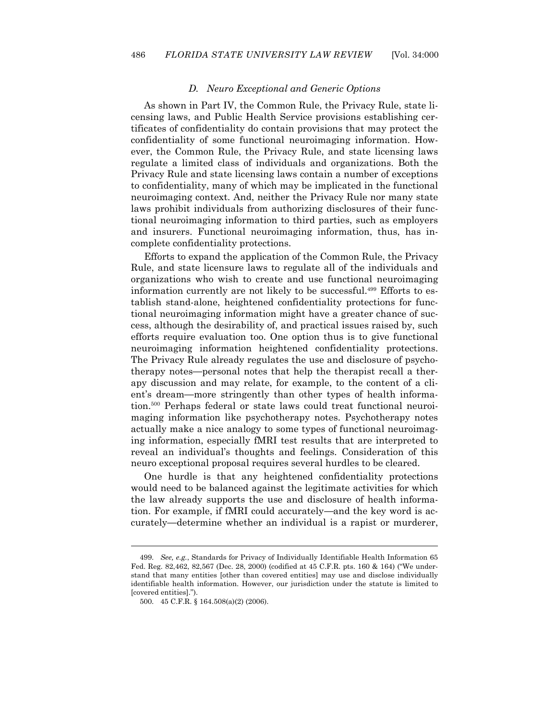## *D. Neuro Exceptional and Generic Options*

 As shown in Part IV, the Common Rule, the Privacy Rule, state licensing laws, and Public Health Service provisions establishing certificates of confidentiality do contain provisions that may protect the confidentiality of some functional neuroimaging information. However, the Common Rule, the Privacy Rule, and state licensing laws regulate a limited class of individuals and organizations. Both the Privacy Rule and state licensing laws contain a number of exceptions to confidentiality, many of which may be implicated in the functional neuroimaging context. And, neither the Privacy Rule nor many state laws prohibit individuals from authorizing disclosures of their functional neuroimaging information to third parties, such as employers and insurers. Functional neuroimaging information, thus, has incomplete confidentiality protections.

 Efforts to expand the application of the Common Rule, the Privacy Rule, and state licensure laws to regulate all of the individuals and organizations who wish to create and use functional neuroimaging information currently are not likely to be successful.499 Efforts to establish stand-alone, heightened confidentiality protections for functional neuroimaging information might have a greater chance of success, although the desirability of, and practical issues raised by, such efforts require evaluation too. One option thus is to give functional neuroimaging information heightened confidentiality protections. The Privacy Rule already regulates the use and disclosure of psychotherapy notes—personal notes that help the therapist recall a therapy discussion and may relate, for example, to the content of a client's dream—more stringently than other types of health information.500 Perhaps federal or state laws could treat functional neuroimaging information like psychotherapy notes. Psychotherapy notes actually make a nice analogy to some types of functional neuroimaging information, especially fMRI test results that are interpreted to reveal an individual's thoughts and feelings. Consideration of this neuro exceptional proposal requires several hurdles to be cleared.

 One hurdle is that any heightened confidentiality protections would need to be balanced against the legitimate activities for which the law already supports the use and disclosure of health information. For example, if fMRI could accurately*—*and the key word is accurately—determine whether an individual is a rapist or murderer,

 $\overline{a}$ 

 <sup>499.</sup> *See, e.g.*, Standards for Privacy of Individually Identifiable Health Information 65 Fed. Reg. 82,462, 82,567 (Dec. 28, 2000) (codified at 45 C.F.R. pts. 160 & 164) ("We understand that many entities [other than covered entities] may use and disclose individually identifiable health information. However, our jurisdiction under the statute is limited to [covered entities].").

 <sup>500. 45</sup> C.F.R. § 164.508(a)(2) (2006).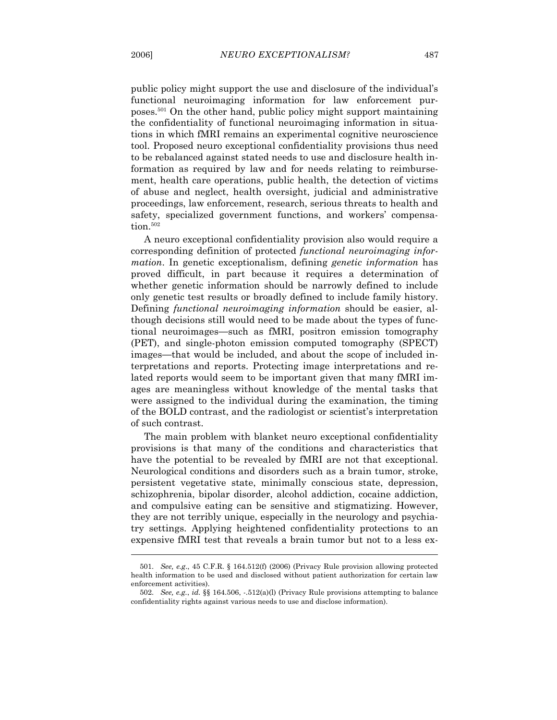public policy might support the use and disclosure of the individual's functional neuroimaging information for law enforcement purposes.501 On the other hand, public policy might support maintaining the confidentiality of functional neuroimaging information in situations in which fMRI remains an experimental cognitive neuroscience tool. Proposed neuro exceptional confidentiality provisions thus need to be rebalanced against stated needs to use and disclosure health information as required by law and for needs relating to reimbursement, health care operations, public health, the detection of victims of abuse and neglect, health oversight, judicial and administrative proceedings, law enforcement, research, serious threats to health and safety, specialized government functions, and workers' compensa-

 A neuro exceptional confidentiality provision also would require a corresponding definition of protected *functional neuroimaging information*. In genetic exceptionalism, defining *genetic information* has proved difficult, in part because it requires a determination of whether genetic information should be narrowly defined to include only genetic test results or broadly defined to include family history. Defining *functional neuroimaging information* should be easier, although decisions still would need to be made about the types of functional neuroimages—such as fMRI, positron emission tomography (PET), and single-photon emission computed tomography (SPECT) images—that would be included, and about the scope of included interpretations and reports. Protecting image interpretations and related reports would seem to be important given that many fMRI images are meaningless without knowledge of the mental tasks that were assigned to the individual during the examination, the timing of the BOLD contrast, and the radiologist or scientist's interpretation of such contrast.

 The main problem with blanket neuro exceptional confidentiality provisions is that many of the conditions and characteristics that have the potential to be revealed by fMRI are not that exceptional. Neurological conditions and disorders such as a brain tumor, stroke, persistent vegetative state, minimally conscious state, depression, schizophrenia, bipolar disorder, alcohol addiction, cocaine addiction, and compulsive eating can be sensitive and stigmatizing. However, they are not terribly unique, especially in the neurology and psychiatry settings. Applying heightened confidentiality protections to an expensive fMRI test that reveals a brain tumor but not to a less ex-

tion.<sup>502</sup>

 $\overline{a}$ 

 <sup>501.</sup> *See, e.g*., 45 C.F.R. § 164.512(f) (2006) (Privacy Rule provision allowing protected health information to be used and disclosed without patient authorization for certain law enforcement activities).

 <sup>502.</sup> *See, e.g.*, *id.* §§ 164.506, -.512(a)(l) (Privacy Rule provisions attempting to balance confidentiality rights against various needs to use and disclose information).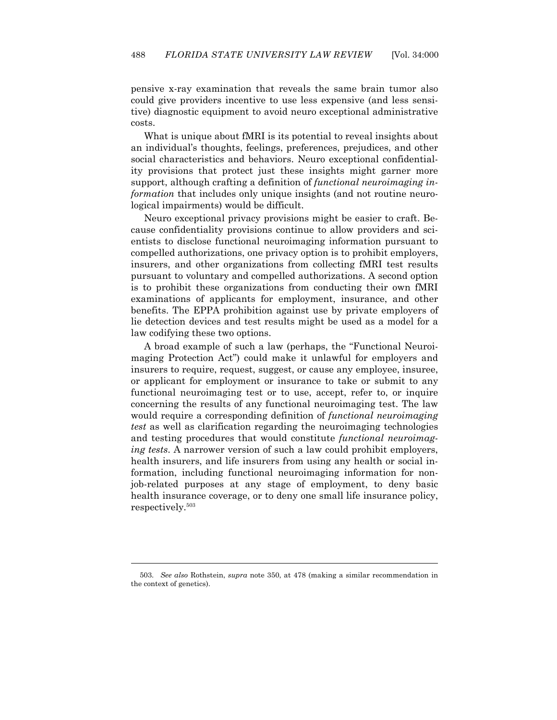pensive x-ray examination that reveals the same brain tumor also could give providers incentive to use less expensive (and less sensitive) diagnostic equipment to avoid neuro exceptional administrative costs.

 What is unique about fMRI is its potential to reveal insights about an individual's thoughts, feelings, preferences, prejudices, and other social characteristics and behaviors. Neuro exceptional confidentiality provisions that protect just these insights might garner more support, although crafting a definition of *functional neuroimaging information* that includes only unique insights (and not routine neurological impairments) would be difficult.

 Neuro exceptional privacy provisions might be easier to craft. Because confidentiality provisions continue to allow providers and scientists to disclose functional neuroimaging information pursuant to compelled authorizations, one privacy option is to prohibit employers, insurers, and other organizations from collecting fMRI test results pursuant to voluntary and compelled authorizations. A second option is to prohibit these organizations from conducting their own fMRI examinations of applicants for employment, insurance, and other benefits. The EPPA prohibition against use by private employers of lie detection devices and test results might be used as a model for a law codifying these two options.

 A broad example of such a law (perhaps, the "Functional Neuroimaging Protection Act") could make it unlawful for employers and insurers to require, request, suggest, or cause any employee, insuree, or applicant for employment or insurance to take or submit to any functional neuroimaging test or to use, accept, refer to, or inquire concerning the results of any functional neuroimaging test. The law would require a corresponding definition of *functional neuroimaging test* as well as clarification regarding the neuroimaging technologies and testing procedures that would constitute *functional neuroimaging tests*. A narrower version of such a law could prohibit employers, health insurers, and life insurers from using any health or social information, including functional neuroimaging information for nonjob-related purposes at any stage of employment, to deny basic health insurance coverage, or to deny one small life insurance policy, respectively.503

-

 <sup>503.</sup> *See also* Rothstein, *supra* note 350, at 478 (making a similar recommendation in the context of genetics).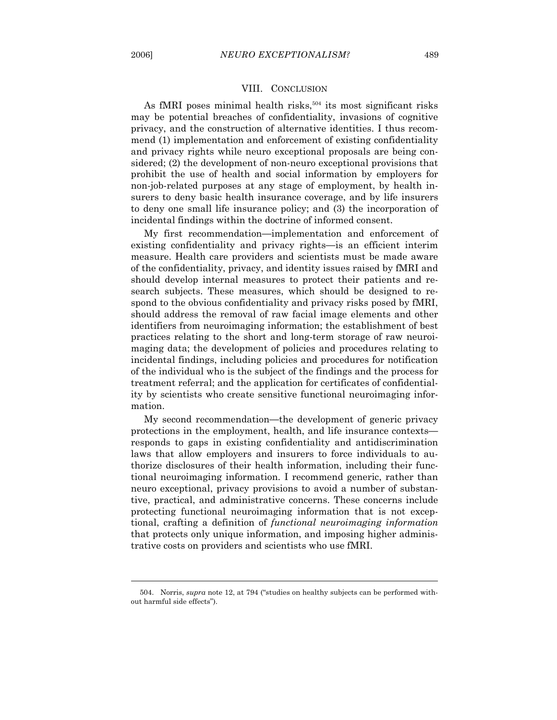## VIII. CONCLUSION

As fMRI poses minimal health risks,<sup>504</sup> its most significant risks may be potential breaches of confidentiality, invasions of cognitive privacy, and the construction of alternative identities. I thus recommend (1) implementation and enforcement of existing confidentiality and privacy rights while neuro exceptional proposals are being considered; (2) the development of non-neuro exceptional provisions that prohibit the use of health and social information by employers for non-job-related purposes at any stage of employment, by health insurers to deny basic health insurance coverage, and by life insurers to deny one small life insurance policy; and (3) the incorporation of incidental findings within the doctrine of informed consent.

 My first recommendation—implementation and enforcement of existing confidentiality and privacy rights—is an efficient interim measure. Health care providers and scientists must be made aware of the confidentiality, privacy, and identity issues raised by fMRI and should develop internal measures to protect their patients and research subjects. These measures, which should be designed to respond to the obvious confidentiality and privacy risks posed by fMRI, should address the removal of raw facial image elements and other identifiers from neuroimaging information; the establishment of best practices relating to the short and long-term storage of raw neuroimaging data; the development of policies and procedures relating to incidental findings, including policies and procedures for notification of the individual who is the subject of the findings and the process for treatment referral; and the application for certificates of confidentiality by scientists who create sensitive functional neuroimaging information.

 My second recommendation—the development of generic privacy protections in the employment, health, and life insurance contexts responds to gaps in existing confidentiality and antidiscrimination laws that allow employers and insurers to force individuals to authorize disclosures of their health information, including their functional neuroimaging information. I recommend generic, rather than neuro exceptional, privacy provisions to avoid a number of substantive, practical, and administrative concerns. These concerns include protecting functional neuroimaging information that is not exceptional, crafting a definition of *functional neuroimaging information* that protects only unique information, and imposing higher administrative costs on providers and scientists who use fMRI.

 $\overline{a}$ 

 <sup>504.</sup> Norris, *supra* note 12, at 794 ("studies on healthy subjects can be performed without harmful side effects").